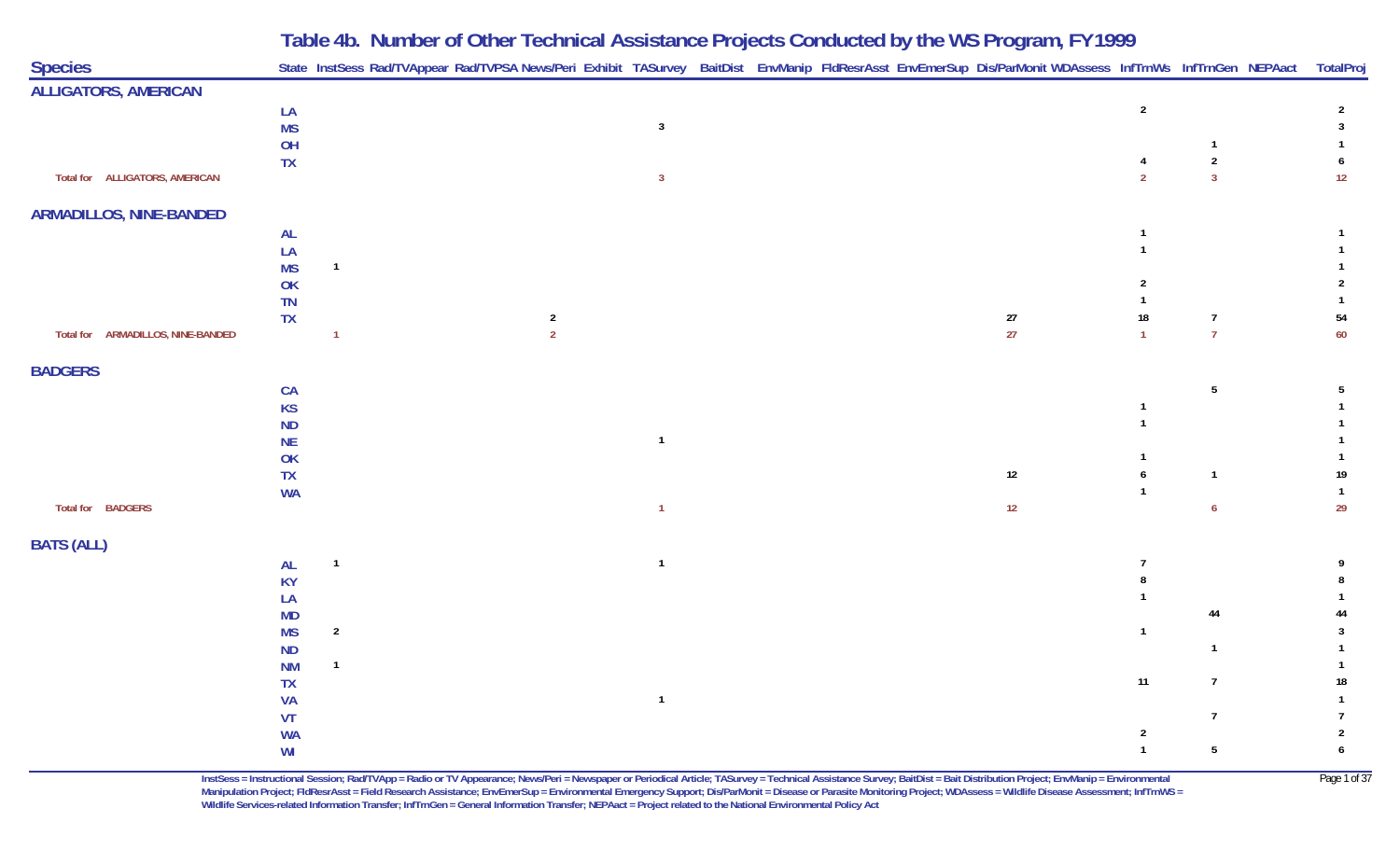| <b>Species</b>                    |                  |                | State InstSess Rad/TVAppear Rad/TVPSA News/Peri Exhibit TASurvey BaitDist EnvManip FldResrAsst EnvEmerSup Dis/ParMonit WDAssess InfTrnWs InfTrnGen NEPAact TotalPro |                |  |  | J      |                |                              |                              |
|-----------------------------------|------------------|----------------|---------------------------------------------------------------------------------------------------------------------------------------------------------------------|----------------|--|--|--------|----------------|------------------------------|------------------------------|
| <b>ALLIGATORS, AMERICAN</b>       |                  |                |                                                                                                                                                                     |                |  |  |        |                |                              |                              |
|                                   | LA               |                |                                                                                                                                                                     |                |  |  |        | $\overline{2}$ |                              | $\overline{2}$               |
|                                   | <b>MS</b>        |                |                                                                                                                                                                     | $\overline{3}$ |  |  |        |                |                              | $\mathbf{3}$                 |
|                                   | OH               |                |                                                                                                                                                                     |                |  |  |        |                | $\mathbf{1}$                 | 1                            |
|                                   | ${\sf TX}$       |                |                                                                                                                                                                     |                |  |  |        | $\overline{4}$ | $\sqrt{2}$<br>$\overline{3}$ | 6                            |
| Total for ALLIGATORS, AMERICAN    |                  |                |                                                                                                                                                                     | $\overline{3}$ |  |  |        | $\overline{2}$ |                              | $12$                         |
| <b>ARMADILLOS, NINE-BANDED</b>    |                  |                |                                                                                                                                                                     |                |  |  |        |                |                              |                              |
|                                   | <b>AL</b>        |                |                                                                                                                                                                     |                |  |  |        |                |                              |                              |
|                                   | LA               |                |                                                                                                                                                                     |                |  |  |        |                |                              | $\mathbf{1}$                 |
|                                   | <b>MS</b>        | $\overline{1}$ |                                                                                                                                                                     |                |  |  |        |                |                              |                              |
|                                   | OK               |                |                                                                                                                                                                     |                |  |  |        | $\overline{2}$ |                              | $\overline{2}$               |
|                                   | TN               |                |                                                                                                                                                                     |                |  |  | $27\,$ | $18\,$         | $\overline{7}$               | $\mathbf{1}$<br>54           |
| Total for ARMADILLOS, NINE-BANDED | <b>TX</b>        | $\mathbf{1}$   | $\overline{a}$<br>$\overline{2}$                                                                                                                                    |                |  |  | 27     | $\overline{1}$ | $\overline{7}$               | 60                           |
|                                   |                  |                |                                                                                                                                                                     |                |  |  |        |                |                              |                              |
| <b>BADGERS</b>                    |                  |                |                                                                                                                                                                     |                |  |  |        |                |                              |                              |
|                                   | CA               |                |                                                                                                                                                                     |                |  |  |        |                | $5\phantom{a}$               | 5                            |
|                                   | <b>KS</b>        |                |                                                                                                                                                                     |                |  |  |        |                |                              | $\mathbf{1}$                 |
|                                   | ND               |                |                                                                                                                                                                     |                |  |  |        |                |                              |                              |
|                                   | <b>NE</b>        |                |                                                                                                                                                                     | $\mathbf{1}$   |  |  |        |                |                              |                              |
|                                   | OK<br>${\sf TX}$ |                |                                                                                                                                                                     |                |  |  | 12     | 6              | $\overline{1}$               | 19                           |
|                                   | <b>WA</b>        |                |                                                                                                                                                                     |                |  |  |        | $\mathbf{1}$   |                              | $\overline{1}$               |
| Total for BADGERS                 |                  |                |                                                                                                                                                                     | $\overline{1}$ |  |  | 12     |                | 6                            | 29                           |
|                                   |                  |                |                                                                                                                                                                     |                |  |  |        |                |                              |                              |
| <b>BATS (ALL)</b>                 |                  |                |                                                                                                                                                                     |                |  |  |        |                |                              |                              |
|                                   | <b>AL</b>        | $\overline{1}$ |                                                                                                                                                                     | $\overline{1}$ |  |  |        |                |                              |                              |
|                                   | <b>KY</b>        |                |                                                                                                                                                                     |                |  |  |        |                |                              |                              |
|                                   | LA               |                |                                                                                                                                                                     |                |  |  |        |                |                              |                              |
|                                   | <b>MD</b>        |                |                                                                                                                                                                     |                |  |  |        | $\mathbf{1}$   | 44                           | 44                           |
|                                   | <b>MS</b><br>ND  | $\overline{2}$ |                                                                                                                                                                     |                |  |  |        |                | $\overline{1}$               | $\mathbf{3}$<br>$\mathbf{1}$ |
|                                   | <b>NM</b>        | $\mathbf{1}$   |                                                                                                                                                                     |                |  |  |        |                |                              | $\mathbf{1}$                 |
|                                   | TX               |                |                                                                                                                                                                     |                |  |  |        | $11$           | $\overline{7}$               | $18\,$                       |
|                                   | <b>VA</b>        |                |                                                                                                                                                                     | $\overline{1}$ |  |  |        |                |                              | $\mathbf{1}$                 |
|                                   | VT               |                |                                                                                                                                                                     |                |  |  |        |                | $\overline{7}$               | 7                            |
|                                   | <b>WA</b>        |                |                                                                                                                                                                     |                |  |  |        | $\sqrt{2}$     |                              | $\overline{2}$               |
|                                   | WI               |                |                                                                                                                                                                     |                |  |  |        | $\mathbf{1}$   | $5\phantom{.0}$              | $\boldsymbol{6}$             |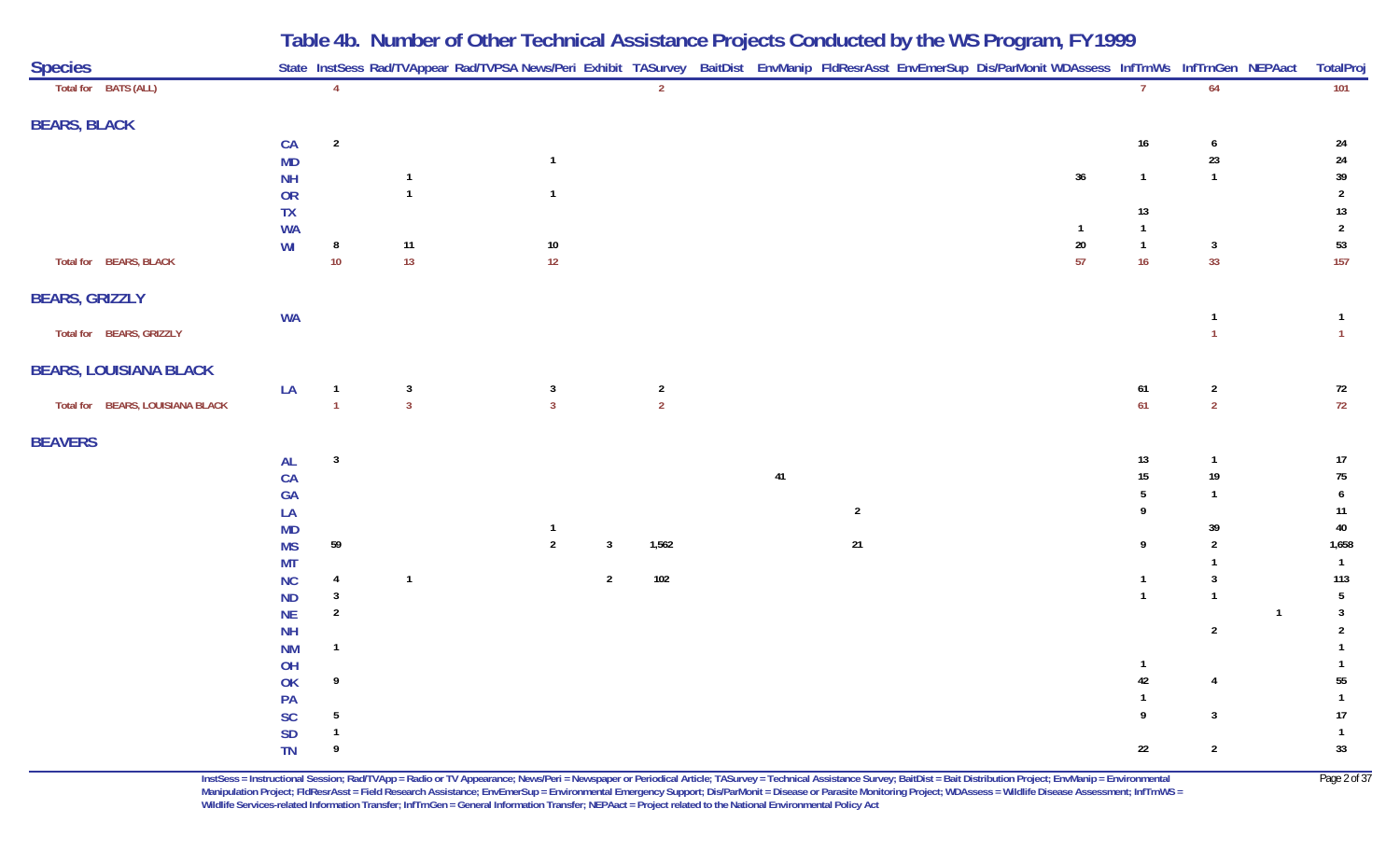| <b>Species</b>                   |               |                         |                |                         |                |                |    |                | State InstSess Rad/TVAppear Rad/TVPSA News/Peri Exhibit TASurvey BaitDist EnvManip FldResrAsst EnvEmerSup Dis/ParMonit WDAssess InfTrnWs InfTrnGen NEPAact |                  |                |              | TotalPro         |
|----------------------------------|---------------|-------------------------|----------------|-------------------------|----------------|----------------|----|----------------|------------------------------------------------------------------------------------------------------------------------------------------------------------|------------------|----------------|--------------|------------------|
| Total for BATS (ALL)             |               | $\overline{4}$          |                |                         |                | $\overline{2}$ |    |                |                                                                                                                                                            | $\overline{7}$   | 64             |              | 101              |
| <b>BEARS, BLACK</b>              |               |                         |                |                         |                |                |    |                |                                                                                                                                                            |                  |                |              |                  |
|                                  | CA            | $\overline{\mathbf{2}}$ |                |                         |                |                |    |                |                                                                                                                                                            | $16\,$           | $\pmb{6}$      |              | 24               |
|                                  | MD            |                         |                | $\overline{1}$          |                |                |    |                |                                                                                                                                                            |                  | $23\,$         |              | ${\bf 24}$       |
|                                  | <b>NH</b>     |                         | $\overline{1}$ |                         |                |                |    |                | $36\,$                                                                                                                                                     | $\overline{1}$   | $\overline{1}$ |              | 39               |
|                                  | OR            |                         | $\mathbf{1}$   | $\overline{1}$          |                |                |    |                |                                                                                                                                                            |                  |                |              | $\overline{2}$   |
|                                  | ${\sf TX}$    |                         |                |                         |                |                |    |                |                                                                                                                                                            | 13               |                |              | $13\,$           |
|                                  | <b>WA</b>     |                         |                |                         |                |                |    |                | -1                                                                                                                                                         | $\mathbf{1}$     |                |              | $\overline{2}$   |
|                                  | WI            | 8                       | $11$           | $10\,$                  |                |                |    |                | $20\,$                                                                                                                                                     | $\overline{1}$   | $\overline{3}$ |              | 53               |
| Total for BEARS, BLACK           |               | $10$                    | 13             | 12                      |                |                |    |                | 57                                                                                                                                                         | 16               | 33             |              | 157              |
| <b>BEARS, GRIZZLY</b>            |               |                         |                |                         |                |                |    |                |                                                                                                                                                            |                  |                |              |                  |
|                                  | <b>WA</b>     |                         |                |                         |                |                |    |                |                                                                                                                                                            |                  | $\mathbf{1}$   |              | $\overline{1}$   |
| Total for BEARS, GRIZZLY         |               |                         |                |                         |                |                |    |                |                                                                                                                                                            |                  | $\overline{1}$ |              | $\overline{1}$   |
| <b>BEARS, LOUISIANA BLACK</b>    |               |                         |                |                         |                |                |    |                |                                                                                                                                                            |                  |                |              |                  |
|                                  | LA            | $\overline{1}$          | $\mathbf{3}$   | $\overline{\mathbf{3}}$ |                | $\overline{2}$ |    |                |                                                                                                                                                            | $61\,$           | $\overline{2}$ |              | 72               |
| Total for BEARS, LOUISIANA BLACK |               | $\overline{1}$          | $\overline{3}$ | $\overline{3}$          |                | $\overline{2}$ |    |                |                                                                                                                                                            | 61               | $\overline{2}$ |              | 72               |
| <b>BEAVERS</b>                   |               |                         |                |                         |                |                |    |                |                                                                                                                                                            |                  |                |              |                  |
|                                  | $\mathsf{AL}$ | $\overline{\mathbf{3}}$ |                |                         |                |                |    |                |                                                                                                                                                            | 13               | $\overline{1}$ |              | $17$             |
|                                  | CA            |                         |                |                         |                |                | 41 |                |                                                                                                                                                            | $15\,$           | $19\,$         |              | $75\,$           |
|                                  | <b>GA</b>     |                         |                |                         |                |                |    |                |                                                                                                                                                            | 5                | $\overline{1}$ |              | $\boldsymbol{6}$ |
|                                  | LA            |                         |                |                         |                |                |    | $\overline{2}$ |                                                                                                                                                            | 9                |                |              | $11$             |
|                                  | MD            |                         |                | $\mathbf{1}$            |                |                |    |                |                                                                                                                                                            |                  | 39             |              | $40\,$           |
|                                  | <b>MS</b>     | $59\,$                  |                | $\overline{2}$          | $\mathbf{3}$   | 1,562          |    | 21             |                                                                                                                                                            | $\boldsymbol{9}$ | $\sqrt{2}$     |              | 1,658            |
|                                  | <b>MT</b>     |                         |                |                         |                |                |    |                |                                                                                                                                                            |                  |                |              | $\overline{1}$   |
|                                  | NC            | $\overline{4}$          | $\mathbf{1}$   |                         | $\overline{2}$ | 102            |    |                |                                                                                                                                                            | $\mathbf{1}$     | 3              |              | 113              |
|                                  | <b>ND</b>     | $\overline{\mathbf{3}}$ |                |                         |                |                |    |                |                                                                                                                                                            | $\mathbf{1}$     | $\mathbf{1}$   |              | $\overline{5}$   |
|                                  | $\sf NE$      | $\overline{2}$          |                |                         |                |                |    |                |                                                                                                                                                            |                  |                | $\mathbf{1}$ | $\mathbf{3}$     |
|                                  | <b>NH</b>     |                         |                |                         |                |                |    |                |                                                                                                                                                            |                  | $\sqrt{2}$     |              | $\overline{2}$   |
|                                  | <b>NM</b>     | $\overline{1}$          |                |                         |                |                |    |                |                                                                                                                                                            |                  |                |              | $\mathbf{1}$     |
|                                  | OH            |                         |                |                         |                |                |    |                |                                                                                                                                                            | $\overline{1}$   |                |              |                  |
|                                  | OK            | 9                       |                |                         |                |                |    |                |                                                                                                                                                            | $42\,$           | $\overline{4}$ |              | 55               |
|                                  | PA            |                         |                |                         |                |                |    |                |                                                                                                                                                            | $\mathbf{1}$     |                |              | $\overline{1}$   |
|                                  | $\mathsf{SC}$ | $5\phantom{.0}$         |                |                         |                |                |    |                |                                                                                                                                                            | 9                | $\mathbf{3}$   |              | $17$             |
|                                  | $\mathsf{SD}$ | $\overline{1}$          |                |                         |                |                |    |                |                                                                                                                                                            |                  |                |              | $\overline{1}$   |
|                                  | TN            | 9                       |                |                         |                |                |    |                |                                                                                                                                                            | $22\,$           | $\sqrt{2}$     |              | 33               |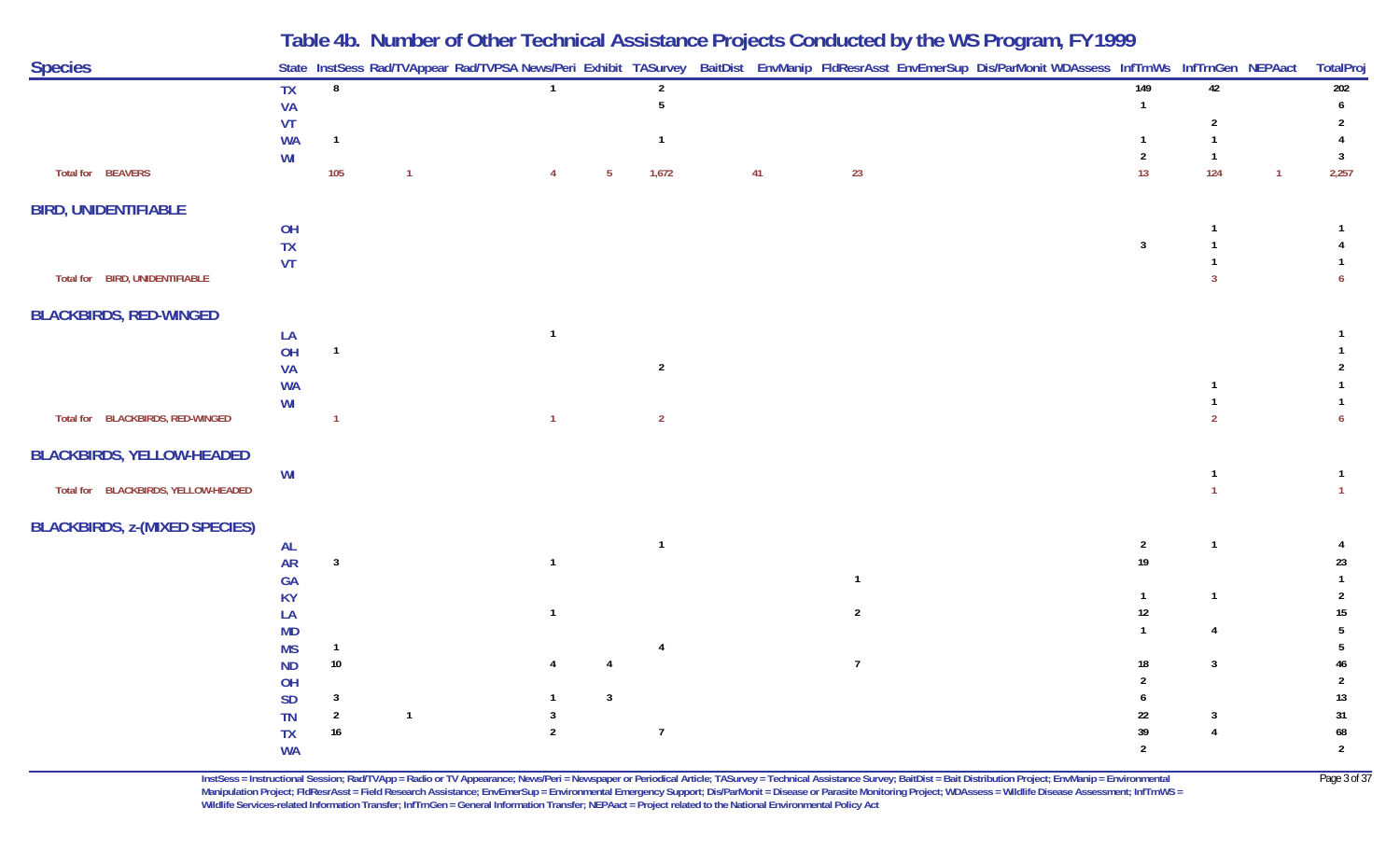| <b>Species</b><br>State InstSess Rad/TVAppear Rad/TVPSA News/Peri Exhibit TASurvey BaitDist EnvManip FIdResrAsst EnvEmerSup Dis/ParMonit WDAssess InfTrnWs InfTrnGen NEPAact<br>149<br>42<br>8<br><b>TX</b><br>$\overline{2}$<br>5<br><b>VA</b><br>$\mathbf{1}$<br>VT<br>2<br><b>WA</b><br>$\mathbf{1}$<br>$\mathbf{1}$<br>-1<br>$\overline{2}$<br>WI<br>$\overline{1}$<br>Total for BEAVERS<br>105<br>1,672<br>23<br>13<br>124<br>41<br>1<br>$5\phantom{.0}$<br>$\overline{4}$<br><b>BIRD, UNIDENTIFIABLE</b> |                      |
|----------------------------------------------------------------------------------------------------------------------------------------------------------------------------------------------------------------------------------------------------------------------------------------------------------------------------------------------------------------------------------------------------------------------------------------------------------------------------------------------------------------|----------------------|
|                                                                                                                                                                                                                                                                                                                                                                                                                                                                                                                | TotalProj            |
|                                                                                                                                                                                                                                                                                                                                                                                                                                                                                                                | 202                  |
|                                                                                                                                                                                                                                                                                                                                                                                                                                                                                                                |                      |
|                                                                                                                                                                                                                                                                                                                                                                                                                                                                                                                | -3<br>2,257          |
|                                                                                                                                                                                                                                                                                                                                                                                                                                                                                                                |                      |
| OH<br>-1<br>TX<br>$\overline{3}$                                                                                                                                                                                                                                                                                                                                                                                                                                                                               |                      |
| <b>VT</b><br>Total for BIRD, UNIDENTIFIABLE                                                                                                                                                                                                                                                                                                                                                                                                                                                                    |                      |
| <b>BLACKBIRDS, RED-WINGED</b>                                                                                                                                                                                                                                                                                                                                                                                                                                                                                  |                      |
| LA<br>OH<br>$\overline{1}$                                                                                                                                                                                                                                                                                                                                                                                                                                                                                     |                      |
| $\sqrt{2}$<br><b>VA</b>                                                                                                                                                                                                                                                                                                                                                                                                                                                                                        |                      |
| <b>WA</b><br>WI                                                                                                                                                                                                                                                                                                                                                                                                                                                                                                |                      |
| Total for BLACKBIRDS, RED-WINGED<br>$\overline{2}$<br>$\overline{1}$                                                                                                                                                                                                                                                                                                                                                                                                                                           |                      |
| <b>BLACKBIRDS, YELLOW-HEADED</b>                                                                                                                                                                                                                                                                                                                                                                                                                                                                               |                      |
| WI<br>Total for BLACKBIRDS, YELLOW-HEADED                                                                                                                                                                                                                                                                                                                                                                                                                                                                      |                      |
| <b>BLACKBIRDS, z-(MIXED SPECIES)</b>                                                                                                                                                                                                                                                                                                                                                                                                                                                                           |                      |
| $\overline{1}$<br>$\overline{2}$<br><b>AL</b><br>$\overline{1}$<br>$19$<br>$\overline{\mathbf{3}}$<br><b>AR</b><br>$\overline{\mathbf{1}}$                                                                                                                                                                                                                                                                                                                                                                     | 23                   |
| GA                                                                                                                                                                                                                                                                                                                                                                                                                                                                                                             |                      |
| <b>KY</b><br>$\mathbf{1}$<br>$\mathbf{1}$<br>$12\,$<br>$\overline{2}$<br>LA                                                                                                                                                                                                                                                                                                                                                                                                                                    | 15                   |
| <b>MD</b><br>$\overline{4}$<br>$\mathbf{1}$                                                                                                                                                                                                                                                                                                                                                                                                                                                                    |                      |
| <b>MS</b><br>$\mathbf{1}$<br>4<br>$10\,$<br>$\overline{7}$<br>$\mathbf{3}$<br><b>ND</b><br>18                                                                                                                                                                                                                                                                                                                                                                                                                  |                      |
| OH                                                                                                                                                                                                                                                                                                                                                                                                                                                                                                             |                      |
| $\mathbf{3}$<br>$\mathbf{3}$<br><b>SD</b><br>$\sqrt{2}$<br>22<br>$\overline{1}$<br><b>TN</b><br>-3                                                                                                                                                                                                                                                                                                                                                                                                             | 13<br>31             |
| 16<br>$\overline{7}$<br>39<br><b>TX</b><br>$\overline{2}$<br>$\mathfrak{p}$<br><b>WA</b>                                                                                                                                                                                                                                                                                                                                                                                                                       | 68<br>$\overline{2}$ |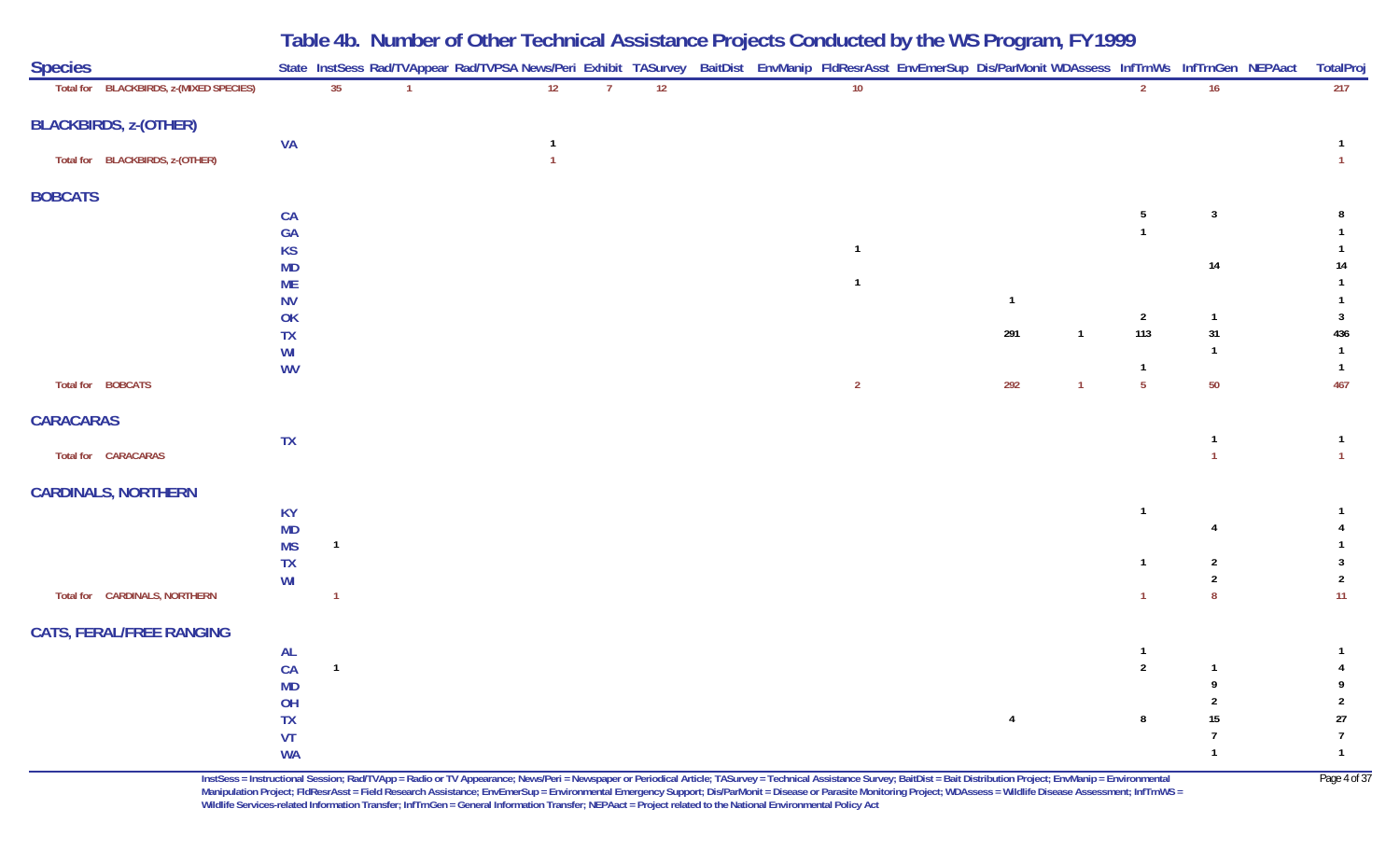| <b>Species</b>   |                                         |                        |              |              | State InstSess Rad/TVAppear Rad/TVPSA News/Peri Exhibit TASurvey BaitDist EnvManip FldResrAsst EnvEmerSup Dis/ParMonit WDAssess InfTrnWs InfTrnGen NEPAact |                |    |  |                 |                |                |                       |                                  | TotalProj             |
|------------------|-----------------------------------------|------------------------|--------------|--------------|------------------------------------------------------------------------------------------------------------------------------------------------------------|----------------|----|--|-----------------|----------------|----------------|-----------------------|----------------------------------|-----------------------|
|                  | Total for BLACKBIRDS, z-(MIXED SPECIES) |                        | 35           | $\mathbf{1}$ | 12                                                                                                                                                         | $\overline{7}$ | 12 |  | 10 <sup>°</sup> |                |                | $\overline{2}$        | 16                               | 217                   |
|                  | <b>BLACKBIRDS, z-(OTHER)</b>            |                        |              |              |                                                                                                                                                            |                |    |  |                 |                |                |                       |                                  |                       |
|                  |                                         | <b>VA</b>              |              |              |                                                                                                                                                            |                |    |  |                 |                |                |                       |                                  |                       |
|                  | Total for BLACKBIRDS, z-(OTHER)         |                        |              |              |                                                                                                                                                            |                |    |  |                 |                |                |                       |                                  |                       |
| <b>BOBCATS</b>   |                                         |                        |              |              |                                                                                                                                                            |                |    |  |                 |                |                |                       |                                  |                       |
|                  |                                         | CA                     |              |              |                                                                                                                                                            |                |    |  |                 |                |                | 5                     | $\mathbf{3}$                     | 8                     |
|                  |                                         | <b>GA</b>              |              |              |                                                                                                                                                            |                |    |  |                 |                |                |                       |                                  |                       |
|                  |                                         | <b>KS</b>              |              |              |                                                                                                                                                            |                |    |  |                 |                |                |                       | 14                               | 14                    |
|                  |                                         | <b>MD</b><br><b>ME</b> |              |              |                                                                                                                                                            |                |    |  | -1              |                |                |                       |                                  |                       |
|                  |                                         | <b>NV</b>              |              |              |                                                                                                                                                            |                |    |  |                 | $\overline{1}$ |                |                       |                                  |                       |
|                  |                                         | OK                     |              |              |                                                                                                                                                            |                |    |  |                 |                |                | $\overline{2}$        | $\mathbf{1}$                     | $\overline{3}$        |
|                  |                                         | TX                     |              |              |                                                                                                                                                            |                |    |  |                 | 291            | $\overline{1}$ | 113                   | 31                               | 436                   |
|                  |                                         | WI                     |              |              |                                                                                                                                                            |                |    |  |                 |                |                |                       | $\mathbf{1}$                     | $\overline{1}$        |
|                  | Total for BOBCATS                       | <b>WV</b>              |              |              |                                                                                                                                                            |                |    |  | $\overline{2}$  | 292            | $\mathbf{1}$   | -1<br>$5\phantom{.0}$ | 50                               | $\overline{1}$<br>467 |
|                  |                                         |                        |              |              |                                                                                                                                                            |                |    |  |                 |                |                |                       |                                  |                       |
| <b>CARACARAS</b> |                                         |                        |              |              |                                                                                                                                                            |                |    |  |                 |                |                |                       |                                  |                       |
|                  |                                         | TX                     |              |              |                                                                                                                                                            |                |    |  |                 |                |                |                       | $\mathbf{1}$                     |                       |
|                  | Total for CARACARAS                     |                        |              |              |                                                                                                                                                            |                |    |  |                 |                |                |                       | $\overline{1}$                   | $\overline{1}$        |
|                  | <b>CARDINALS, NORTHERN</b>              |                        |              |              |                                                                                                                                                            |                |    |  |                 |                |                |                       |                                  |                       |
|                  |                                         | <b>KY</b>              |              |              |                                                                                                                                                            |                |    |  |                 |                |                |                       |                                  |                       |
|                  |                                         | <b>MD</b>              |              |              |                                                                                                                                                            |                |    |  |                 |                |                |                       |                                  |                       |
|                  |                                         | <b>MS</b>              | $\mathbf{1}$ |              |                                                                                                                                                            |                |    |  |                 |                |                |                       |                                  |                       |
|                  |                                         | <b>TX</b>              |              |              |                                                                                                                                                            |                |    |  |                 |                |                | $\mathbf{1}$          | $\overline{2}$<br>$\overline{2}$ | $\overline{2}$        |
|                  | Total for CARDINALS, NORTHERN           | WI                     | $\mathbf{1}$ |              |                                                                                                                                                            |                |    |  |                 |                |                |                       | 8                                | 11 <sub>1</sub>       |
|                  |                                         |                        |              |              |                                                                                                                                                            |                |    |  |                 |                |                |                       |                                  |                       |
|                  | <b>CATS, FERAL/FREE RANGING</b>         |                        |              |              |                                                                                                                                                            |                |    |  |                 |                |                |                       |                                  |                       |
|                  |                                         | <b>AL</b>              |              |              |                                                                                                                                                            |                |    |  |                 |                |                | -1                    |                                  |                       |
|                  |                                         | CA                     | $\mathbf{1}$ |              |                                                                                                                                                            |                |    |  |                 |                |                | $\overline{2}$        |                                  |                       |
|                  |                                         | MD                     |              |              |                                                                                                                                                            |                |    |  |                 |                |                |                       |                                  |                       |
|                  |                                         | OH<br><b>TX</b>        |              |              |                                                                                                                                                            |                |    |  |                 | $\overline{4}$ |                | 8                     | 15                               | $27\,$                |
|                  |                                         | VT                     |              |              |                                                                                                                                                            |                |    |  |                 |                |                |                       | 7                                |                       |
|                  |                                         | <b>WA</b>              |              |              |                                                                                                                                                            |                |    |  |                 |                |                |                       | $\mathbf{1}$                     | $\mathbf{1}$          |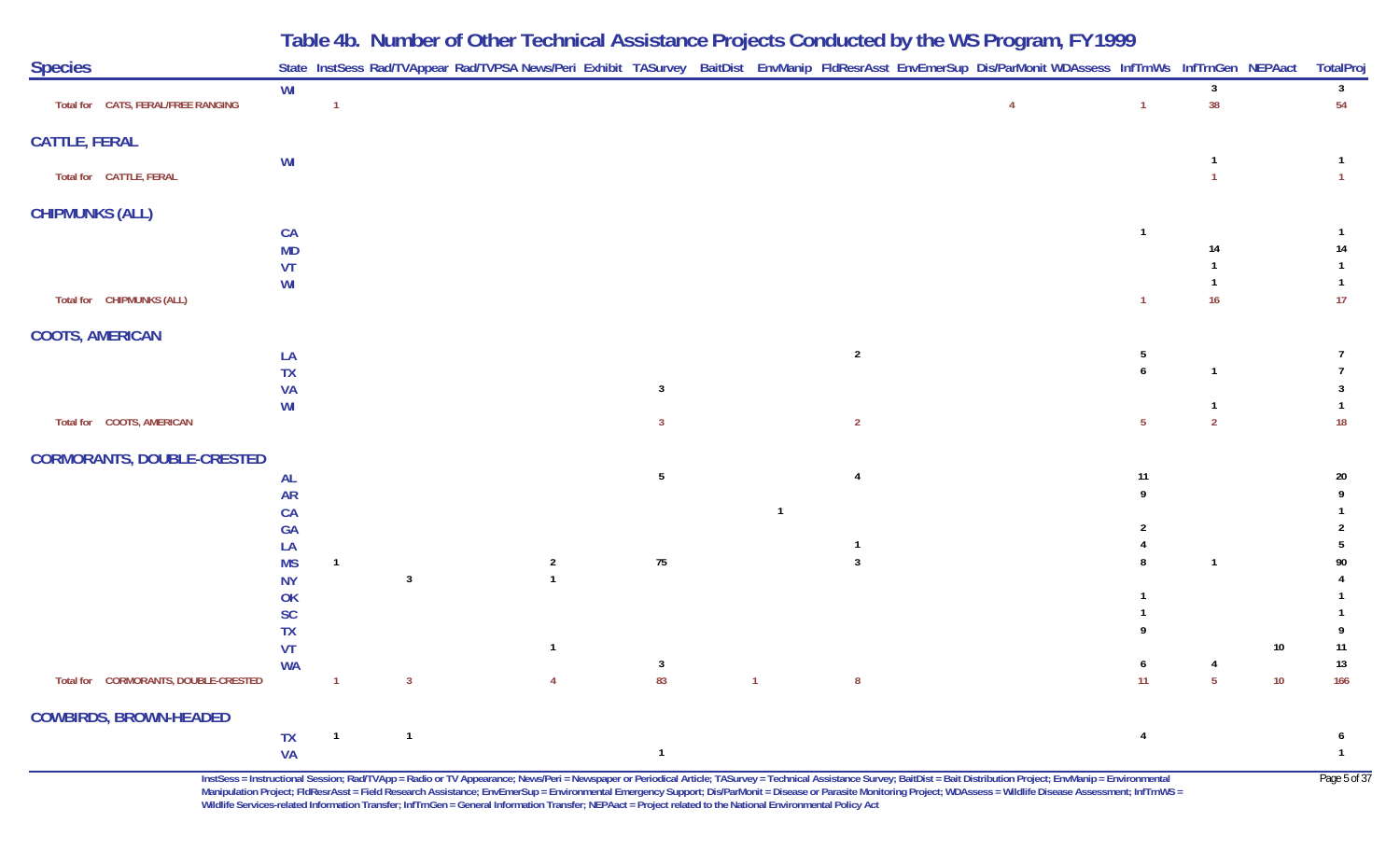|                                      |                        |                |                |                |                |              |                | Table 4b. Number of Other Technical Assistance Projects Conducted by the WS Program, FY 1999                                                               |    |                |                    |
|--------------------------------------|------------------------|----------------|----------------|----------------|----------------|--------------|----------------|------------------------------------------------------------------------------------------------------------------------------------------------------------|----|----------------|--------------------|
| <b>Species</b>                       |                        |                |                |                |                |              |                | State InstSess Rad/TVAppear Rad/TVPSA News/Peri Exhibit TASurvey BaitDist EnvManip FldResrAsst EnvEmerSup Dis/ParMonit WDAssess InfTrnWs InfTrnGen NEPAact |    |                | TotalPro           |
| Total for CATS, FERAL/FREE RANGING   | WI                     |                |                |                |                |              |                | $\overline{4}$                                                                                                                                             | 1  | 38             | $\mathbf{3}$<br>54 |
| <b>CATTLE, FERAL</b>                 |                        |                |                |                |                |              |                |                                                                                                                                                            |    |                |                    |
| Total for CATTLE, FERAL              | WI                     |                |                |                |                |              |                |                                                                                                                                                            |    |                |                    |
| <b>CHIPMUNKS (ALL)</b>               |                        |                |                |                |                |              |                |                                                                                                                                                            |    |                |                    |
|                                      | CA<br><b>MD</b>        |                |                |                |                |              |                |                                                                                                                                                            |    | 14             | 14                 |
|                                      | VT                     |                |                |                |                |              |                |                                                                                                                                                            |    |                |                    |
| Total for CHIPMUNKS (ALL)            | WI                     |                |                |                |                |              |                |                                                                                                                                                            |    | 16             | 17                 |
| <b>COOTS, AMERICAN</b>               |                        |                |                |                |                |              |                |                                                                                                                                                            |    |                |                    |
|                                      | LA                     |                |                |                |                |              | $\overline{2}$ |                                                                                                                                                            | 5  |                |                    |
|                                      | <b>TX</b>              |                |                |                |                |              |                |                                                                                                                                                            |    |                |                    |
|                                      | <b>VA</b><br>WI        |                |                |                | -3             |              |                |                                                                                                                                                            |    |                |                    |
| Total for COOTS, AMERICAN            |                        |                |                |                | 3              |              | $\overline{2}$ |                                                                                                                                                            | 5  | $\overline{2}$ | 18                 |
| <b>CORMORANTS, DOUBLE-CRESTED</b>    |                        |                |                |                |                |              |                |                                                                                                                                                            |    |                |                    |
|                                      | <b>AL</b>              |                |                |                | 5              |              |                |                                                                                                                                                            | 11 |                | 20                 |
|                                      | <b>AR</b>              |                |                |                |                |              |                |                                                                                                                                                            |    |                |                    |
|                                      | CA<br><b>GA</b>        |                |                |                |                |              |                |                                                                                                                                                            |    |                |                    |
|                                      | LA                     |                |                |                |                |              |                |                                                                                                                                                            |    |                |                    |
|                                      | <b>MS</b>              | $\mathbf{1}$   |                | $\overline{2}$ | 75             |              |                |                                                                                                                                                            |    |                | 90                 |
|                                      | <b>NY</b>              |                | $\overline{3}$ |                |                |              |                |                                                                                                                                                            |    |                |                    |
|                                      | <b>OK</b><br><b>SC</b> |                |                |                |                |              |                |                                                                                                                                                            |    |                |                    |
|                                      | <b>TX</b>              |                |                |                |                |              |                |                                                                                                                                                            |    |                |                    |
|                                      | VT                     |                |                | $\mathbf{1}$   |                |              |                |                                                                                                                                                            |    | 10             | 11                 |
| Total for CORMORANTS, DOUBLE-CRESTED | <b>WA</b>              | $\mathbf{1}$   | $\overline{3}$ | $\overline{4}$ | -3<br>83       | $\mathbf{1}$ | 8              |                                                                                                                                                            | 11 | 5<br>10        | 13<br>166          |
| <b>COWBIRDS, BROWN-HEADED</b>        |                        |                |                |                |                |              |                |                                                                                                                                                            |    |                |                    |
|                                      | <b>TX</b>              | $\overline{1}$ | $\mathbf{1}$   |                |                |              |                |                                                                                                                                                            | 4  |                |                    |
|                                      | <b>VA</b>              |                |                |                | $\overline{1}$ |              |                |                                                                                                                                                            |    |                | $\mathbf{1}$       |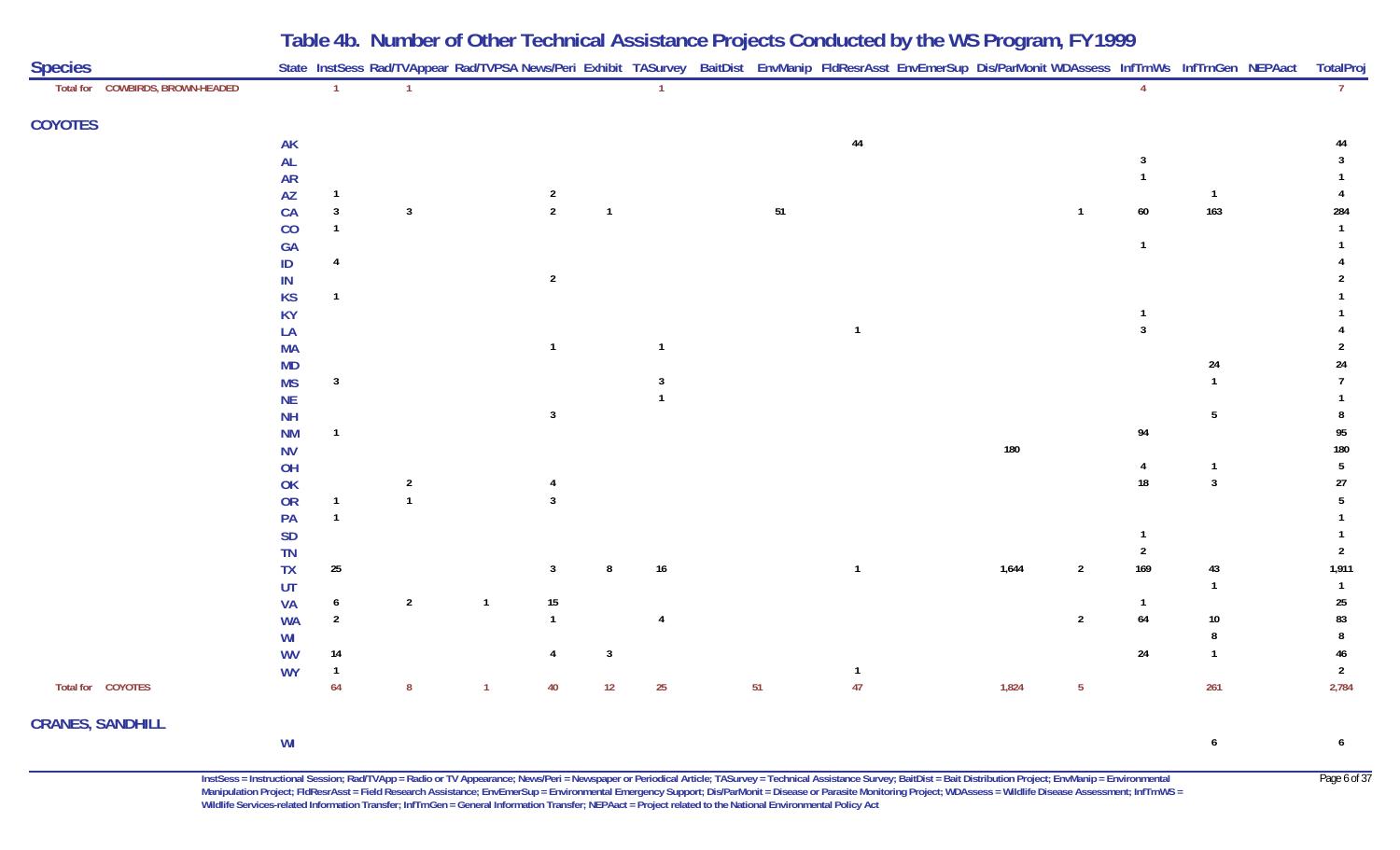**Table 4b. Number of Other Technical Assistance Projects Conducted by the WS Program, FY 1999**

| <b>Species</b>                   |               |                  |                | State InstSess Rad/TVAppear Rad/TVPSA News/Peri Exhibit TASurvey BaitDist EnvManip FldResrAsst EnvEmerSup Dis/ParMonit WDAssess InfTrnWs InfTrnGen NEPAact |                |              |                  |        |                |       |                 |                |                 | TotalPro        |
|----------------------------------|---------------|------------------|----------------|------------------------------------------------------------------------------------------------------------------------------------------------------------|----------------|--------------|------------------|--------|----------------|-------|-----------------|----------------|-----------------|-----------------|
| Total for COWBIRDS, BROWN-HEADED |               | $\mathbf{1}$     |                |                                                                                                                                                            |                |              | $\overline{1}$   |        |                |       |                 |                |                 | 7 <sup>7</sup>  |
| <b>COYOTES</b>                   |               |                  |                |                                                                                                                                                            |                |              |                  |        |                |       |                 |                |                 |                 |
|                                  | AK            |                  |                |                                                                                                                                                            |                |              |                  |        | $44\,$         |       |                 |                |                 |                 |
|                                  | $\mathsf{AL}$ |                  |                |                                                                                                                                                            |                |              |                  |        |                |       |                 |                |                 |                 |
|                                  | <b>AR</b>     |                  |                |                                                                                                                                                            |                |              |                  |        |                |       |                 |                |                 |                 |
|                                  | AZ            | $\overline{1}$   |                |                                                                                                                                                            | $\overline{2}$ |              |                  |        |                |       |                 |                | $\mathbf{1}$    |                 |
|                                  | CA            | $\mathbf{3}$     | $\mathbf{3}$   |                                                                                                                                                            | $\overline{2}$ | $\mathbf{1}$ |                  | $51\,$ |                |       |                 | 60             | 163             | 284             |
|                                  | CO            | $\overline{1}$   |                |                                                                                                                                                            |                |              |                  |        |                |       |                 |                |                 |                 |
|                                  | <b>GA</b>     |                  |                |                                                                                                                                                            |                |              |                  |        |                |       |                 | $\overline{1}$ |                 |                 |
|                                  | ID            | $\overline{4}$   |                |                                                                                                                                                            |                |              |                  |        |                |       |                 |                |                 |                 |
|                                  | IN            |                  |                |                                                                                                                                                            | $\overline{2}$ |              |                  |        |                |       |                 |                |                 |                 |
|                                  | <b>KS</b>     | -1               |                |                                                                                                                                                            |                |              |                  |        |                |       |                 |                |                 |                 |
|                                  | <b>KY</b>     |                  |                |                                                                                                                                                            |                |              |                  |        |                |       |                 |                |                 |                 |
|                                  | LA            |                  |                |                                                                                                                                                            |                |              |                  |        | $\overline{1}$ |       |                 | $\mathbf{3}$   |                 |                 |
|                                  | <b>MA</b>     |                  |                |                                                                                                                                                            | $\mathbf{1}$   |              | $\overline{1}$   |        |                |       |                 |                |                 |                 |
|                                  | <b>MD</b>     |                  |                |                                                                                                                                                            |                |              |                  |        |                |       |                 |                | 24              | 24              |
|                                  | <b>MS</b>     | $\overline{3}$   |                |                                                                                                                                                            |                |              | 3                |        |                |       |                 |                |                 |                 |
|                                  | <b>NE</b>     |                  |                |                                                                                                                                                            |                |              |                  |        |                |       |                 |                |                 |                 |
|                                  | NH            |                  |                |                                                                                                                                                            | $\overline{3}$ |              |                  |        |                |       |                 |                | $5\phantom{.0}$ | 8               |
|                                  | <b>NM</b>     | $\mathbf{1}$     |                |                                                                                                                                                            |                |              |                  |        |                |       |                 | 94             |                 | 95              |
|                                  | <b>NV</b>     |                  |                |                                                                                                                                                            |                |              |                  |        |                | 180   |                 |                |                 | 180             |
|                                  | OH            |                  |                |                                                                                                                                                            |                |              |                  |        |                |       |                 | 4              | -1              | $5\phantom{.0}$ |
|                                  | OK            |                  | $\overline{2}$ |                                                                                                                                                            | 4              |              |                  |        |                |       |                 | 18             | $\overline{3}$  | $27\,$          |
|                                  | OR            | $\overline{1}$   | $\overline{1}$ |                                                                                                                                                            | $\overline{3}$ |              |                  |        |                |       |                 |                |                 | 5               |
|                                  | PA            | $\overline{1}$   |                |                                                                                                                                                            |                |              |                  |        |                |       |                 |                |                 |                 |
|                                  | SD            |                  |                |                                                                                                                                                            |                |              |                  |        |                |       |                 |                |                 |                 |
|                                  | TN            |                  |                |                                                                                                                                                            |                |              |                  |        |                |       |                 | 2              |                 | $\overline{2}$  |
|                                  | $T\mathsf{X}$ | 25               |                |                                                                                                                                                            | $\overline{3}$ | 8            | $16\,$           |        |                | 1,644 | $\overline{2}$  | 169            | 43              | 1,911           |
|                                  | UT            |                  |                |                                                                                                                                                            |                |              |                  |        |                |       |                 |                | $\mathbf{1}$    | $\overline{1}$  |
|                                  | <b>VA</b>     | $\boldsymbol{6}$ | $\overline{2}$ | $\overline{1}$                                                                                                                                             | 15             |              |                  |        |                |       |                 |                |                 | $25\,$          |
|                                  | <b>WA</b>     | $\overline{2}$   |                |                                                                                                                                                            | $\mathbf{1}$   |              | $\overline{4}$   |        |                |       | $\overline{2}$  | $\bf 64$       | $10\,$          | 83              |
|                                  | WI            |                  |                |                                                                                                                                                            |                |              |                  |        |                |       |                 |                | 8               | 8               |
|                                  | <b>WV</b>     | 14               |                |                                                                                                                                                            | 4              | $\mathbf{3}$ |                  |        |                |       |                 | $24\,$         | $\overline{1}$  | 46              |
|                                  | <b>WY</b>     | $\overline{1}$   |                |                                                                                                                                                            |                |              |                  |        | $\mathbf{1}$   |       |                 |                |                 | $\overline{2}$  |
| Total for COYOTES                |               | 64               | 8              | $\overline{1}$                                                                                                                                             | 40             | $12$         | $25\phantom{.0}$ | 51     | 47             | 1,824 | $5\phantom{.0}$ |                | 261             | 2,784           |
| <b>CRANES, SANDHILL</b>          |               |                  |                |                                                                                                                                                            |                |              |                  |        |                |       |                 |                |                 |                 |
|                                  | WI            |                  |                |                                                                                                                                                            |                |              |                  |        |                |       |                 |                | 6               | 6               |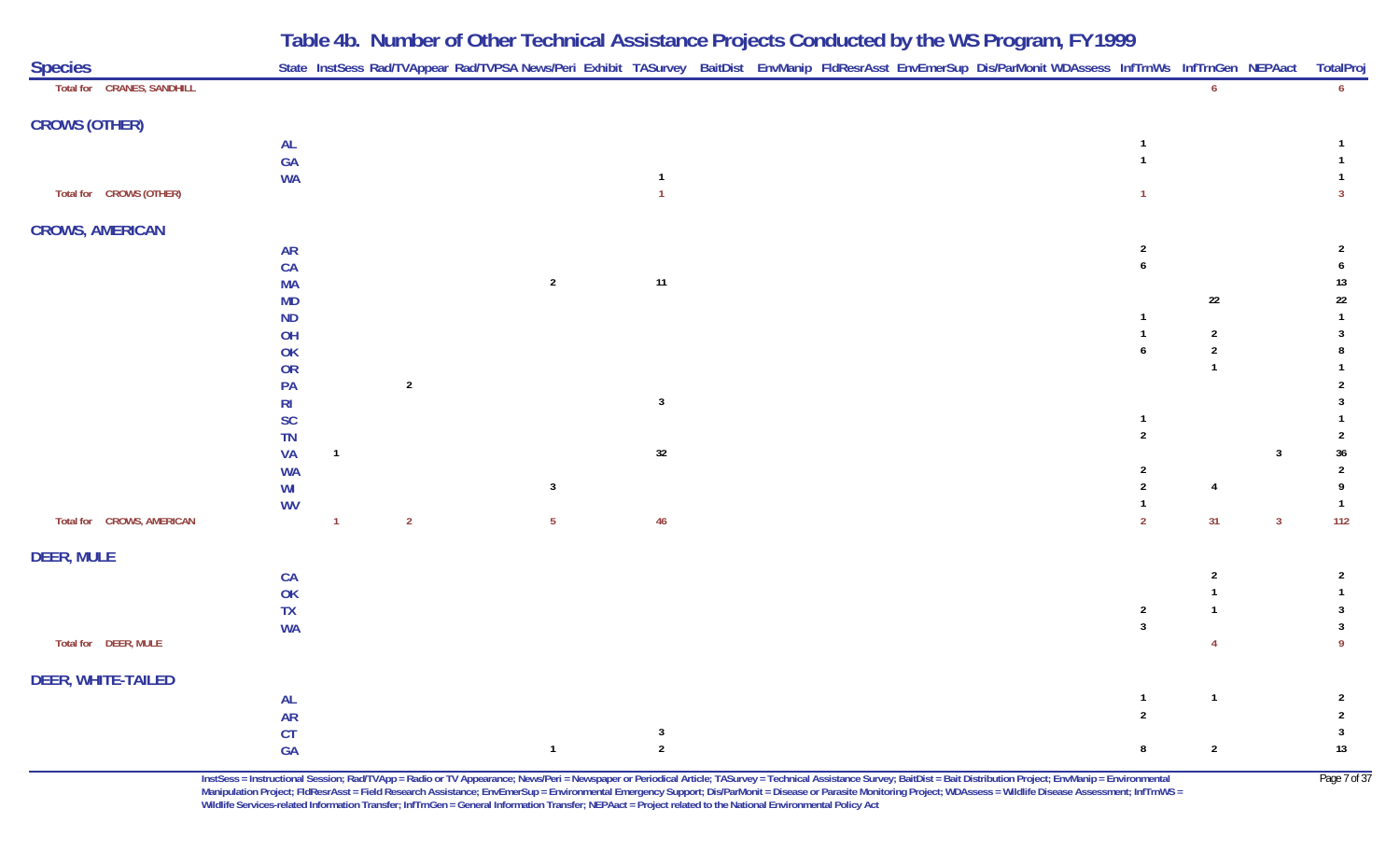| <b>Species</b>             |                |                |                |                 |                         |  |  | State InstSess Rad/TVAppear Rad/TVPSA News/Peri Exhibit TASurvey BaitDist EnvManip FldResrAsst EnvEmerSup Dis/ParMonit WDAssess InfTrnWs InfTrnGen NEPAact TotalPro |                                    |                              |                |                     |
|----------------------------|----------------|----------------|----------------|-----------------|-------------------------|--|--|---------------------------------------------------------------------------------------------------------------------------------------------------------------------|------------------------------------|------------------------------|----------------|---------------------|
| Total for CRANES, SANDHILL |                |                |                |                 |                         |  |  |                                                                                                                                                                     |                                    | 6 <sup>6</sup>               |                | $6\overline{6}$     |
| <b>CROWS (OTHER)</b>       |                |                |                |                 |                         |  |  |                                                                                                                                                                     |                                    |                              |                |                     |
|                            | <b>AL</b>      |                |                |                 |                         |  |  |                                                                                                                                                                     | -1                                 |                              |                |                     |
|                            | GA             |                |                |                 |                         |  |  |                                                                                                                                                                     | $\overline{1}$                     |                              |                |                     |
|                            | <b>WA</b>      |                |                |                 | $\overline{1}$          |  |  |                                                                                                                                                                     |                                    |                              |                |                     |
| Total for CROWS (OTHER)    |                |                |                |                 | $\overline{1}$          |  |  |                                                                                                                                                                     |                                    |                              |                | $\overline{3}$      |
| <b>CROWS, AMERICAN</b>     |                |                |                |                 |                         |  |  |                                                                                                                                                                     |                                    |                              |                |                     |
|                            | <b>AR</b>      |                |                |                 |                         |  |  |                                                                                                                                                                     | $\overline{2}$                     |                              |                | $\overline{2}$      |
|                            | CA             |                |                |                 |                         |  |  |                                                                                                                                                                     | 6                                  |                              |                | 6                   |
|                            | <b>MA</b>      |                |                | $\sqrt{2}$      | 11                      |  |  |                                                                                                                                                                     |                                    |                              |                | 13                  |
|                            | <b>MD</b>      |                |                |                 |                         |  |  |                                                                                                                                                                     |                                    | 22                           |                | $22\,$              |
|                            | <b>ND</b>      |                |                |                 |                         |  |  |                                                                                                                                                                     |                                    |                              |                | $\mathbf{1}$        |
|                            | OH<br>OK       |                |                |                 |                         |  |  |                                                                                                                                                                     | $\overline{1}$<br>$\boldsymbol{6}$ | $\overline{2}$<br>$\sqrt{2}$ |                | $\overline{3}$<br>8 |
|                            | OR             |                |                |                 |                         |  |  |                                                                                                                                                                     |                                    | $\overline{1}$               |                |                     |
|                            | PA             |                | $\sqrt{2}$     |                 |                         |  |  |                                                                                                                                                                     |                                    |                              |                |                     |
|                            | R <sub>l</sub> |                |                |                 | $\overline{\mathbf{3}}$ |  |  |                                                                                                                                                                     |                                    |                              |                | 3                   |
|                            | <b>SC</b>      |                |                |                 |                         |  |  |                                                                                                                                                                     | -1                                 |                              |                |                     |
|                            | TN             |                |                |                 |                         |  |  |                                                                                                                                                                     | $\overline{2}$                     |                              |                | $\overline{2}$      |
|                            | <b>VA</b>      | $\overline{1}$ |                |                 | 32                      |  |  |                                                                                                                                                                     |                                    |                              | $\mathbf{3}$   | $36\,$              |
|                            | <b>WA</b>      |                |                |                 |                         |  |  |                                                                                                                                                                     | 2                                  |                              |                | $\overline{2}$      |
|                            | WI             |                |                | $\mathbf{3}$    |                         |  |  |                                                                                                                                                                     | $\boldsymbol{2}$                   | $\overline{4}$               |                | 9                   |
|                            | <b>WV</b>      |                |                |                 |                         |  |  |                                                                                                                                                                     | $\mathbf{1}$                       |                              |                | $\overline{1}$      |
| Total for CROWS, AMERICAN  |                | $\overline{1}$ | $\overline{2}$ | $5\phantom{.0}$ | 46                      |  |  |                                                                                                                                                                     | $\overline{2}$                     | 31                           | 3 <sup>1</sup> | $112$               |
| <b>DEER, MULE</b>          |                |                |                |                 |                         |  |  |                                                                                                                                                                     |                                    |                              |                |                     |
|                            | CA             |                |                |                 |                         |  |  |                                                                                                                                                                     |                                    | $\overline{2}$               |                | $\overline{2}$      |
|                            | OK             |                |                |                 |                         |  |  |                                                                                                                                                                     |                                    |                              |                | $\mathbf{1}$        |
|                            | ${\sf TX}$     |                |                |                 |                         |  |  |                                                                                                                                                                     | $\overline{2}$                     |                              |                | $\overline{3}$      |
|                            | <b>WA</b>      |                |                |                 |                         |  |  |                                                                                                                                                                     | $\overline{3}$                     |                              |                | $\mathbf{3}$        |
| Total for DEER, MULE       |                |                |                |                 |                         |  |  |                                                                                                                                                                     |                                    | 4                            |                | 9                   |
| DEER, WHITE-TAILED         |                |                |                |                 |                         |  |  |                                                                                                                                                                     |                                    |                              |                |                     |
|                            | <b>AL</b>      |                |                |                 |                         |  |  |                                                                                                                                                                     | $\overline{1}$                     | $\overline{1}$               |                | $\overline{2}$      |
|                            | <b>AR</b>      |                |                |                 |                         |  |  |                                                                                                                                                                     | $\overline{2}$                     |                              |                | $\overline{2}$      |
|                            | <b>CT</b>      |                |                |                 | $\overline{\mathbf{3}}$ |  |  |                                                                                                                                                                     |                                    |                              |                | $\overline{3}$      |
|                            | GA             |                |                | $\mathbf{1}$    | $\sqrt{2}$              |  |  |                                                                                                                                                                     | 8                                  | $\overline{2}$               |                | $13$                |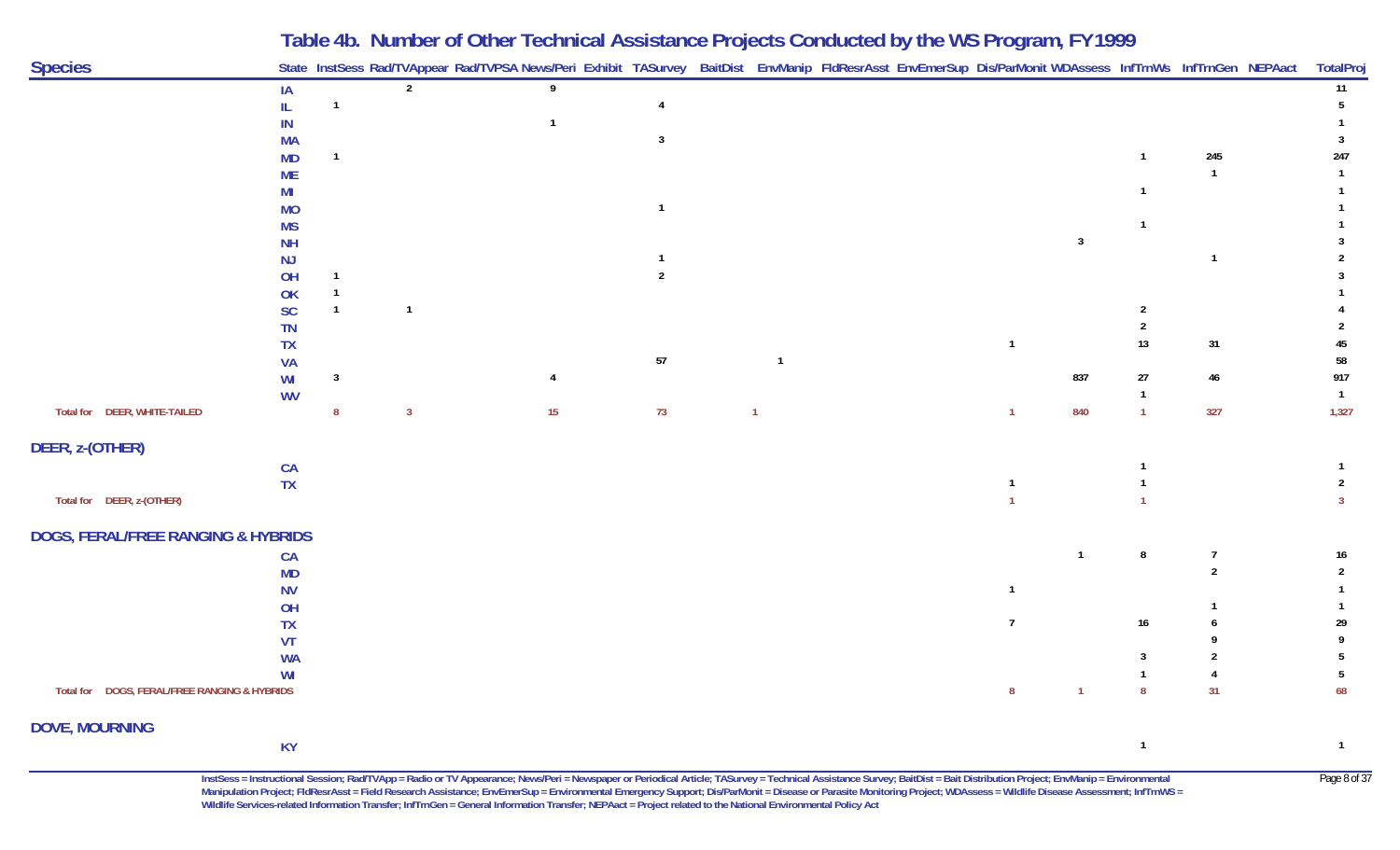| <b>Species</b>                                |                 |                  |                | Table 4D. Number of Other Technical Assistance Projects Conducted by the WS Program, FT 1777<br>State InstSess Rad/TVAppear Rad/TVPSA News/Peri Exhibit TASurvey BaitDist EnvManip FldResrAsst EnvEmerSup Dis/ParMonit WDAssess InfTrnWs InfTrnGen NEPAact |                |                |  |                |                         |                  |                | TotalProj      |
|-----------------------------------------------|-----------------|------------------|----------------|------------------------------------------------------------------------------------------------------------------------------------------------------------------------------------------------------------------------------------------------------------|----------------|----------------|--|----------------|-------------------------|------------------|----------------|----------------|
|                                               | IA              |                  | $\overline{2}$ | 9                                                                                                                                                                                                                                                          |                |                |  |                |                         |                  |                | 11             |
|                                               | IL              | $\mathbf{1}$     |                |                                                                                                                                                                                                                                                            | $\overline{4}$ |                |  |                |                         |                  |                | 5              |
|                                               | $\sf IN$        |                  |                | $\overline{1}$                                                                                                                                                                                                                                             |                |                |  |                |                         |                  |                |                |
|                                               | <b>MA</b>       |                  |                |                                                                                                                                                                                                                                                            | $\mathbf{3}$   |                |  |                |                         |                  |                | 3              |
|                                               | <b>MD</b>       | $\mathbf{1}$     |                |                                                                                                                                                                                                                                                            |                |                |  |                |                         | $\mathbf{1}$     | 245            | 247            |
|                                               | <b>ME</b>       |                  |                |                                                                                                                                                                                                                                                            |                |                |  |                |                         |                  | $\overline{1}$ | $\mathbf{1}$   |
|                                               | MI              |                  |                |                                                                                                                                                                                                                                                            |                |                |  |                |                         | $\mathbf{1}$     |                |                |
|                                               | <b>MO</b>       |                  |                |                                                                                                                                                                                                                                                            | $\overline{1}$ |                |  |                |                         |                  |                |                |
|                                               | <b>MS</b>       |                  |                |                                                                                                                                                                                                                                                            |                |                |  |                |                         | $\overline{1}$   |                |                |
|                                               | <b>NH</b>       |                  |                |                                                                                                                                                                                                                                                            | $\overline{1}$ |                |  |                | $\overline{\mathbf{3}}$ |                  | $\overline{1}$ | $\mathfrak{p}$ |
|                                               | NJ              | $\mathbf{1}$     |                |                                                                                                                                                                                                                                                            | $\overline{2}$ |                |  |                |                         |                  |                |                |
|                                               | OH              |                  |                |                                                                                                                                                                                                                                                            |                |                |  |                |                         |                  |                |                |
|                                               | OK<br><b>SC</b> | $\mathbf{1}$     | $\overline{1}$ |                                                                                                                                                                                                                                                            |                |                |  |                |                         | $\overline{2}$   |                |                |
|                                               | TN              |                  |                |                                                                                                                                                                                                                                                            |                |                |  |                |                         | $\overline{2}$   |                |                |
|                                               | <b>TX</b>       |                  |                |                                                                                                                                                                                                                                                            |                |                |  | $\overline{1}$ |                         | $13$             | 31             | 45             |
|                                               | <b>VA</b>       |                  |                |                                                                                                                                                                                                                                                            | 57             | $\overline{1}$ |  |                |                         |                  |                | 58             |
|                                               | WI              | $\mathbf{3}$     |                | $\overline{4}$                                                                                                                                                                                                                                             |                |                |  |                | 837                     | 27               | 46             | 917            |
|                                               | <b>WV</b>       |                  |                |                                                                                                                                                                                                                                                            |                |                |  |                |                         | $\mathbf{1}$     |                | $\overline{1}$ |
| Total for DEER, WHITE-TAILED                  |                 | $\boldsymbol{8}$ | $\mathbf{3}$   | 15                                                                                                                                                                                                                                                         | 73             | $\overline{1}$ |  | $\overline{1}$ | 840                     | $\overline{1}$   | 327            | 1,327          |
| DEER, z-(OTHER)                               |                 |                  |                |                                                                                                                                                                                                                                                            |                |                |  |                |                         |                  |                |                |
|                                               | CA              |                  |                |                                                                                                                                                                                                                                                            |                |                |  |                |                         |                  |                | -1             |
|                                               | <b>TX</b>       |                  |                |                                                                                                                                                                                                                                                            |                |                |  | $\overline{1}$ |                         |                  |                | 2              |
| Total for DEER, z-(OTHER)                     |                 |                  |                |                                                                                                                                                                                                                                                            |                |                |  |                |                         |                  |                | $\overline{3}$ |
| <b>DOGS, FERAL/FREE RANGING &amp; HYBRIDS</b> |                 |                  |                |                                                                                                                                                                                                                                                            |                |                |  |                |                         |                  |                |                |
|                                               | CA              |                  |                |                                                                                                                                                                                                                                                            |                |                |  |                | $\overline{1}$          | 8                | $\overline{7}$ | 16             |
|                                               | <b>MD</b>       |                  |                |                                                                                                                                                                                                                                                            |                |                |  |                |                         |                  | $\overline{2}$ | $\overline{2}$ |
|                                               | <b>NV</b>       |                  |                |                                                                                                                                                                                                                                                            |                |                |  | $\overline{1}$ |                         |                  |                |                |
|                                               | OH              |                  |                |                                                                                                                                                                                                                                                            |                |                |  |                |                         |                  |                |                |
|                                               | <b>TX</b>       |                  |                |                                                                                                                                                                                                                                                            |                |                |  | $\overline{1}$ |                         | $16\phantom{.0}$ | 6              | 29             |
|                                               | VT              |                  |                |                                                                                                                                                                                                                                                            |                |                |  |                |                         |                  |                |                |
|                                               | <b>WA</b>       |                  |                |                                                                                                                                                                                                                                                            |                |                |  |                |                         | $\mathbf{3}$     | 2              | -5             |
|                                               | WI              |                  |                |                                                                                                                                                                                                                                                            |                |                |  |                |                         | $\mathbf{1}$     |                | 5              |
| Total for DOGS, FERAL/FREE RANGING & HYBRIDS  |                 |                  |                |                                                                                                                                                                                                                                                            |                |                |  | 8              | $\overline{1}$          | $\boldsymbol{8}$ | 31             | 68             |
| <b>DOVE, MOURNING</b>                         |                 |                  |                |                                                                                                                                                                                                                                                            |                |                |  |                |                         |                  |                |                |
|                                               | <b>KY</b>       |                  |                |                                                                                                                                                                                                                                                            |                |                |  |                |                         | $\mathbf{1}$     |                | $\overline{1}$ |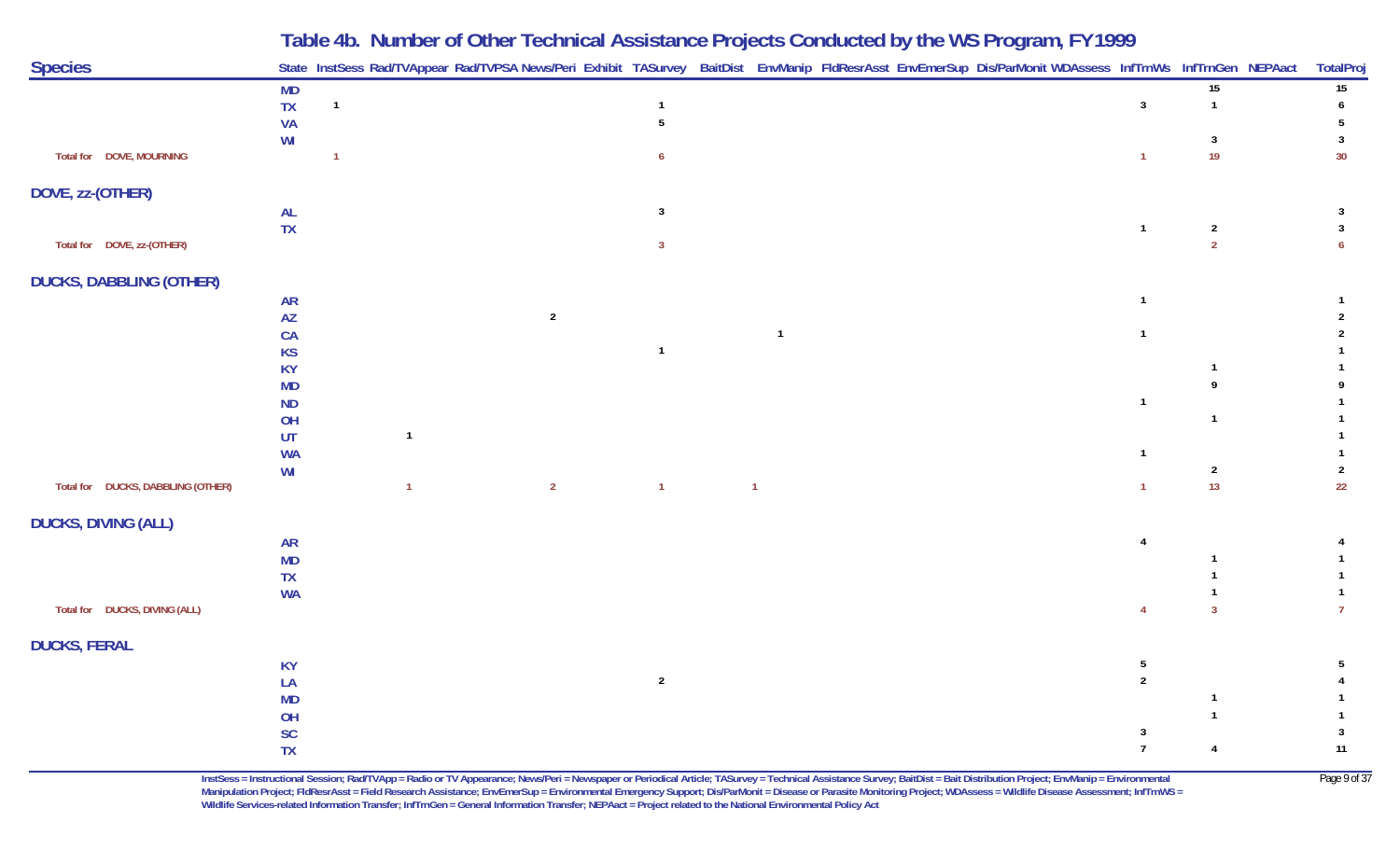|                                   |                        |                |                | Table 40. Number of Other Technical Assistance Frojects Conducted by the WST rogram, FT 1777                                                               |                |                |  |                |                         |                  |
|-----------------------------------|------------------------|----------------|----------------|------------------------------------------------------------------------------------------------------------------------------------------------------------|----------------|----------------|--|----------------|-------------------------|------------------|
| <b>Species</b>                    |                        |                |                | State InstSess Rad/TVAppear Rad/TVPSA News/Peri Exhibit TASurvey BaitDist EnvManip FldResrAsst EnvEmerSup Dis/ParMonit WDAssess InfTrnWs InfTrnGen NEPAact |                |                |  |                |                         | <b>TotalProj</b> |
|                                   | MD                     |                |                |                                                                                                                                                            |                |                |  |                | $\overline{15}$         | 15               |
|                                   | ${\sf TX}$             | $\overline{1}$ |                |                                                                                                                                                            | $\mathbf{1}$   |                |  | $\mathbf{3}$   |                         | 6                |
|                                   | <b>VA</b>              |                |                |                                                                                                                                                            | 5              |                |  |                |                         | -5               |
|                                   | WI                     |                |                |                                                                                                                                                            |                |                |  |                | 3                       | 3                |
| Total for DOVE, MOURNING          |                        |                |                |                                                                                                                                                            | 6              |                |  | $\overline{1}$ | 19                      | 30               |
| DOVE, zz-(OTHER)                  |                        |                |                |                                                                                                                                                            |                |                |  |                |                         |                  |
|                                   | <b>AL</b>              |                |                |                                                                                                                                                            | $\mathbf{3}$   |                |  |                |                         | 3                |
|                                   | <b>TX</b>              |                |                |                                                                                                                                                            |                |                |  | $\overline{1}$ | $\overline{\mathbf{c}}$ | $\mathbf{3}$     |
| Total for DOVE, zz-(OTHER)        |                        |                |                |                                                                                                                                                            | $\mathbf{3}$   |                |  |                | $\overline{2}$          | 6                |
| <b>DUCKS, DABBLING (OTHER)</b>    |                        |                |                |                                                                                                                                                            |                |                |  |                |                         |                  |
|                                   | <b>AR</b>              |                |                |                                                                                                                                                            |                |                |  | $\overline{1}$ |                         |                  |
|                                   | $\mathsf{A}\mathsf{Z}$ |                |                | $\overline{2}$                                                                                                                                             |                |                |  |                |                         | $\mathfrak{p}$   |
|                                   | CA                     |                |                |                                                                                                                                                            |                | $\overline{1}$ |  | $\overline{1}$ |                         |                  |
|                                   | <b>KS</b>              |                |                |                                                                                                                                                            | $\overline{1}$ |                |  |                |                         |                  |
|                                   | <b>KY</b>              |                |                |                                                                                                                                                            |                |                |  |                |                         |                  |
|                                   | <b>MD</b>              |                |                |                                                                                                                                                            |                |                |  |                |                         |                  |
|                                   | <b>ND</b>              |                |                |                                                                                                                                                            |                |                |  | $\overline{1}$ |                         |                  |
|                                   | OH                     |                |                |                                                                                                                                                            |                |                |  |                | $\mathbf{1}$            |                  |
|                                   | UT                     |                | $\mathbf{1}$   |                                                                                                                                                            |                |                |  |                |                         |                  |
|                                   | <b>WA</b>              |                |                |                                                                                                                                                            |                |                |  | $\overline{1}$ |                         |                  |
|                                   | WI                     |                |                |                                                                                                                                                            |                |                |  |                | $\overline{2}$          | $\overline{2}$   |
| Total for DUCKS, DABBLING (OTHER) |                        |                | $\overline{1}$ | $\overline{2}$                                                                                                                                             | $\overline{1}$ | $\overline{1}$ |  | $\overline{1}$ | 13                      | 22               |
| <b>DUCKS, DIVING (ALL)</b>        |                        |                |                |                                                                                                                                                            |                |                |  |                |                         |                  |
|                                   | <b>AR</b>              |                |                |                                                                                                                                                            |                |                |  | $\overline{4}$ |                         |                  |
|                                   | <b>MD</b>              |                |                |                                                                                                                                                            |                |                |  |                |                         |                  |
|                                   | <b>TX</b>              |                |                |                                                                                                                                                            |                |                |  |                |                         |                  |
|                                   | <b>WA</b>              |                |                |                                                                                                                                                            |                |                |  |                |                         |                  |
| Total for DUCKS, DIVING (ALL)     |                        |                |                |                                                                                                                                                            |                |                |  | $\overline{4}$ | $\overline{3}$          |                  |
| <b>DUCKS, FERAL</b>               |                        |                |                |                                                                                                                                                            |                |                |  |                |                         |                  |
|                                   | <b>KY</b>              |                |                |                                                                                                                                                            |                |                |  | 5              |                         | 5                |
|                                   | LA                     |                |                |                                                                                                                                                            | $\overline{2}$ |                |  | $\overline{2}$ |                         |                  |
|                                   | <b>MD</b>              |                |                |                                                                                                                                                            |                |                |  |                |                         |                  |
|                                   | OH                     |                |                |                                                                                                                                                            |                |                |  |                |                         |                  |
|                                   | <b>SC</b>              |                |                |                                                                                                                                                            |                |                |  | $\overline{3}$ |                         | 3                |
|                                   | <b>TX</b>              |                |                |                                                                                                                                                            |                |                |  | $\overline{7}$ | $\overline{4}$          | 11               |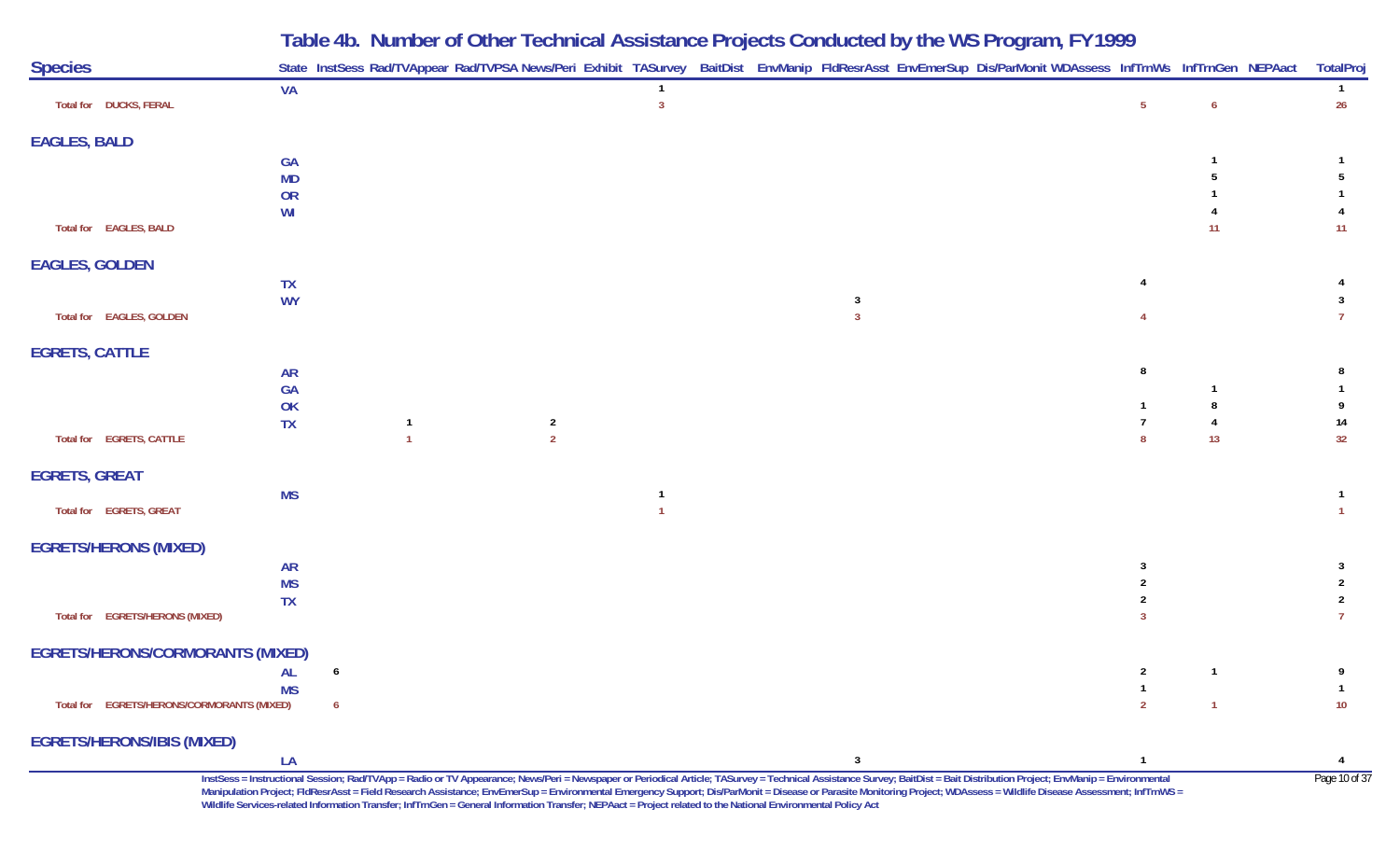| <b>Species</b>                             |                        |   |              |                |                                  |  |                     | State InstSess Rad/TVAppear Rad/TVPSA News/Peri Exhibit TASurvey BaitDist EnvManip FldResrAsst EnvEmerSup Dis/ParMonit WDAssess InfTrnWs InfTrnGen NEPAact TotalProj                                                      |              |          |                                  |
|--------------------------------------------|------------------------|---|--------------|----------------|----------------------------------|--|---------------------|---------------------------------------------------------------------------------------------------------------------------------------------------------------------------------------------------------------------------|--------------|----------|----------------------------------|
| Total for DUCKS, FERAL                     | <b>VA</b>              |   |              |                | $\overline{1}$<br>$\overline{3}$ |  |                     |                                                                                                                                                                                                                           | -5           | 6        | $\overline{1}$<br>26             |
| <b>EAGLES, BALD</b>                        |                        |   |              |                |                                  |  |                     |                                                                                                                                                                                                                           |              |          |                                  |
|                                            | <b>GA</b>              |   |              |                |                                  |  |                     |                                                                                                                                                                                                                           |              |          |                                  |
|                                            | <b>MD</b>              |   |              |                |                                  |  |                     |                                                                                                                                                                                                                           |              |          |                                  |
|                                            | OR                     |   |              |                |                                  |  |                     |                                                                                                                                                                                                                           |              |          |                                  |
| Total for EAGLES, BALD                     | WI                     |   |              |                |                                  |  |                     |                                                                                                                                                                                                                           |              | 11       | 11                               |
| <b>EAGLES, GOLDEN</b>                      |                        |   |              |                |                                  |  |                     |                                                                                                                                                                                                                           |              |          |                                  |
|                                            | <b>TX</b>              |   |              |                |                                  |  |                     |                                                                                                                                                                                                                           |              |          |                                  |
| Total for EAGLES, GOLDEN                   | <b>WY</b>              |   |              |                |                                  |  | 3<br>$\overline{3}$ |                                                                                                                                                                                                                           |              |          | 3                                |
| <b>EGRETS, CATTLE</b>                      |                        |   |              |                |                                  |  |                     |                                                                                                                                                                                                                           |              |          |                                  |
|                                            | <b>AR</b>              |   |              |                |                                  |  |                     |                                                                                                                                                                                                                           |              |          | 8                                |
|                                            | <b>GA</b><br>OK        |   |              |                |                                  |  |                     |                                                                                                                                                                                                                           |              |          |                                  |
|                                            | <b>TX</b>              |   | $\mathbf{1}$ | $\overline{2}$ |                                  |  |                     |                                                                                                                                                                                                                           |              |          | 14                               |
| Total for EGRETS, CATTLE                   |                        |   |              | $\overline{2}$ |                                  |  |                     |                                                                                                                                                                                                                           | -8           | 13       | 32                               |
| <b>EGRETS, GREAT</b>                       |                        |   |              |                |                                  |  |                     |                                                                                                                                                                                                                           |              |          |                                  |
|                                            | <b>MS</b>              |   |              |                |                                  |  |                     |                                                                                                                                                                                                                           |              |          |                                  |
| Total for EGRETS, GREAT                    |                        |   |              |                |                                  |  |                     |                                                                                                                                                                                                                           |              |          |                                  |
| <b>EGRETS/HERONS (MIXED)</b>               |                        |   |              |                |                                  |  |                     |                                                                                                                                                                                                                           |              |          |                                  |
|                                            | <b>AR</b>              |   |              |                |                                  |  |                     |                                                                                                                                                                                                                           | 3            |          | -3                               |
|                                            | <b>MS</b><br><b>TX</b> |   |              |                |                                  |  |                     |                                                                                                                                                                                                                           |              |          | $\overline{2}$<br>$\overline{2}$ |
| Total for EGRETS/HERONS (MIXED)            |                        |   |              |                |                                  |  |                     |                                                                                                                                                                                                                           | -3           |          | $\overline{7}$                   |
| <b>EGRETS/HERONS/CORMORANTS (MIXED)</b>    |                        |   |              |                |                                  |  |                     |                                                                                                                                                                                                                           |              |          |                                  |
| <b>Example 2018</b>                        |                        | 6 |              |                |                                  |  |                     |                                                                                                                                                                                                                           | $\mathbf{2}$ | $\sim$ 1 | 9                                |
| Total for EGRETS/HERONS/CORMORANTS (MIXED) | <b>MS</b>              | 6 |              |                |                                  |  |                     |                                                                                                                                                                                                                           |              |          | 10                               |
| <b>EGRETS/HERONS/IBIS (MIXED)</b>          |                        |   |              |                |                                  |  |                     |                                                                                                                                                                                                                           |              |          |                                  |
|                                            | LA                     |   |              |                |                                  |  | $\mathbf{3}$        |                                                                                                                                                                                                                           |              |          |                                  |
|                                            |                        |   |              |                |                                  |  |                     | InstSess = Instructional Session; Rad/TVApp = Radio or TV Appearance; News/Peri = Newspaper or Periodical Article; TASurvey = Technical Assistance Survey; BaitDist = Bait Distribution Project; EnvManip = Environmental |              |          | Page 10 of 37                    |

**Manipulation Project; FldResrAsst = Field Research Assistance; EnvEmerSup = Environmental Emergency Support; Dis/ParMonit = Disease or Parasite Monitoring Project; WDAssess = Wildlife Disease Assessment; InfTrnWS = Wildlife Services-related Information Transfer; InfTrnGen = General Information Transfer; NEPAact = Project related to the National Environmental Policy Act**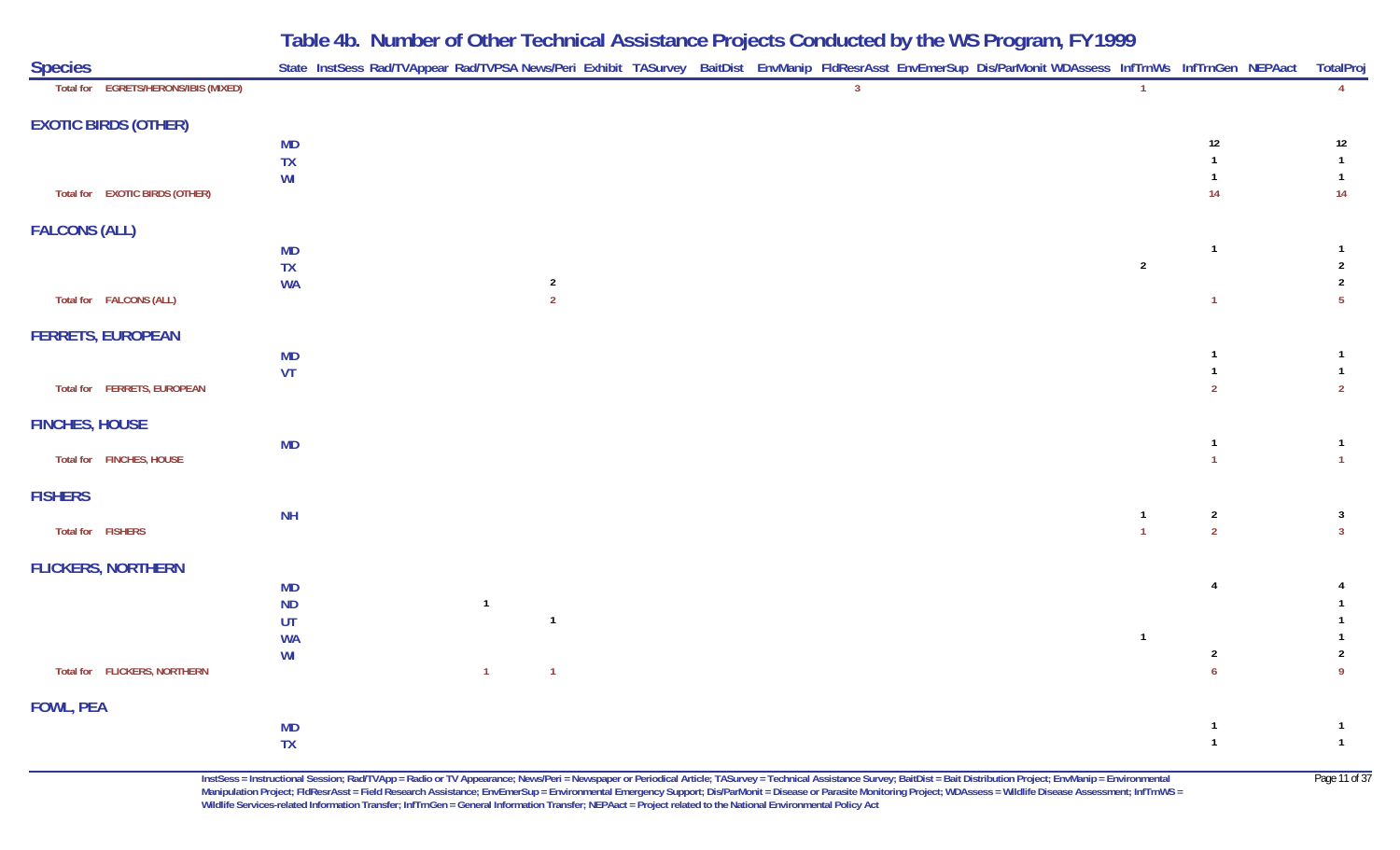| <b>Species</b>                       |                 | State InstSess Rad/TVAppear Rad/TVPSA News/Peri Exhibit TASurvey BaitDist EnvManip FldResrAsst EnvEmerSup Dis/ParMonit WDAssess InfTrnWs InfTrnGen NEPAact TotalPro |                |                |  |                |  |                |                                  |                                  |
|--------------------------------------|-----------------|---------------------------------------------------------------------------------------------------------------------------------------------------------------------|----------------|----------------|--|----------------|--|----------------|----------------------------------|----------------------------------|
| Total for EGRETS/HERONS/IBIS (MIXED) |                 |                                                                                                                                                                     |                |                |  | $\overline{3}$ |  | $\overline{1}$ |                                  | $\overline{4}$                   |
| <b>EXOTIC BIRDS (OTHER)</b>          |                 |                                                                                                                                                                     |                |                |  |                |  |                |                                  |                                  |
|                                      | <b>MD</b>       |                                                                                                                                                                     |                |                |  |                |  |                | 12                               | 12                               |
|                                      | TX<br>WI        |                                                                                                                                                                     |                |                |  |                |  |                | -1                               | $\mathbf{1}$<br>$\mathbf{1}$     |
| Total for EXOTIC BIRDS (OTHER)       |                 |                                                                                                                                                                     |                |                |  |                |  |                | 14                               | 14                               |
| <b>FALCONS (ALL)</b>                 |                 |                                                                                                                                                                     |                |                |  |                |  |                |                                  |                                  |
|                                      | <b>MD</b>       |                                                                                                                                                                     |                |                |  |                |  |                | $\overline{1}$                   | $\mathbf{1}$                     |
|                                      | TX<br><b>WA</b> |                                                                                                                                                                     |                | $\overline{2}$ |  |                |  | $\overline{2}$ |                                  | $\overline{2}$<br>$\overline{2}$ |
| Total for FALCONS (ALL)              |                 |                                                                                                                                                                     |                | $\overline{2}$ |  |                |  |                | $\overline{1}$                   | 5 <sub>5</sub>                   |
| <b>FERRETS, EUROPEAN</b>             |                 |                                                                                                                                                                     |                |                |  |                |  |                |                                  |                                  |
|                                      | <b>MD</b>       |                                                                                                                                                                     |                |                |  |                |  |                | -1                               | $\mathbf{1}$                     |
| Total for FERRETS, EUROPEAN          | VT              |                                                                                                                                                                     |                |                |  |                |  |                | $\overline{1}$<br>$\overline{2}$ | $\mathbf{1}$<br>$\overline{2}$   |
|                                      |                 |                                                                                                                                                                     |                |                |  |                |  |                |                                  |                                  |
| <b>FINCHES, HOUSE</b>                |                 |                                                                                                                                                                     |                |                |  |                |  |                |                                  |                                  |
| Total for FINCHES, HOUSE             | <b>MD</b>       |                                                                                                                                                                     |                |                |  |                |  |                | $\overline{1}$<br>$\overline{1}$ | $\mathbf{1}$<br>$\mathbf{1}$     |
| <b>FISHERS</b>                       |                 |                                                                                                                                                                     |                |                |  |                |  |                |                                  |                                  |
|                                      | <b>NH</b>       |                                                                                                                                                                     |                |                |  |                |  | $\mathbf{1}$   | $\overline{2}$                   | $\overline{\mathbf{3}}$          |
| Total for FISHERS                    |                 |                                                                                                                                                                     |                |                |  |                |  | $\overline{1}$ | $\overline{2}$                   | 3 <sup>1</sup>                   |
| <b>FLICKERS, NORTHERN</b>            |                 |                                                                                                                                                                     |                |                |  |                |  |                |                                  |                                  |
|                                      | <b>MD</b>       |                                                                                                                                                                     |                |                |  |                |  |                | $\overline{4}$                   | 4                                |
|                                      | <b>ND</b><br>UT |                                                                                                                                                                     | $\overline{1}$ | $\overline{1}$ |  |                |  |                |                                  | 1<br>1                           |
|                                      | <b>WA</b>       |                                                                                                                                                                     |                |                |  |                |  | $\overline{1}$ |                                  |                                  |
|                                      | WI              |                                                                                                                                                                     |                |                |  |                |  |                | $\overline{2}$                   | $\overline{2}$                   |
| Total for FLICKERS, NORTHERN         |                 |                                                                                                                                                                     | $\overline{1}$ | $\overline{1}$ |  |                |  |                | $\overline{6}$                   | $\overline{9}$                   |
| <b>FOWL, PEA</b>                     |                 |                                                                                                                                                                     |                |                |  |                |  |                |                                  |                                  |
|                                      | <b>MD</b>       |                                                                                                                                                                     |                |                |  |                |  |                | $\mathbf{1}$                     | $\mathbf{1}$                     |
|                                      | TX              |                                                                                                                                                                     |                |                |  |                |  |                | $\overline{1}$                   | $\mathbf{1}$                     |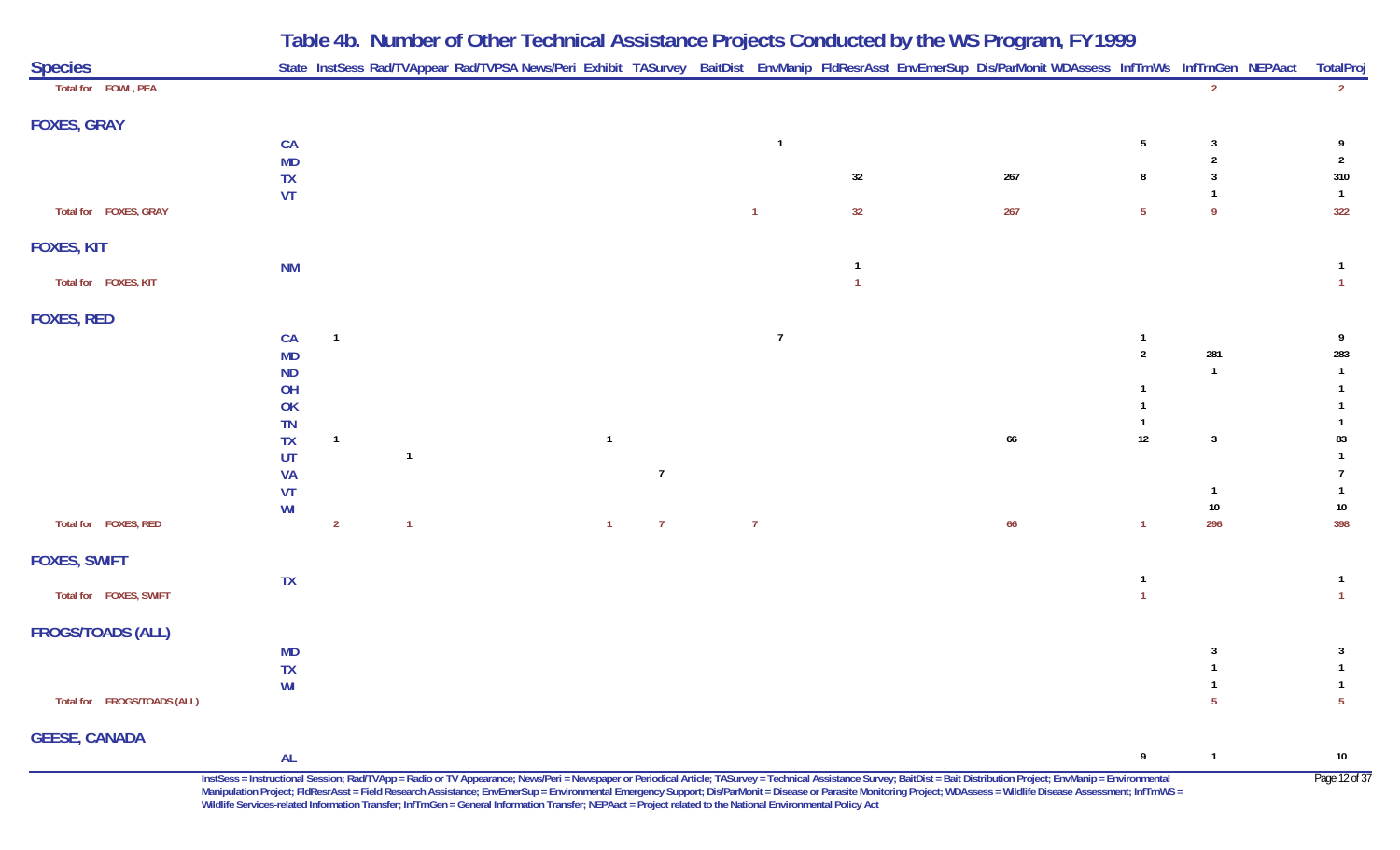|                             |           |                |  |                |                |                | Table 4b. Number of Other Technical Assistance Projects Conducted by the WS Program, FY 1999                                                               |     |                 |               |                |
|-----------------------------|-----------|----------------|--|----------------|----------------|----------------|------------------------------------------------------------------------------------------------------------------------------------------------------------|-----|-----------------|---------------|----------------|
| <b>Species</b>              |           |                |  |                |                |                | State InstSess Rad/TVAppear Rad/TVPSA News/Peri Exhibit TASurvey BaitDist EnvManip FldResrAsst EnvEmerSup Dis/ParMonit WDAssess InfTrnWs InfTrnGen NEPAact |     |                 |               | TotalProj      |
| Total for FOWL, PEA         |           |                |  |                |                |                |                                                                                                                                                            |     |                 | $\mathcal{P}$ | $2^{\circ}$    |
| <b>FOXES, GRAY</b>          |           |                |  |                |                |                |                                                                                                                                                            |     |                 |               |                |
|                             | CA        |                |  |                |                | $\overline{1}$ |                                                                                                                                                            |     | $5\phantom{.0}$ | 3             |                |
|                             | <b>MD</b> |                |  |                |                |                |                                                                                                                                                            |     |                 |               | $\overline{2}$ |
|                             | <b>TX</b> |                |  |                |                |                | 32                                                                                                                                                         | 267 | 8               |               | 310            |
|                             | VT        |                |  |                |                |                |                                                                                                                                                            |     |                 |               | $\overline{1}$ |
| Total for FOXES, GRAY       |           |                |  |                |                | $\mathbf{1}$   | 32                                                                                                                                                         | 267 | $5\phantom{.0}$ | -9            | 322            |
| <b>FOXES, KIT</b>           |           |                |  |                |                |                |                                                                                                                                                            |     |                 |               |                |
|                             | <b>NM</b> |                |  |                |                |                |                                                                                                                                                            |     |                 |               | $\mathbf{1}$   |
| Total for FOXES, KIT        |           |                |  |                |                |                |                                                                                                                                                            |     |                 |               | $\overline{1}$ |
| <b>FOXES, RED</b>           |           |                |  |                |                |                |                                                                                                                                                            |     |                 |               |                |
|                             | CA        | $\overline{1}$ |  |                |                | $\overline{7}$ |                                                                                                                                                            |     | $\mathbf{1}$    |               | - 9            |
|                             | <b>MD</b> |                |  |                |                |                |                                                                                                                                                            |     | $\overline{2}$  | 281           | 283            |
|                             | <b>ND</b> |                |  |                |                |                |                                                                                                                                                            |     |                 | $\mathbf{1}$  | $\overline{1}$ |
|                             | OH        |                |  |                |                |                |                                                                                                                                                            |     |                 |               |                |
|                             | OK        |                |  |                |                |                |                                                                                                                                                            |     |                 |               |                |
|                             | TN        |                |  |                |                |                |                                                                                                                                                            |     |                 |               |                |
|                             | <b>TX</b> | $\overline{1}$ |  | $\overline{1}$ |                |                |                                                                                                                                                            | 66  | $12\,$          | 3             | 83             |
|                             | UT        |                |  |                |                |                |                                                                                                                                                            |     |                 |               |                |
|                             | <b>VA</b> |                |  |                | $\overline{7}$ |                |                                                                                                                                                            |     |                 |               |                |
|                             | VT        |                |  |                |                |                |                                                                                                                                                            |     |                 |               |                |
|                             | WI        |                |  |                |                |                |                                                                                                                                                            |     |                 | $10\,$        | $10\,$         |
| Total for FOXES, RED        |           | $\overline{2}$ |  | $\mathbf{1}$   | $\overline{7}$ | $\overline{7}$ |                                                                                                                                                            | 66  |                 | 296           | 398            |
| <b>FOXES, SWIFT</b>         |           |                |  |                |                |                |                                                                                                                                                            |     |                 |               |                |
|                             | <b>TX</b> |                |  |                |                |                |                                                                                                                                                            |     |                 |               | $\overline{1}$ |
| Total for FOXES, SWIFT      |           |                |  |                |                |                |                                                                                                                                                            |     |                 |               | $\overline{1}$ |
| <b>FROGS/TOADS (ALL)</b>    |           |                |  |                |                |                |                                                                                                                                                            |     |                 |               |                |
|                             | <b>MD</b> |                |  |                |                |                |                                                                                                                                                            |     |                 |               | $\overline{3}$ |
|                             | TX        |                |  |                |                |                |                                                                                                                                                            |     |                 |               | $\overline{1}$ |
|                             | WI        |                |  |                |                |                |                                                                                                                                                            |     |                 |               |                |
| Total for FROGS/TOADS (ALL) |           |                |  |                |                |                |                                                                                                                                                            |     |                 |               | $\overline{5}$ |
| <b>GEESE, CANADA</b>        |           |                |  |                |                |                |                                                                                                                                                            |     |                 |               |                |

InstSess = Instructional Session; Rad/TVApp = Radio or TV Appearance; News/Peri = Newspaper or Periodical Article; TASurvey = Technical Assistance Survey; BaitDist = Bait Distribution Project; EnvManip = Environmental Page **Manipulation Project; FldResrAsst = Field Research Assistance; EnvEmerSup = Environmental Emergency Support; Dis/ParMonit = Disease or Parasite Monitoring Project; WDAssess = Wildlife Disease Assessment; InfTrnWS = Wildlife Services-related Information Transfer; InfTrnGen = General Information Transfer; NEPAact = Project related to the National Environmental Policy Act**

**9 <sup>1</sup> 10**

**AL**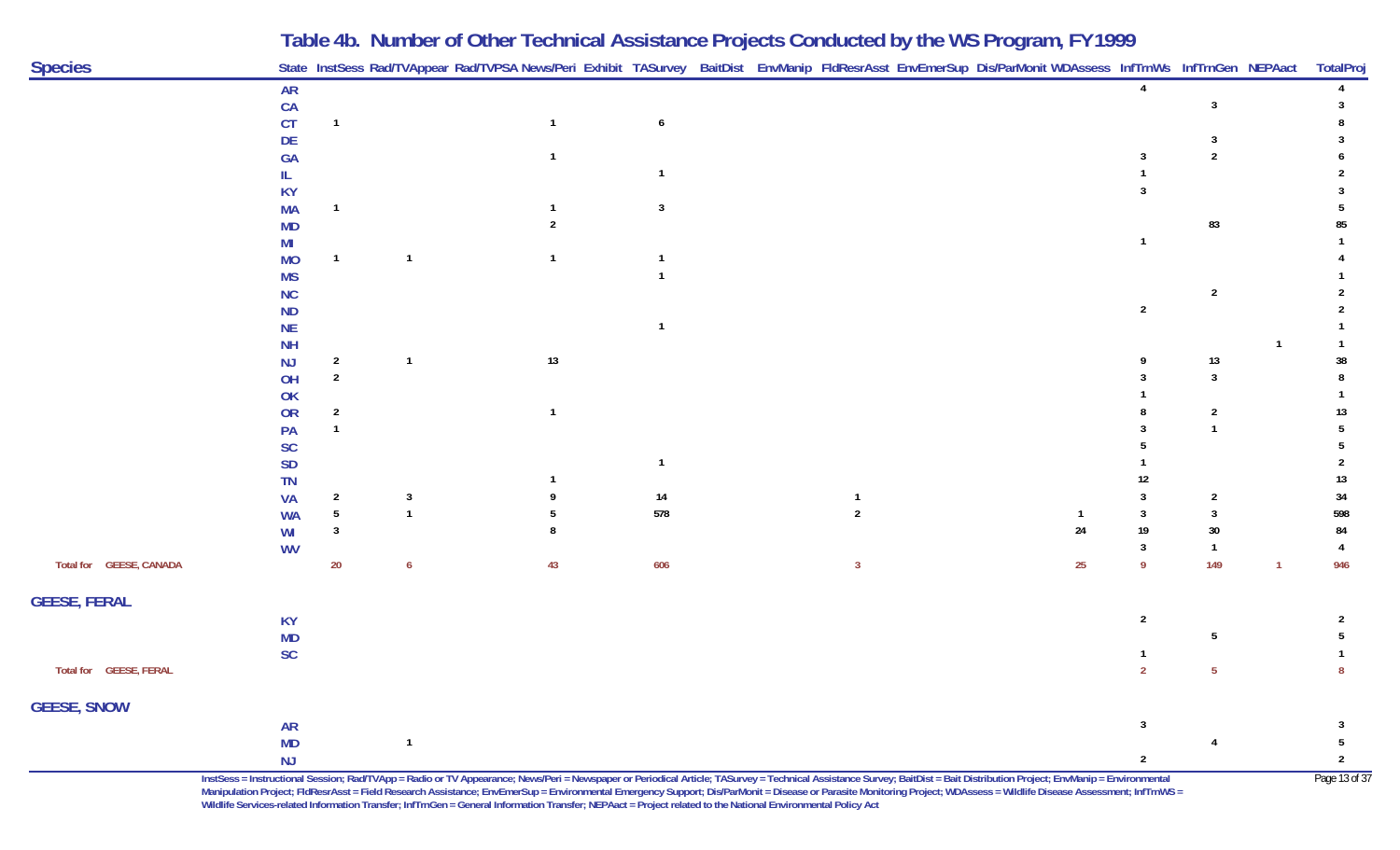|                         |                 |                |              | Table 4b. Number of Other Technical Assistance Projects Conducted by the WS Program, FY 1999                                                               |     |  |    |                |                |                 |
|-------------------------|-----------------|----------------|--------------|------------------------------------------------------------------------------------------------------------------------------------------------------------|-----|--|----|----------------|----------------|-----------------|
| <b>Species</b>          |                 |                |              | State InstSess Rad/TVAppear Rad/TVPSA News/Peri Exhibit TASurvey BaitDist EnvManip FldResrAsst EnvEmerSup Dis/ParMonit WDAssess InfTrnWs InfTrnGen NEPAact |     |  |    |                |                | TotalProj       |
|                         | <b>AR</b>       |                |              |                                                                                                                                                            |     |  |    |                |                |                 |
|                         | CA              |                |              |                                                                                                                                                            |     |  |    |                |                |                 |
|                         | <b>CT</b>       |                |              | $\mathbf 1$                                                                                                                                                | 6   |  |    |                |                |                 |
|                         | DE              |                |              |                                                                                                                                                            |     |  |    |                |                |                 |
|                         | <b>GA</b>       |                |              |                                                                                                                                                            |     |  |    |                |                |                 |
|                         |                 |                |              |                                                                                                                                                            |     |  |    |                |                |                 |
|                         | KY              |                |              |                                                                                                                                                            |     |  |    |                |                |                 |
|                         | <b>MA</b>       |                |              |                                                                                                                                                            | 3   |  |    |                |                |                 |
|                         | <b>MD</b>       |                |              |                                                                                                                                                            |     |  |    |                | 83             |                 |
|                         | MI<br><b>MO</b> |                |              |                                                                                                                                                            |     |  |    |                |                |                 |
|                         | <b>MS</b>       |                |              |                                                                                                                                                            |     |  |    |                |                |                 |
|                         | <b>NC</b>       |                |              |                                                                                                                                                            |     |  |    |                | $\overline{2}$ |                 |
|                         | <b>ND</b>       |                |              |                                                                                                                                                            |     |  |    | $\overline{2}$ |                |                 |
|                         | <b>NE</b>       |                |              |                                                                                                                                                            |     |  |    |                |                |                 |
|                         | <b>NH</b>       |                |              |                                                                                                                                                            |     |  |    |                |                |                 |
|                         | NJ              | 2              |              | 13                                                                                                                                                         |     |  |    |                | 13             | 38              |
|                         | OH              | $\overline{2}$ |              |                                                                                                                                                            |     |  |    |                | 3              |                 |
|                         | OK              |                |              |                                                                                                                                                            |     |  |    |                |                |                 |
|                         | OR              |                |              |                                                                                                                                                            |     |  |    |                | 2              |                 |
|                         | PA              |                |              |                                                                                                                                                            |     |  |    |                |                |                 |
|                         | <b>SC</b>       |                |              |                                                                                                                                                            |     |  |    |                |                |                 |
|                         | <b>SD</b>       |                |              |                                                                                                                                                            |     |  |    |                |                |                 |
|                         | TN              |                |              |                                                                                                                                                            |     |  |    |                |                | 13              |
|                         | <b>VA</b>       |                | 3            |                                                                                                                                                            | 14  |  |    |                |                | 34              |
|                         | <b>WA</b>       | 5              |              |                                                                                                                                                            | 578 |  | 24 | 19             | 30             | 598<br>84       |
|                         | WI              |                |              |                                                                                                                                                            |     |  |    |                |                |                 |
| Total for GEESE, CANADA | <b>WV</b>       | $20\,$         |              | 43                                                                                                                                                         | 606 |  | 25 | 9              | 149            | 946             |
| <b>GEESE, FERAL</b>     |                 |                |              |                                                                                                                                                            |     |  |    |                |                |                 |
|                         | <b>KY</b>       |                |              |                                                                                                                                                            |     |  |    | $\overline{2}$ |                | 2               |
|                         | <b>MD</b>       |                |              |                                                                                                                                                            |     |  |    |                |                |                 |
|                         | <b>SC</b>       |                |              |                                                                                                                                                            |     |  |    |                |                |                 |
| Total for GEESE, FERAL  |                 |                |              |                                                                                                                                                            |     |  |    | $\overline{2}$ | $\overline{5}$ | $\pmb{8}$       |
| <b>GEESE, SNOW</b>      |                 |                |              |                                                                                                                                                            |     |  |    |                |                |                 |
|                         | <b>AR</b>       |                |              |                                                                                                                                                            |     |  |    | 3              |                | 3               |
|                         | <b>MD</b>       |                | $\mathbf{1}$ |                                                                                                                                                            |     |  |    |                |                | $5\phantom{.0}$ |
|                         | NJ              |                |              |                                                                                                                                                            |     |  |    | $\overline{2}$ |                | $\overline{2}$  |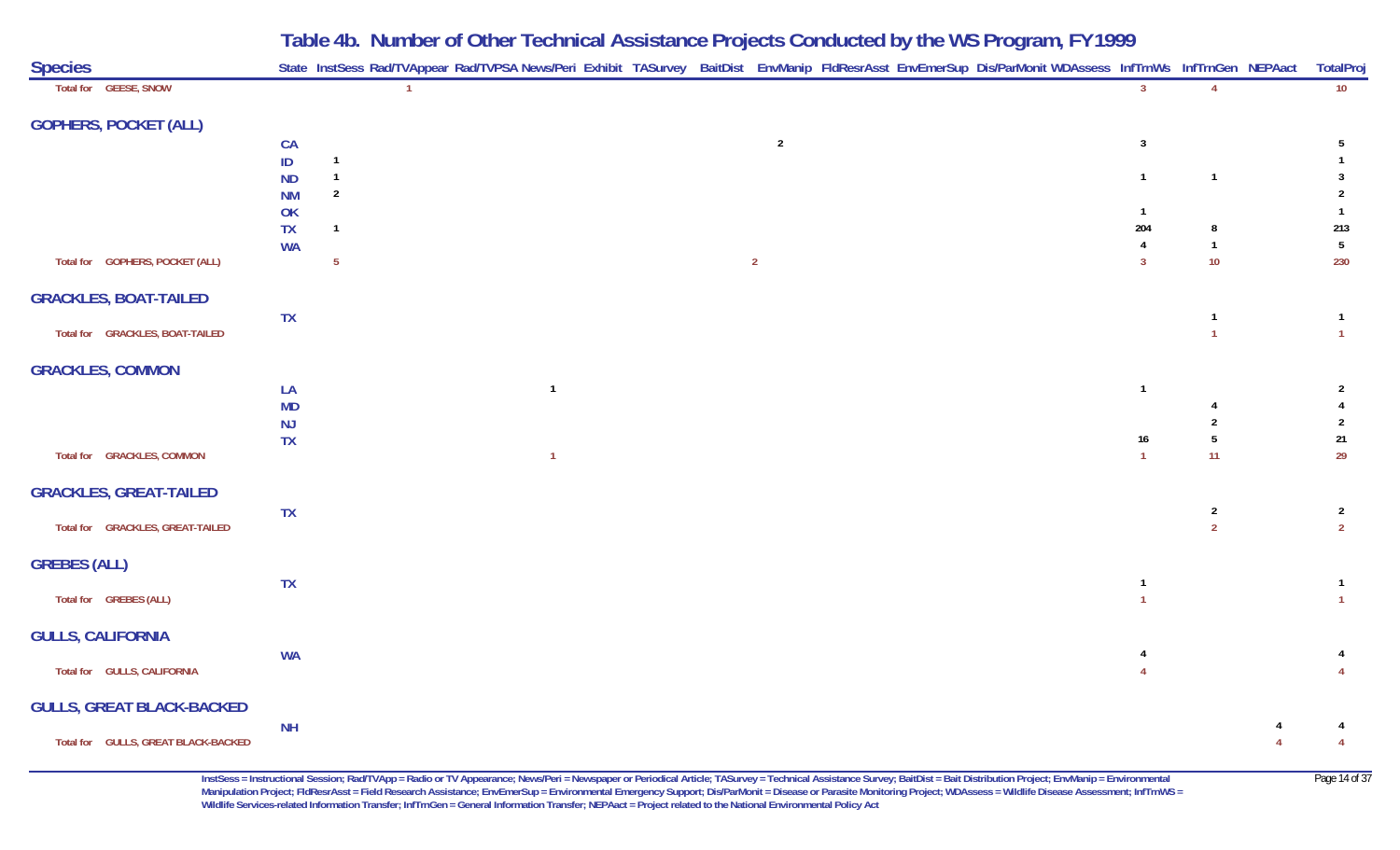| <b>Species</b>                      |                 |                | State InstSess Rad/TVAppear Rad/TVPSA News/Peri Exhibit TASurvey BaitDist EnvManip FldResrAsst EnvEmerSup Dis/ParMonit WDAssess InfTrnWs InfTrnGen NEPAact |                |  |                         |                 |                     | TotalPro                         |
|-------------------------------------|-----------------|----------------|------------------------------------------------------------------------------------------------------------------------------------------------------------|----------------|--|-------------------------|-----------------|---------------------|----------------------------------|
| Total for GEESE, SNOW               |                 |                |                                                                                                                                                            |                |  | 3                       |                 |                     | 10                               |
| <b>GOPHERS, POCKET (ALL)</b>        |                 |                |                                                                                                                                                            |                |  |                         |                 |                     |                                  |
|                                     | CA              |                |                                                                                                                                                            | $\overline{2}$ |  | $\overline{\mathbf{3}}$ |                 |                     | 5                                |
|                                     | $\sf ID$        | $\overline{1}$ |                                                                                                                                                            |                |  |                         |                 |                     |                                  |
|                                     | <b>ND</b>       | $\overline{1}$ |                                                                                                                                                            |                |  | $\overline{1}$          | $\overline{1}$  |                     | $\mathbf{3}$                     |
|                                     | <b>NM</b>       | $\overline{2}$ |                                                                                                                                                            |                |  | $\overline{1}$          |                 |                     | $\overline{2}$<br>$\overline{1}$ |
|                                     | OK<br><b>TX</b> | $\mathbf{1}$   |                                                                                                                                                            |                |  | 204                     | 8               |                     | 213                              |
|                                     | <b>WA</b>       |                |                                                                                                                                                            |                |  | 4                       | $\mathbf{1}$    |                     | $5\phantom{.0}$                  |
| Total for GOPHERS, POCKET (ALL)     |                 | $\overline{5}$ |                                                                                                                                                            | $\overline{2}$ |  | $\overline{3}$          | 10 <sup>°</sup> |                     | 230                              |
| <b>GRACKLES, BOAT-TAILED</b>        |                 |                |                                                                                                                                                            |                |  |                         |                 |                     |                                  |
|                                     | <b>TX</b>       |                |                                                                                                                                                            |                |  |                         | $\mathbf{1}$    |                     | $\overline{1}$                   |
| Total for GRACKLES, BOAT-TAILED     |                 |                |                                                                                                                                                            |                |  |                         | $\overline{1}$  |                     | $\vert$ 1                        |
| <b>GRACKLES, COMMON</b>             |                 |                |                                                                                                                                                            |                |  |                         |                 |                     |                                  |
|                                     | LA              |                | $\overline{1}$                                                                                                                                             |                |  | $\overline{1}$          |                 |                     | $\mathbf{2}$                     |
|                                     | <b>MD</b>       |                |                                                                                                                                                            |                |  |                         | $\overline{2}$  |                     | $\overline{4}$                   |
|                                     | NJ<br>TX        |                |                                                                                                                                                            |                |  | $16\phantom{.0}$        | $\overline{5}$  |                     | $\overline{2}$<br>$21\,$         |
| Total for GRACKLES, COMMON          |                 |                | $\overline{1}$                                                                                                                                             |                |  | $\overline{1}$          | 11              |                     | 29                               |
| <b>GRACKLES, GREAT-TAILED</b>       |                 |                |                                                                                                                                                            |                |  |                         |                 |                     |                                  |
|                                     | <b>TX</b>       |                |                                                                                                                                                            |                |  |                         | $\overline{2}$  |                     | $\overline{2}$                   |
| Total for GRACKLES, GREAT-TAILED    |                 |                |                                                                                                                                                            |                |  |                         | $\overline{2}$  |                     | $\overline{2}$                   |
| <b>GREBES (ALL)</b>                 |                 |                |                                                                                                                                                            |                |  |                         |                 |                     |                                  |
|                                     | TX              |                |                                                                                                                                                            |                |  | $\mathbf{1}$            |                 |                     | $\overline{1}$                   |
| Total for GREBES (ALL)              |                 |                |                                                                                                                                                            |                |  | $\overline{1}$          |                 |                     | $\overline{1}$                   |
| <b>GULLS, CALIFORNIA</b>            |                 |                |                                                                                                                                                            |                |  |                         |                 |                     |                                  |
| Total for GULLS, CALIFORNIA         | <b>WA</b>       |                |                                                                                                                                                            |                |  | 4                       |                 |                     | $\overline{4}$<br>$\overline{4}$ |
|                                     |                 |                |                                                                                                                                                            |                |  |                         |                 |                     |                                  |
| <b>GULLS, GREAT BLACK-BACKED</b>    |                 |                |                                                                                                                                                            |                |  |                         |                 |                     |                                  |
| Total for GULLS, GREAT BLACK-BACKED | <b>NH</b>       |                |                                                                                                                                                            |                |  |                         |                 | 4<br>$\overline{4}$ | 4<br>$\overline{4}$              |
|                                     |                 |                |                                                                                                                                                            |                |  |                         |                 |                     |                                  |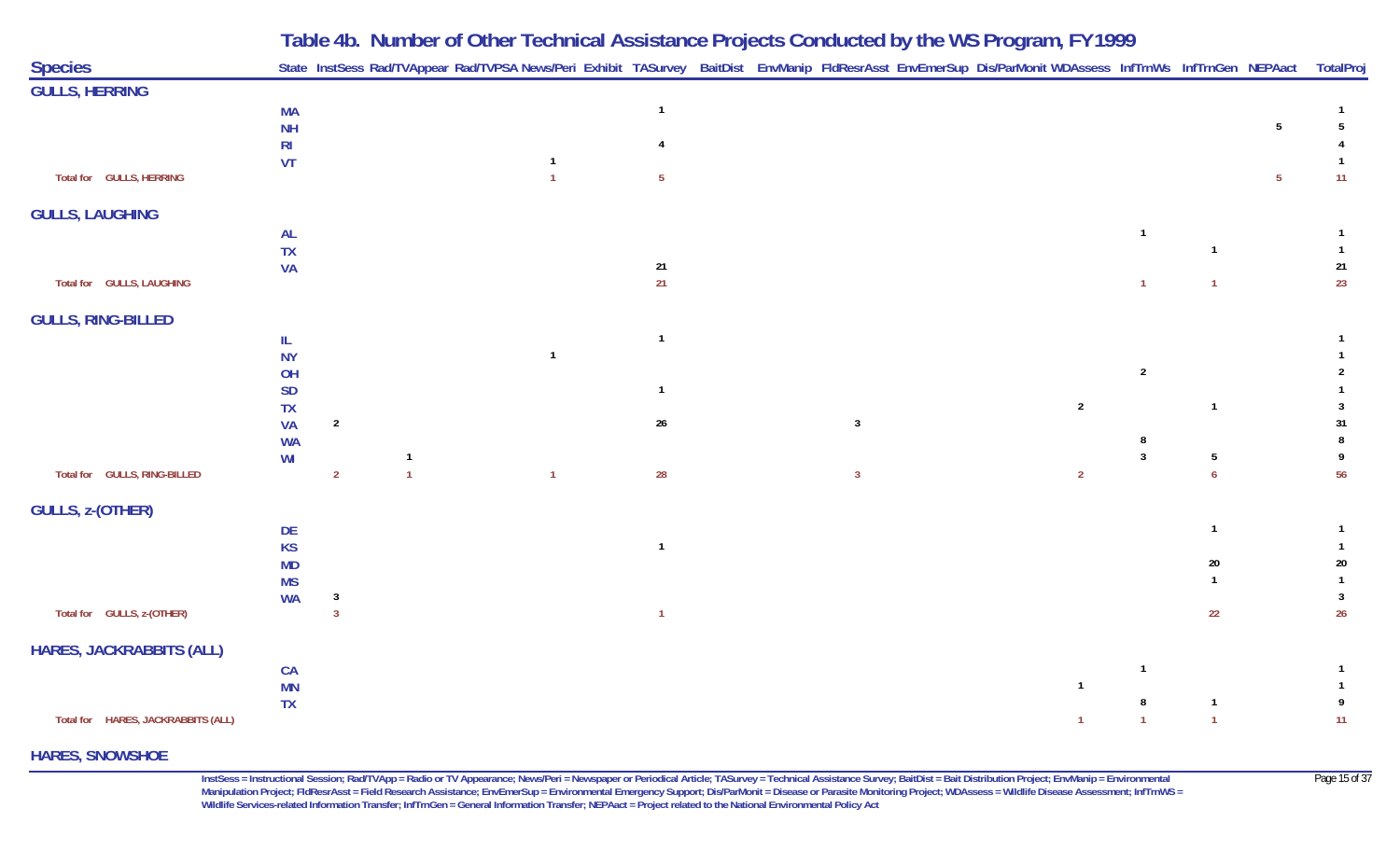|                                    |                        |                |                | Table 4b. Number of Other Technical Assistance Projects Conducted by the WS Program, FY 1999                                                               |                         |                |                |                |                |                 |                 |
|------------------------------------|------------------------|----------------|----------------|------------------------------------------------------------------------------------------------------------------------------------------------------------|-------------------------|----------------|----------------|----------------|----------------|-----------------|-----------------|
| <b>Species</b>                     |                        |                |                | State InstSess Rad/TVAppear Rad/TVPSA News/Peri Exhibit TASurvey BaitDist EnvManip FldResrAsst EnvEmerSup Dis/ParMonit WDAssess InfTrnWs InfTrnGen NEPAact |                         |                |                |                |                |                 | <b>TotalPro</b> |
| <b>GULLS, HERRING</b>              |                        |                |                |                                                                                                                                                            |                         |                |                |                |                |                 |                 |
|                                    | <b>MA</b>              |                |                |                                                                                                                                                            | $\mathbf{1}$            |                |                |                |                |                 |                 |
|                                    | <b>NH</b>              |                |                |                                                                                                                                                            |                         |                |                |                |                | $5\overline{)}$ | 5               |
|                                    | R <sub>l</sub>         |                |                |                                                                                                                                                            |                         |                |                |                |                |                 |                 |
| Total for GULLS, HERRING           | VT                     |                |                | $\mathbf{1}$                                                                                                                                               | $5\phantom{.0}$         |                |                |                |                | 5 <sub>5</sub>  | 11              |
| <b>GULLS, LAUGHING</b>             |                        |                |                |                                                                                                                                                            |                         |                |                |                |                |                 |                 |
|                                    | <b>AL</b>              |                |                |                                                                                                                                                            |                         |                |                | $\overline{1}$ |                |                 |                 |
|                                    | <b>TX</b>              |                |                |                                                                                                                                                            |                         |                |                |                | 1              |                 | $\mathbf{1}$    |
|                                    | <b>VA</b>              |                |                |                                                                                                                                                            | 21                      |                |                |                |                |                 | 21              |
| Total for GULLS, LAUGHING          |                        |                |                |                                                                                                                                                            | 21                      |                |                | $\overline{1}$ | $\mathbf{1}$   |                 | 23              |
| <b>GULLS, RING-BILLED</b>          |                        |                |                |                                                                                                                                                            |                         |                |                |                |                |                 |                 |
|                                    | IL                     |                |                |                                                                                                                                                            | $\overline{1}$          |                |                |                |                |                 |                 |
|                                    | <b>NY</b>              |                |                | $\overline{1}$                                                                                                                                             |                         |                |                |                |                |                 |                 |
|                                    | OH                     |                |                |                                                                                                                                                            |                         |                |                | $\overline{2}$ |                |                 |                 |
|                                    | <b>SD</b>              |                |                |                                                                                                                                                            | $\overline{\mathbf{1}}$ |                | $\overline{2}$ |                | $\overline{1}$ |                 | 3               |
|                                    | TX<br><b>VA</b>        | $\overline{2}$ |                |                                                                                                                                                            | $26\,$                  | 3              |                |                |                |                 | 31              |
|                                    | <b>WA</b>              |                |                |                                                                                                                                                            |                         |                |                |                |                |                 |                 |
|                                    | WI                     |                |                |                                                                                                                                                            |                         |                |                | $\mathbf{3}$   | 5              |                 |                 |
| Total for GULLS, RING-BILLED       |                        | $\overline{2}$ | $\overline{1}$ | $\overline{1}$                                                                                                                                             | 28                      | $\overline{3}$ | $\overline{2}$ |                | $\overline{6}$ |                 | 56              |
| <b>GULLS, z-(OTHER)</b>            |                        |                |                |                                                                                                                                                            |                         |                |                |                |                |                 |                 |
|                                    | DE                     |                |                |                                                                                                                                                            |                         |                |                |                | $\overline{1}$ |                 |                 |
|                                    | <b>KS</b>              |                |                |                                                                                                                                                            | $\overline{1}$          |                |                |                |                |                 |                 |
|                                    | <b>MD</b>              |                |                |                                                                                                                                                            |                         |                |                |                | 20             |                 | 20              |
|                                    | <b>MS</b><br><b>WA</b> | $\mathbf{3}$   |                |                                                                                                                                                            |                         |                |                |                |                |                 | 3               |
| Total for GULLS, z-(OTHER)         |                        | $\mathbf{3}$   |                |                                                                                                                                                            | $\overline{1}$          |                |                |                | 22             |                 | 26              |
| <b>HARES, JACKRABBITS (ALL)</b>    |                        |                |                |                                                                                                                                                            |                         |                |                |                |                |                 |                 |
|                                    | CA                     |                |                |                                                                                                                                                            |                         |                |                | $\overline{1}$ |                |                 |                 |
|                                    | MN                     |                |                |                                                                                                                                                            |                         |                | $\overline{1}$ |                |                |                 |                 |
|                                    | <b>TX</b>              |                |                |                                                                                                                                                            |                         |                |                |                | $\overline{1}$ |                 | 9               |
| Total for HARES, JACKRABBITS (ALL) |                        |                |                |                                                                                                                                                            |                         |                | $\mathbf{1}$   | $\overline{1}$ | $\overline{1}$ |                 | 11              |

#### **HARES, SNOWSHOE**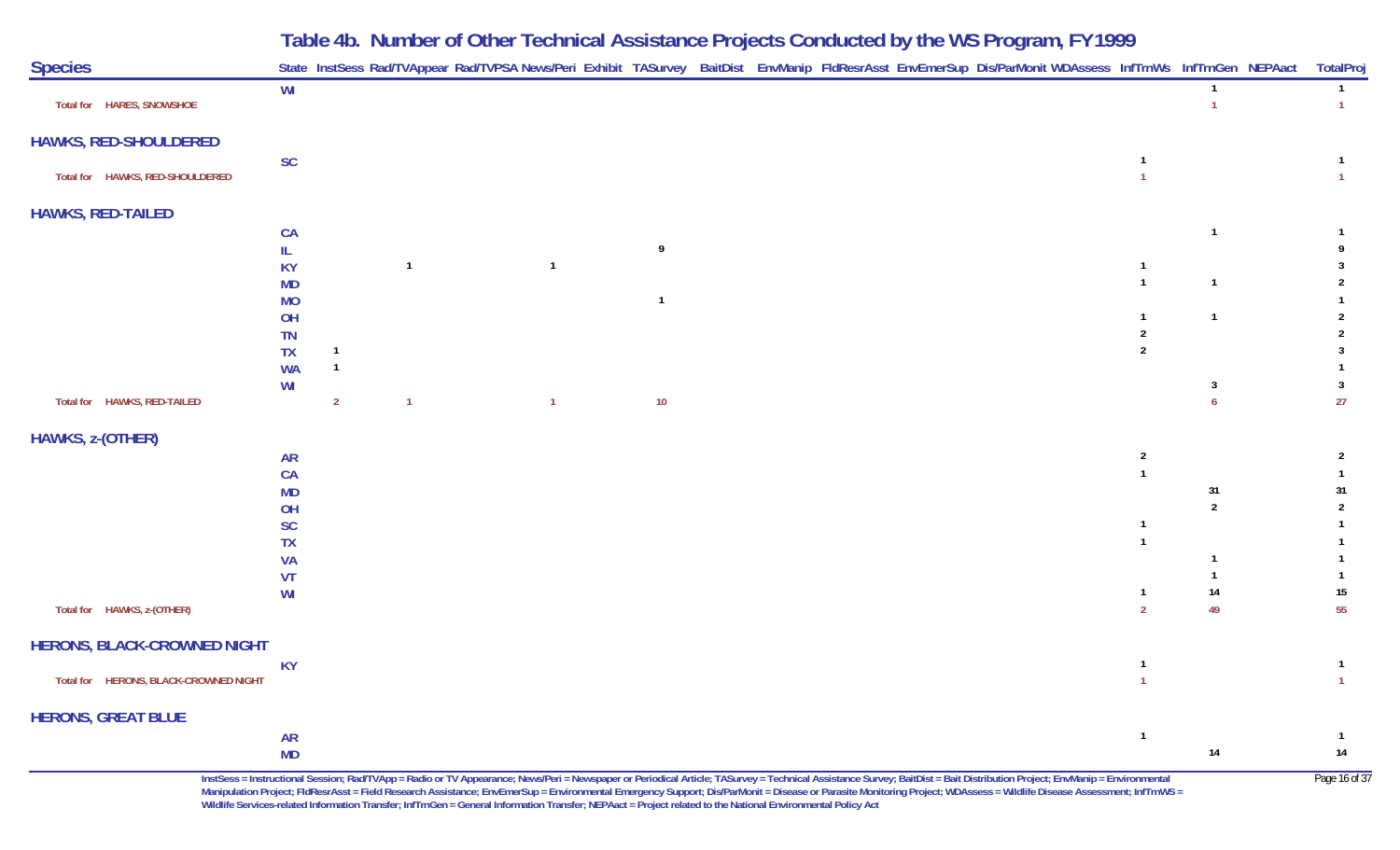| <b>Species</b>                        |                 |                                  |                |                |     |  |  | State InstSess Rad/TVAppear Rad/TVPSA News/Peri Exhibit TASurvey BaitDist EnvManip FldResrAsst EnvEmerSup Dis/ParMonit WDAssess InfTrnWs InfTrnGen NEPAact |                                  |                                | TotalPro                       |
|---------------------------------------|-----------------|----------------------------------|----------------|----------------|-----|--|--|------------------------------------------------------------------------------------------------------------------------------------------------------------|----------------------------------|--------------------------------|--------------------------------|
| Total for HARES, SNOWSHOE             | WI              |                                  |                |                |     |  |  |                                                                                                                                                            |                                  | $\overline{1}$<br>$\mathbf{1}$ | $\mathbf{1}$<br>1 <sup>1</sup> |
| <b>HAWKS, RED-SHOULDERED</b>          |                 |                                  |                |                |     |  |  |                                                                                                                                                            |                                  |                                |                                |
| Total for HAWKS, RED-SHOULDERED       | <b>SC</b>       |                                  |                |                |     |  |  |                                                                                                                                                            | $\mathbf{1}$<br>$\mathbf{1}$     |                                | $\mathbf{1}$<br>$\mathbf{1}$   |
| <b>HAWKS, RED-TAILED</b>              |                 |                                  |                |                |     |  |  |                                                                                                                                                            |                                  |                                |                                |
|                                       | CA              |                                  |                |                |     |  |  |                                                                                                                                                            |                                  | $\overline{1}$                 | $\mathbf{1}$                   |
|                                       | IL<br>KY        |                                  | $\overline{1}$ | $\overline{1}$ | - 9 |  |  |                                                                                                                                                            | $\overline{1}$                   |                                | 9<br>3                         |
|                                       | <b>MD</b>       |                                  |                |                |     |  |  |                                                                                                                                                            | $\mathbf{1}$                     | $\mathbf{1}$                   | 2                              |
|                                       | <b>MO</b>       |                                  |                |                |     |  |  |                                                                                                                                                            |                                  |                                | $\mathbf{1}$                   |
|                                       | OH              |                                  |                |                |     |  |  |                                                                                                                                                            | $\mathbf{1}$                     | $\overline{1}$                 | $\overline{2}$                 |
|                                       | TN              |                                  |                |                |     |  |  |                                                                                                                                                            | $\overline{2}$<br>$\overline{2}$ |                                | $\overline{2}$                 |
|                                       | TX<br><b>WA</b> | $\overline{1}$<br>$\overline{1}$ |                |                |     |  |  |                                                                                                                                                            |                                  |                                | $\mathbf{3}$<br>$\mathbf{1}$   |
|                                       | WI              |                                  |                |                |     |  |  |                                                                                                                                                            |                                  | $\mathbf{3}$                   | $\mathbf{3}$                   |
| Total for HAWKS, RED-TAILED           |                 | $\overline{2}$                   | $\overline{1}$ | $\overline{1}$ | 10  |  |  |                                                                                                                                                            |                                  | 6 <sup>1</sup>                 | 27                             |
| HAWKS, z-(OTHER)                      |                 |                                  |                |                |     |  |  |                                                                                                                                                            |                                  |                                |                                |
|                                       | <b>AR</b>       |                                  |                |                |     |  |  |                                                                                                                                                            | $\overline{2}$                   |                                | $\overline{2}$                 |
|                                       | CA              |                                  |                |                |     |  |  |                                                                                                                                                            | $\mathbf{1}$                     |                                | $\mathbf{1}$                   |
|                                       | MD<br>OH        |                                  |                |                |     |  |  |                                                                                                                                                            |                                  | 31<br>$\overline{2}$           | 31<br>$\overline{2}$           |
|                                       | SC              |                                  |                |                |     |  |  |                                                                                                                                                            | $\overline{1}$                   |                                | $\mathbf{1}$                   |
|                                       | <b>TX</b>       |                                  |                |                |     |  |  |                                                                                                                                                            | $\mathbf{1}$                     |                                | $\mathbf{1}$                   |
|                                       | <b>VA</b>       |                                  |                |                |     |  |  |                                                                                                                                                            |                                  | 1                              | $\overline{1}$                 |
|                                       | VT              |                                  |                |                |     |  |  |                                                                                                                                                            |                                  |                                | $\mathbf{1}$                   |
| Total for HAWKS, z-(OTHER)            | WI              |                                  |                |                |     |  |  |                                                                                                                                                            | $\overline{1}$<br>$\overline{2}$ | $14$<br>49                     | $15\,$<br>55                   |
| <b>HERONS, BLACK-CROWNED NIGHT</b>    |                 |                                  |                |                |     |  |  |                                                                                                                                                            |                                  |                                |                                |
|                                       | <b>KY</b>       |                                  |                |                |     |  |  |                                                                                                                                                            | $\mathbf{1}$                     |                                | $\mathbf{1}$                   |
| Total for HERONS, BLACK-CROWNED NIGHT |                 |                                  |                |                |     |  |  |                                                                                                                                                            | $\overline{1}$                   |                                | $\mathbf{1}$                   |
| <b>HERONS, GREAT BLUE</b>             |                 |                                  |                |                |     |  |  |                                                                                                                                                            |                                  |                                |                                |
|                                       | <b>AR</b><br>MD |                                  |                |                |     |  |  |                                                                                                                                                            | $\mathbf{1}$                     | 14                             | $\overline{1}$<br>$14$         |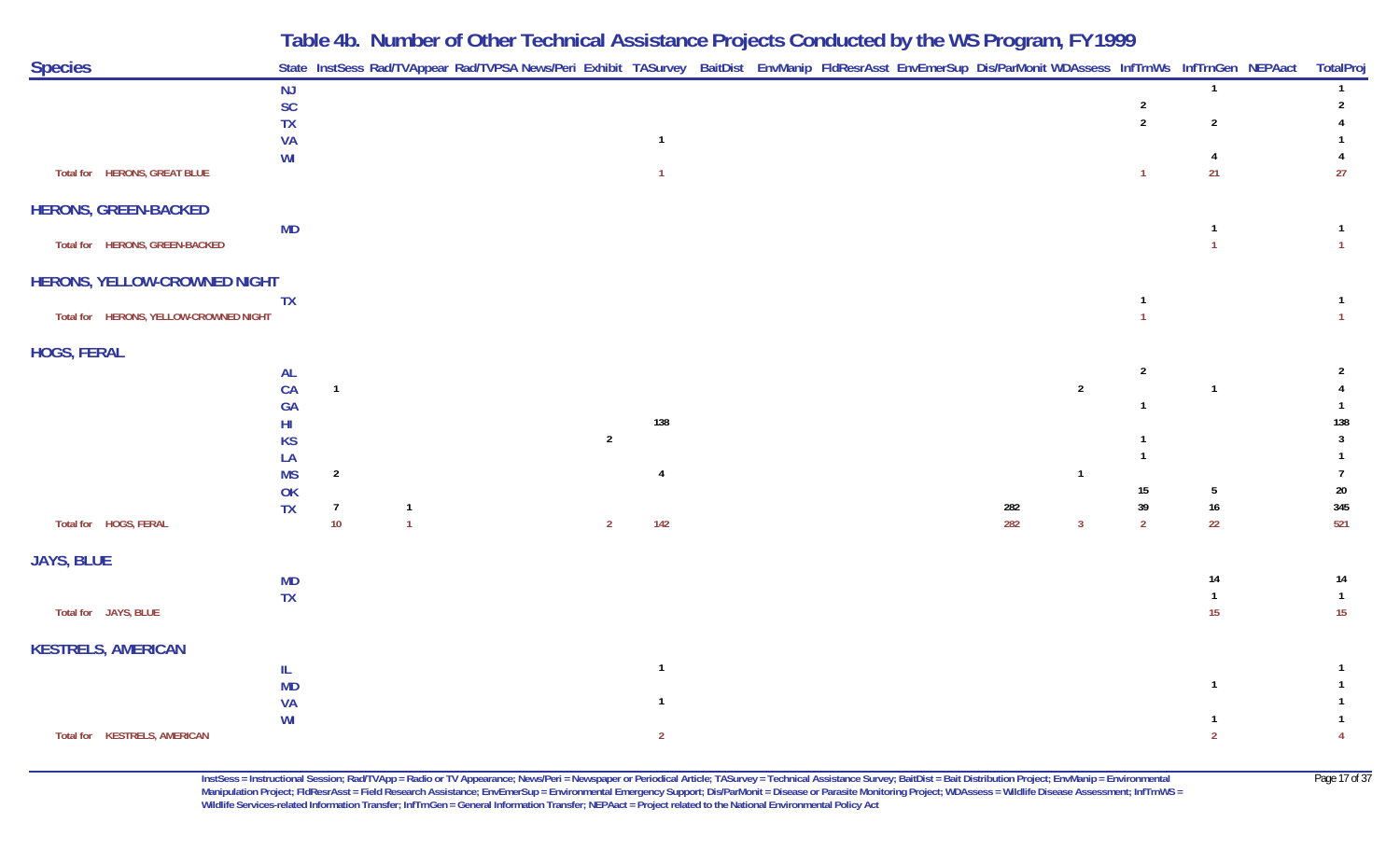| <b>Species</b>                         |                 |                |                | State InstSess Rad/TVAppear Rad/TVPSA News/Peri Exhibit TASurvey BaitDist EnvManip FldResrAsst EnvEmerSup Dis/ParMonit WDAssess InfTrnWs InfTrnGen NEPAact |                |                |  |  | ◡   |                |                |                 | TotalProj                        |
|----------------------------------------|-----------------|----------------|----------------|------------------------------------------------------------------------------------------------------------------------------------------------------------|----------------|----------------|--|--|-----|----------------|----------------|-----------------|----------------------------------|
|                                        | <b>NJ</b>       |                |                |                                                                                                                                                            |                |                |  |  |     |                |                | $\overline{1}$  | $\mathbf{1}$                     |
|                                        | SC              |                |                |                                                                                                                                                            |                |                |  |  |     |                | $\overline{2}$ |                 | $\overline{2}$                   |
|                                        | <b>TX</b><br>VA |                |                |                                                                                                                                                            |                | $\overline{1}$ |  |  |     |                | $\overline{2}$ | $\overline{2}$  |                                  |
|                                        | WI              |                |                |                                                                                                                                                            |                |                |  |  |     |                |                | $\overline{4}$  | 4                                |
| Total for HERONS, GREAT BLUE           |                 |                |                |                                                                                                                                                            |                |                |  |  |     |                | $\mathbf{1}$   | 21              | 27                               |
| <b>HERONS, GREEN-BACKED</b>            |                 |                |                |                                                                                                                                                            |                |                |  |  |     |                |                |                 |                                  |
| Total for HERONS, GREEN-BACKED         | <b>MD</b>       |                |                |                                                                                                                                                            |                |                |  |  |     |                |                |                 | $\mathbf{1}$<br>$\overline{1}$   |
| HERONS, YELLOW-CROWNED NIGHT           |                 |                |                |                                                                                                                                                            |                |                |  |  |     |                |                |                 |                                  |
| Total for HERONS, YELLOW-CROWNED NIGHT | <b>TX</b>       |                |                |                                                                                                                                                            |                |                |  |  |     |                | $\overline{1}$ |                 | $\overline{1}$<br>$\overline{1}$ |
| <b>HOGS, FERAL</b>                     |                 |                |                |                                                                                                                                                            |                |                |  |  |     |                |                |                 |                                  |
|                                        | <b>AL</b>       |                |                |                                                                                                                                                            |                |                |  |  |     |                | $\overline{2}$ |                 | $\overline{2}$                   |
|                                        | CA              | $\overline{1}$ |                |                                                                                                                                                            |                |                |  |  |     | $\overline{2}$ |                | -1              |                                  |
|                                        | GA              |                |                |                                                                                                                                                            |                | 138            |  |  |     |                |                |                 | 138                              |
|                                        | HI<br><b>KS</b> |                |                |                                                                                                                                                            | $\overline{2}$ |                |  |  |     |                |                |                 | $\overline{3}$                   |
|                                        | LA              |                |                |                                                                                                                                                            |                |                |  |  |     |                |                |                 |                                  |
|                                        | <b>MS</b>       | $\overline{2}$ |                |                                                                                                                                                            |                |                |  |  |     | $\mathbf{1}$   |                |                 | $\overline{7}$                   |
|                                        | OK              |                |                |                                                                                                                                                            |                |                |  |  |     |                | 15             | $5\phantom{.0}$ | $20\,$                           |
|                                        | <b>TX</b>       | $\overline{7}$ | $\overline{1}$ |                                                                                                                                                            |                |                |  |  | 282 |                | $39\,$         | $16\,$          | 345                              |
| Total for HOGS, FERAL                  |                 | $10$           | $\overline{1}$ |                                                                                                                                                            | $\overline{2}$ | 142            |  |  | 282 | $\mathbf{3}$   | $\overline{2}$ | 22              | 521                              |
| <b>JAYS, BLUE</b>                      |                 |                |                |                                                                                                                                                            |                |                |  |  |     |                |                |                 |                                  |
|                                        | <b>MD</b>       |                |                |                                                                                                                                                            |                |                |  |  |     |                |                | 14              | 14                               |
| Total for JAYS, BLUE                   | <b>TX</b>       |                |                |                                                                                                                                                            |                |                |  |  |     |                |                | 15              | $\overline{1}$<br>15             |
| <b>KESTRELS, AMERICAN</b>              |                 |                |                |                                                                                                                                                            |                |                |  |  |     |                |                |                 |                                  |
|                                        | Ш.              |                |                |                                                                                                                                                            |                | $\overline{1}$ |  |  |     |                |                |                 |                                  |
|                                        | <b>MD</b>       |                |                |                                                                                                                                                            |                |                |  |  |     |                |                |                 |                                  |
|                                        | <b>VA</b><br>WI |                |                |                                                                                                                                                            |                |                |  |  |     |                |                |                 |                                  |
| Total for KESTRELS, AMERICAN           |                 |                |                |                                                                                                                                                            |                | $\overline{2}$ |  |  |     |                |                | $\overline{2}$  |                                  |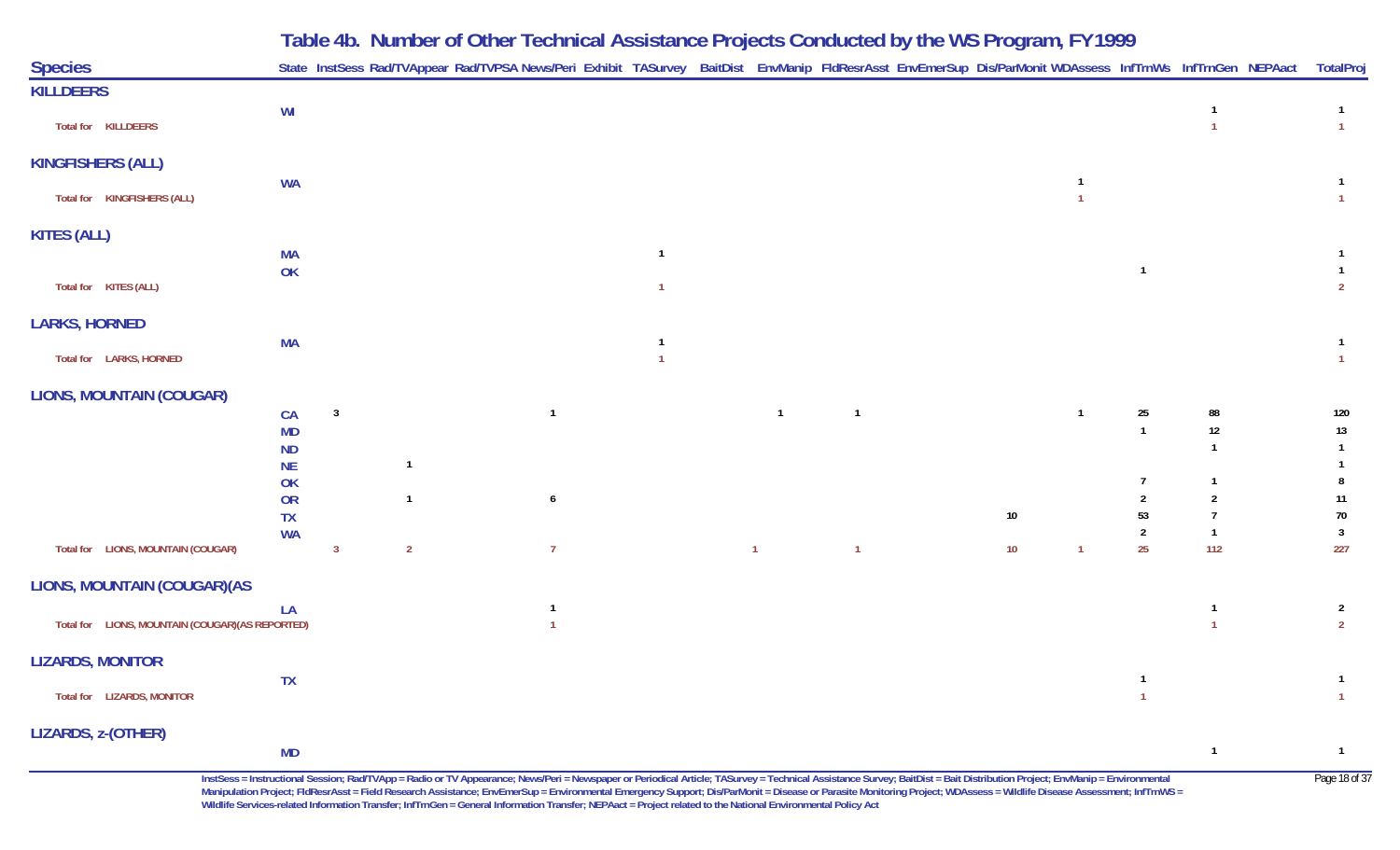|                                                  |                        |                         |                |                |  |              | Table 4b. Number of Other Technical Assistance Projects Conducted by the WS Program, FY 1999                                                               |    |    |                |                |
|--------------------------------------------------|------------------------|-------------------------|----------------|----------------|--|--------------|------------------------------------------------------------------------------------------------------------------------------------------------------------|----|----|----------------|----------------|
| <b>Species</b>                                   |                        |                         |                |                |  |              | State InstSess Rad/TVAppear Rad/TVPSA News/Peri Exhibit TASurvey BaitDist EnvManip FldResrAsst EnvEmerSup Dis/ParMonit WDAssess InfTrnWs InfTrnGen NEPAact |    |    |                | TotalPro       |
| <b>KILLDEERS</b>                                 |                        |                         |                |                |  |              |                                                                                                                                                            |    |    |                |                |
| Total for KILLDEERS                              | WI                     |                         |                |                |  |              |                                                                                                                                                            |    |    |                |                |
| <b>KINGFISHERS (ALL)</b>                         |                        |                         |                |                |  |              |                                                                                                                                                            |    |    |                |                |
|                                                  | <b>WA</b>              |                         |                |                |  |              |                                                                                                                                                            |    |    |                |                |
| Total for KINGFISHERS (ALL)                      |                        |                         |                |                |  |              |                                                                                                                                                            |    |    |                |                |
| <b>KITES (ALL)</b>                               |                        |                         |                |                |  |              |                                                                                                                                                            |    |    |                |                |
|                                                  | <b>MA</b>              |                         |                |                |  |              |                                                                                                                                                            |    |    |                |                |
| Total for KITES (ALL)                            | OK                     |                         |                |                |  |              |                                                                                                                                                            |    |    |                | $\overline{2}$ |
|                                                  |                        |                         |                |                |  |              |                                                                                                                                                            |    |    |                |                |
| <b>LARKS, HORNED</b>                             |                        |                         |                |                |  |              |                                                                                                                                                            |    |    |                |                |
|                                                  | <b>MA</b>              |                         |                |                |  |              |                                                                                                                                                            |    |    |                |                |
| Total for LARKS, HORNED                          |                        |                         |                |                |  |              |                                                                                                                                                            |    |    |                |                |
| <b>LIONS, MOUNTAIN (COUGAR)</b>                  |                        |                         |                |                |  |              |                                                                                                                                                            |    |    |                |                |
|                                                  | CA                     | $\overline{\mathbf{3}}$ |                | $\overline{1}$ |  | $\mathbf{1}$ |                                                                                                                                                            |    | 25 | 88             | 120            |
|                                                  | MD                     |                         |                |                |  |              |                                                                                                                                                            |    |    | 12             | 13             |
|                                                  | <b>ND</b><br><b>NE</b> |                         | -1             |                |  |              |                                                                                                                                                            |    |    |                |                |
|                                                  | OK                     |                         |                |                |  |              |                                                                                                                                                            |    |    |                |                |
|                                                  | OR                     |                         |                | 6              |  |              |                                                                                                                                                            |    |    |                | 11             |
|                                                  | <b>TX</b><br><b>WA</b> |                         |                |                |  |              |                                                                                                                                                            | 10 | 53 |                | 70<br>3        |
| Total for LIONS, MOUNTAIN (COUGAR)               |                        | 3                       | $\overline{2}$ | -7             |  | $\mathbf{1}$ |                                                                                                                                                            | 10 | 25 | 112            | 227            |
| LIONS, MOUNTAIN (COUGAR) (AS                     |                        |                         |                |                |  |              |                                                                                                                                                            |    |    |                |                |
|                                                  | LA                     |                         |                |                |  |              |                                                                                                                                                            |    |    |                | $\mathbf{2}$   |
| Total for LIONS, MOUNTAIN (COUGAR) (AS REPORTED) |                        |                         |                |                |  |              |                                                                                                                                                            |    |    |                | $\overline{2}$ |
| <b>LIZARDS, MONITOR</b>                          |                        |                         |                |                |  |              |                                                                                                                                                            |    |    |                |                |
|                                                  | <b>TX</b>              |                         |                |                |  |              |                                                                                                                                                            |    |    |                | $\overline{1}$ |
| Total for LIZARDS, MONITOR                       |                        |                         |                |                |  |              |                                                                                                                                                            |    |    |                | $\mathbf{1}$   |
| LIZARDS, z-(OTHER)                               |                        |                         |                |                |  |              |                                                                                                                                                            |    |    |                |                |
|                                                  | <b>MD</b>              |                         |                |                |  |              |                                                                                                                                                            |    |    | $\overline{1}$ | $\overline{1}$ |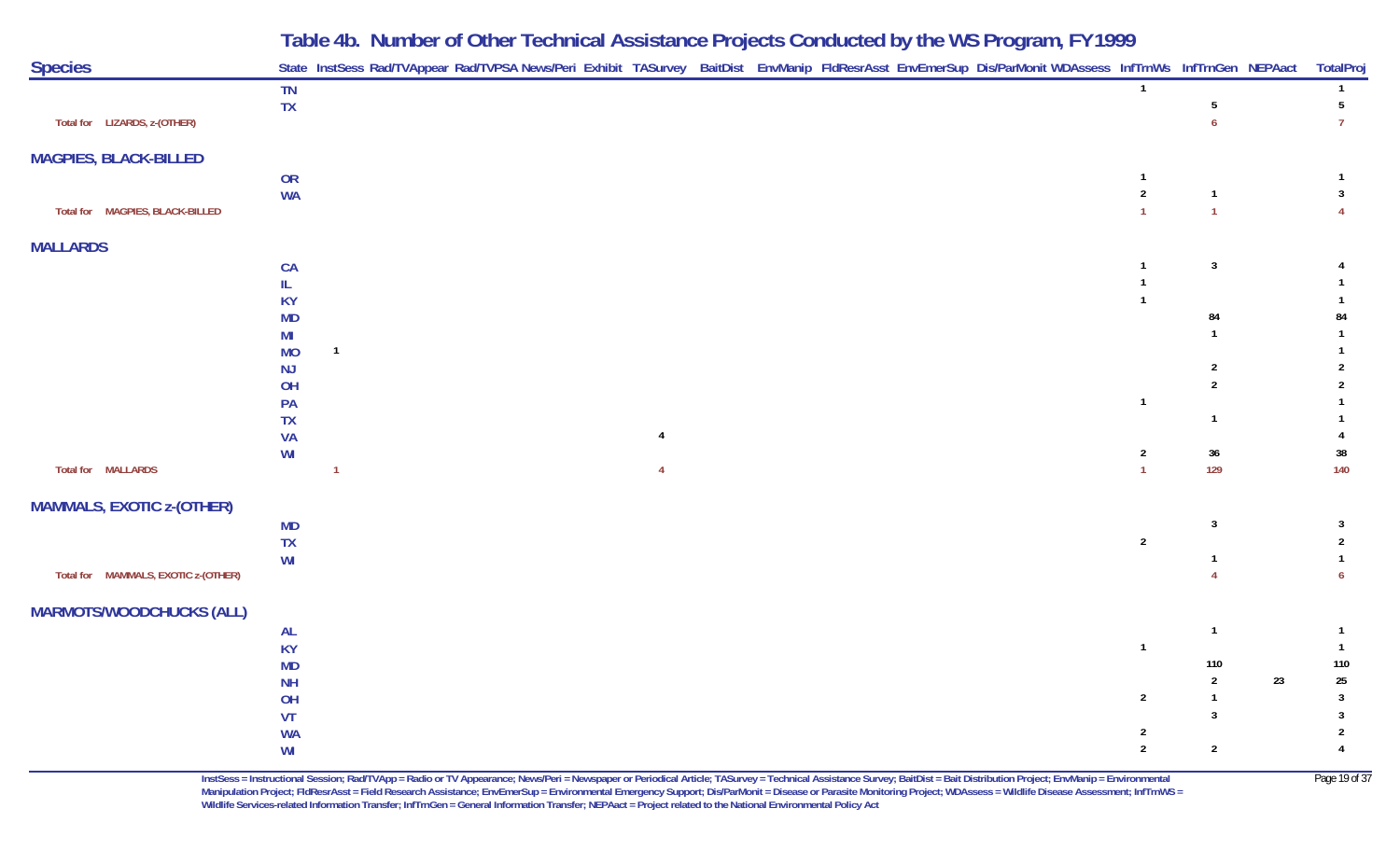|                                     | Table 4b. Number of Other Technical Assistance Projects Conducted by the WS Program, FY 1999                                                               |  |                |                      |                 |
|-------------------------------------|------------------------------------------------------------------------------------------------------------------------------------------------------------|--|----------------|----------------------|-----------------|
| <b>Species</b>                      | State InstSess Rad/TVAppear Rad/TVPSA News/Peri Exhibit TASurvey BaitDist EnvManip FldResrAsst EnvEmerSup Dis/ParMonit WDAssess InfTrnWs InfTrnGen NEPAact |  |                |                      | TotalProj       |
| Total for LIZARDS, z-(OTHER)        | TN<br><b>TX</b>                                                                                                                                            |  |                |                      | $5\overline{)}$ |
| <b>MAGPIES, BLACK-BILLED</b>        |                                                                                                                                                            |  |                |                      |                 |
|                                     | OR                                                                                                                                                         |  |                |                      |                 |
| Total for MAGPIES, BLACK-BILLED     | <b>WA</b>                                                                                                                                                  |  | 2              |                      |                 |
| <b>MALLARDS</b>                     |                                                                                                                                                            |  |                |                      |                 |
|                                     | CA                                                                                                                                                         |  |                | 3                    |                 |
|                                     | IL                                                                                                                                                         |  |                |                      |                 |
|                                     | <b>KY</b><br><b>MD</b>                                                                                                                                     |  |                | 84                   | 84              |
|                                     | MI                                                                                                                                                         |  |                |                      |                 |
|                                     | $\mathbf{1}$<br><b>MO</b>                                                                                                                                  |  |                |                      |                 |
|                                     | <b>NJ</b>                                                                                                                                                  |  |                |                      |                 |
|                                     | <b>OH</b><br><b>PA</b>                                                                                                                                     |  |                |                      |                 |
|                                     | <b>TX</b>                                                                                                                                                  |  |                |                      |                 |
|                                     | <b>VA</b>                                                                                                                                                  |  |                |                      |                 |
|                                     | WI                                                                                                                                                         |  | 2              | 36                   | 38              |
| <b>Total for MALLARDS</b>           |                                                                                                                                                            |  |                | 129                  | 140             |
| <b>MAMMALS, EXOTIC z-(OTHER)</b>    |                                                                                                                                                            |  |                |                      |                 |
|                                     | <b>MD</b>                                                                                                                                                  |  |                | 3                    |                 |
|                                     | <b>TX</b>                                                                                                                                                  |  | $\overline{2}$ |                      |                 |
| Total for MAMMALS, EXOTIC z-(OTHER) | WI                                                                                                                                                         |  |                |                      |                 |
| <b>MARMOTS/WOODCHUCKS (ALL)</b>     |                                                                                                                                                            |  |                |                      |                 |
|                                     | <b>AL</b>                                                                                                                                                  |  |                |                      |                 |
|                                     | <b>KY</b>                                                                                                                                                  |  | $\overline{1}$ |                      |                 |
|                                     | <b>MD</b>                                                                                                                                                  |  |                | 110                  | 110             |
|                                     | <b>NH</b><br>OH                                                                                                                                            |  | $\overline{2}$ | 23<br>$\overline{2}$ | 25<br>3         |
|                                     | VT                                                                                                                                                         |  |                | 3                    | $\mathbf{3}$    |
|                                     | <b>WA</b>                                                                                                                                                  |  | $\overline{2}$ |                      | 2               |
|                                     | WI                                                                                                                                                         |  | $\overline{2}$ | $\overline{2}$       |                 |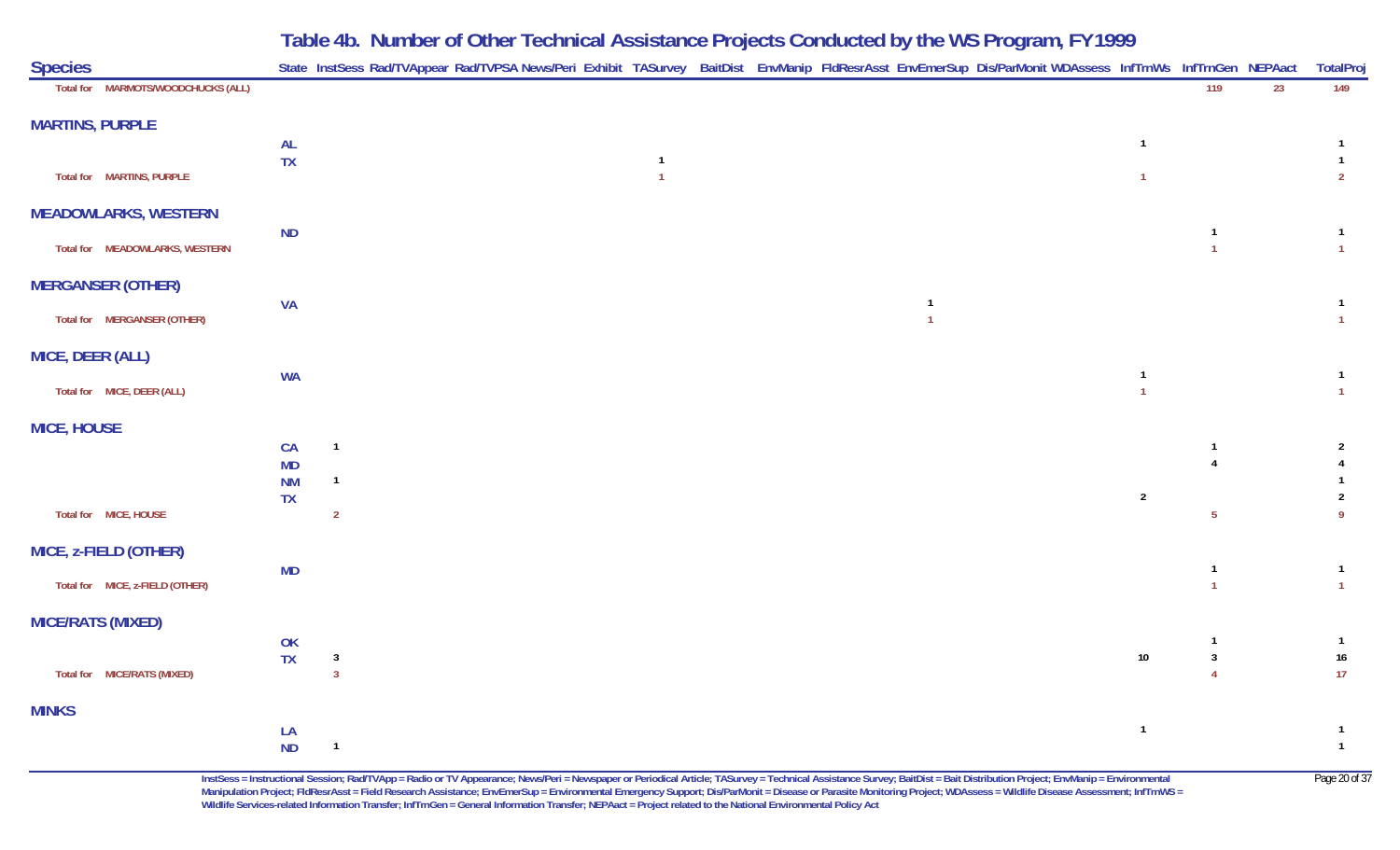| <b>Species</b>                     |                        | State InstSess Rad/TVAppear Rad/TVPSA News/Peri Exhibit TASurvey BaitDist EnvManip FldResrAsst EnvEmerSup Dis/ParMonit WDAssess InfTrnWs InfTrnGen NEPAact |                |  |                                  |                         |                                  |    | TotalProj                        |
|------------------------------------|------------------------|------------------------------------------------------------------------------------------------------------------------------------------------------------|----------------|--|----------------------------------|-------------------------|----------------------------------|----|----------------------------------|
| Total for MARMOTS/WOODCHUCKS (ALL) |                        |                                                                                                                                                            |                |  |                                  |                         | $\frac{119}{119}$                | 23 | 149                              |
| <b>MARTINS, PURPLE</b>             |                        |                                                                                                                                                            |                |  |                                  |                         |                                  |    |                                  |
|                                    | <b>AL</b><br><b>TX</b> |                                                                                                                                                            | $\overline{1}$ |  |                                  | $\overline{\mathbf{1}}$ |                                  |    | $\mathbf{1}$<br>$\mathbf{1}$     |
| Total for MARTINS, PURPLE          |                        |                                                                                                                                                            | $\overline{1}$ |  |                                  | $\overline{1}$          |                                  |    | $\overline{2}$                   |
| <b>MEADOWLARKS, WESTERN</b>        |                        |                                                                                                                                                            |                |  |                                  |                         |                                  |    |                                  |
| Total for MEADOWLARKS, WESTERN     | ND                     |                                                                                                                                                            |                |  |                                  |                         | $\overline{1}$<br>$\overline{1}$ |    | $\mathbf{1}$<br>$\overline{1}$   |
| <b>MERGANSER (OTHER)</b>           |                        |                                                                                                                                                            |                |  |                                  |                         |                                  |    |                                  |
| Total for MERGANSER (OTHER)        | <b>VA</b>              |                                                                                                                                                            |                |  | $\overline{1}$<br>$\overline{1}$ |                         |                                  |    | $\overline{1}$<br>$\overline{1}$ |
|                                    |                        |                                                                                                                                                            |                |  |                                  |                         |                                  |    |                                  |
| MICE, DEER (ALL)                   | <b>WA</b>              |                                                                                                                                                            |                |  |                                  | $\overline{\mathbf{1}}$ |                                  |    | $\mathbf{1}$                     |
| Total for MICE, DEER (ALL)         |                        |                                                                                                                                                            |                |  |                                  | $\overline{1}$          |                                  |    | $\mathbf{1}$                     |
| <b>MICE, HOUSE</b>                 |                        |                                                                                                                                                            |                |  |                                  |                         |                                  |    |                                  |
|                                    | CA<br>MD               | $\mathbf{1}$                                                                                                                                               |                |  |                                  |                         | -1<br>$\overline{4}$             |    | $\overline{2}$<br>$\overline{4}$ |
|                                    | $\mathsf{N}\mathsf{M}$ | $\mathbf{1}$                                                                                                                                               |                |  |                                  |                         |                                  |    | $\mathbf{1}$                     |
| Total for MICE, HOUSE              | TX                     | $\overline{2}$                                                                                                                                             |                |  |                                  | $\overline{2}$          | $5\phantom{.0}$                  |    | $\overline{2}$<br>9              |
| MICE, z-FIELD (OTHER)              |                        |                                                                                                                                                            |                |  |                                  |                         |                                  |    |                                  |
| Total for MICE, z-FIELD (OTHER)    | MD                     |                                                                                                                                                            |                |  |                                  |                         | $\overline{1}$<br>$\overline{1}$ |    | $\overline{1}$<br>$\mathbf{1}$   |
|                                    |                        |                                                                                                                                                            |                |  |                                  |                         |                                  |    |                                  |
| <b>MICE/RATS (MIXED)</b>           | OK                     |                                                                                                                                                            |                |  |                                  |                         | $\overline{1}$                   |    | $\overline{1}$                   |
|                                    | <b>TX</b>              | $\mathbf{3}$                                                                                                                                               |                |  |                                  | $10\,$                  | $\overline{\mathbf{3}}$          |    | 16                               |
| Total for MICE/RATS (MIXED)        |                        | $\overline{3}$                                                                                                                                             |                |  |                                  |                         | $\overline{4}$                   |    | 17                               |
| <b>MINKS</b>                       |                        |                                                                                                                                                            |                |  |                                  |                         |                                  |    |                                  |
|                                    | LA<br>ND               | $\overline{1}$                                                                                                                                             |                |  |                                  | $\overline{\mathbf{1}}$ |                                  |    | $\mathbf{1}$<br>$\overline{1}$   |
|                                    |                        |                                                                                                                                                            |                |  |                                  |                         |                                  |    |                                  |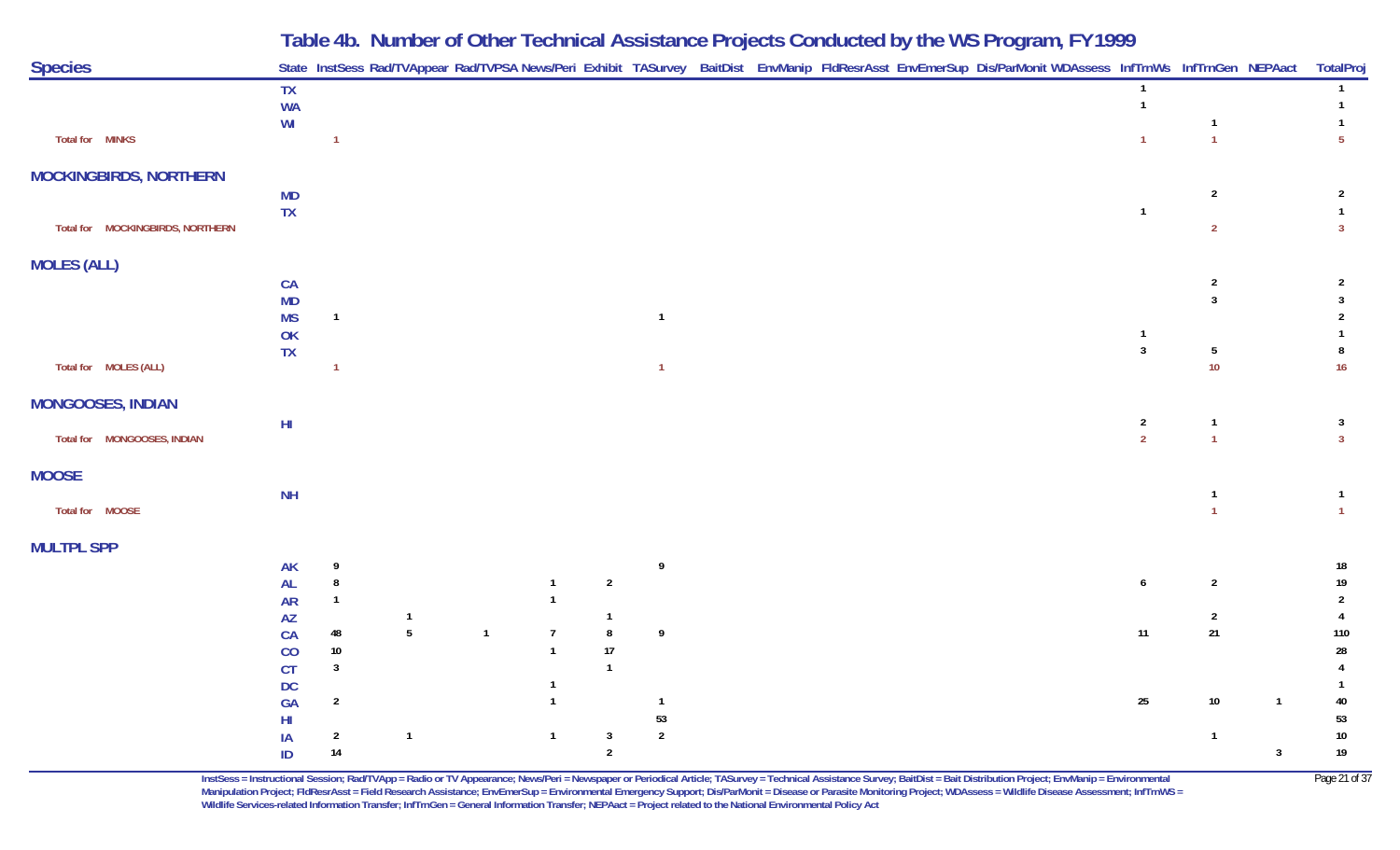| <b>Species</b>                   |                        |                    | State InstSess Rad/TVAppear Rad/TVPSA News/Peri Exhibit TASurvey BaitDist EnvManip FldResrAsst EnvEmerSup Dis/ParMonit WDAssess InfTrnWs InfTrnGen NEPAact |                |                                |                |                |  |  |  |                                  |                         |                | TotalProj                        |
|----------------------------------|------------------------|--------------------|------------------------------------------------------------------------------------------------------------------------------------------------------------|----------------|--------------------------------|----------------|----------------|--|--|--|----------------------------------|-------------------------|----------------|----------------------------------|
|                                  | <b>TX</b><br><b>WA</b> |                    |                                                                                                                                                            |                |                                |                |                |  |  |  | $\overline{1}$<br>$\overline{1}$ |                         |                | $\mathbf{1}$<br>$\mathbf{1}$     |
|                                  | W <sub>l</sub>         |                    |                                                                                                                                                            |                |                                |                |                |  |  |  |                                  | $\overline{1}$          |                | $\mathbf{1}$                     |
| Total for MINKS                  |                        | $\mathbf{1}$       |                                                                                                                                                            |                |                                |                |                |  |  |  | $\overline{1}$                   | $\overline{1}$          |                | 5 <sup>5</sup>                   |
| <b>MOCKINGBIRDS, NORTHERN</b>    |                        |                    |                                                                                                                                                            |                |                                |                |                |  |  |  |                                  |                         |                |                                  |
|                                  | <b>MD</b>              |                    |                                                                                                                                                            |                |                                |                |                |  |  |  |                                  | $\overline{2}$          |                | $\overline{2}$                   |
|                                  | TX                     |                    |                                                                                                                                                            |                |                                |                |                |  |  |  | $\overline{1}$                   |                         |                | $\mathbf{1}$                     |
| Total for MOCKINGBIRDS, NORTHERN |                        |                    |                                                                                                                                                            |                |                                |                |                |  |  |  |                                  | $\overline{2}$          |                | $\mathbf{3}$                     |
| <b>MOLES (ALL)</b>               |                        |                    |                                                                                                                                                            |                |                                |                |                |  |  |  |                                  |                         |                |                                  |
|                                  | CA                     |                    |                                                                                                                                                            |                |                                |                |                |  |  |  |                                  | $\overline{2}$          |                | $\overline{2}$                   |
|                                  | <b>MD</b><br><b>MS</b> | $\overline{1}$     |                                                                                                                                                            |                |                                |                | $\overline{1}$ |  |  |  |                                  | $\overline{\mathbf{3}}$ |                | $\overline{3}$<br>$\overline{2}$ |
|                                  | OK                     |                    |                                                                                                                                                            |                |                                |                |                |  |  |  | $\overline{1}$                   |                         |                |                                  |
|                                  | <b>TX</b>              |                    |                                                                                                                                                            |                |                                |                |                |  |  |  | $\mathbf{3}$                     | $5\phantom{.0}$         |                | 8                                |
| Total for MOLES (ALL)            |                        | $\overline{1}$     |                                                                                                                                                            |                |                                |                | $\overline{1}$ |  |  |  |                                  | $10$                    |                | 16                               |
| <b>MONGOOSES, INDIAN</b>         |                        |                    |                                                                                                                                                            |                |                                |                |                |  |  |  |                                  |                         |                |                                  |
|                                  | $\mathsf{HI}$          |                    |                                                                                                                                                            |                |                                |                |                |  |  |  | $\overline{2}$                   | $\overline{1}$          |                | $\mathbf{3}$                     |
| Total for MONGOOSES, INDIAN      |                        |                    |                                                                                                                                                            |                |                                |                |                |  |  |  | $\overline{2}$                   | $\overline{1}$          |                | $\mathbf{3}$                     |
| <b>MOOSE</b>                     |                        |                    |                                                                                                                                                            |                |                                |                |                |  |  |  |                                  |                         |                |                                  |
|                                  | NH                     |                    |                                                                                                                                                            |                |                                |                |                |  |  |  |                                  |                         |                | $\mathbf{1}$                     |
| Total for MOOSE                  |                        |                    |                                                                                                                                                            |                |                                |                |                |  |  |  |                                  |                         |                | $\mathbf{1}$                     |
| <b>MULTPL SPP</b>                |                        |                    |                                                                                                                                                            |                |                                |                |                |  |  |  |                                  |                         |                |                                  |
|                                  | <b>AK</b>              | 9                  |                                                                                                                                                            |                |                                |                | 9              |  |  |  |                                  |                         |                | 18                               |
|                                  | AL                     | $\bf 8$            |                                                                                                                                                            |                | $\mathbf{1}$                   | $\overline{2}$ |                |  |  |  | 6                                | $\overline{2}$          |                | $19$                             |
|                                  | <b>AR</b>              | $\overline{1}$     |                                                                                                                                                            |                | $\mathbf{1}$                   |                |                |  |  |  |                                  |                         |                | $\overline{2}$                   |
|                                  | <b>AZ</b>              |                    | $\mathbf{1}$                                                                                                                                               |                |                                | $\overline{1}$ |                |  |  |  |                                  | $\overline{2}$          |                | $\overline{4}$                   |
|                                  | CA                     | $\bf 48$<br>$10\,$ | $5\overline{)}$                                                                                                                                            | $\overline{1}$ | $\overline{7}$<br>$\mathbf{1}$ | $\bf 8$<br>17  | $\pmb{9}$      |  |  |  | 11                               | $21$                    |                | 110<br>${\bf 28}$                |
|                                  | CO<br><b>CT</b>        | $\mathbf{3}$       |                                                                                                                                                            |                |                                | $\mathbf{1}$   |                |  |  |  |                                  |                         |                |                                  |
|                                  | DC                     |                    |                                                                                                                                                            |                |                                |                |                |  |  |  |                                  |                         |                | -1                               |
|                                  | GA                     | $\overline{2}$     |                                                                                                                                                            |                | $\mathbf{1}$                   |                | $\overline{1}$ |  |  |  | 25                               | $10\,$                  | $\overline{1}$ | 40                               |
|                                  | HI                     |                    |                                                                                                                                                            |                |                                |                | $53\,$         |  |  |  |                                  |                         |                | 53                               |
|                                  | IA                     | $\overline{2}$     | $\mathbf{1}$                                                                                                                                               |                | $\overline{1}$                 | $\overline{3}$ | $\sqrt{2}$     |  |  |  |                                  | $\overline{1}$          |                | $10\,$                           |
|                                  | $\sf ID$               | 14                 |                                                                                                                                                            |                |                                | $\overline{2}$ |                |  |  |  |                                  |                         | $\mathbf{3}$   | $19$                             |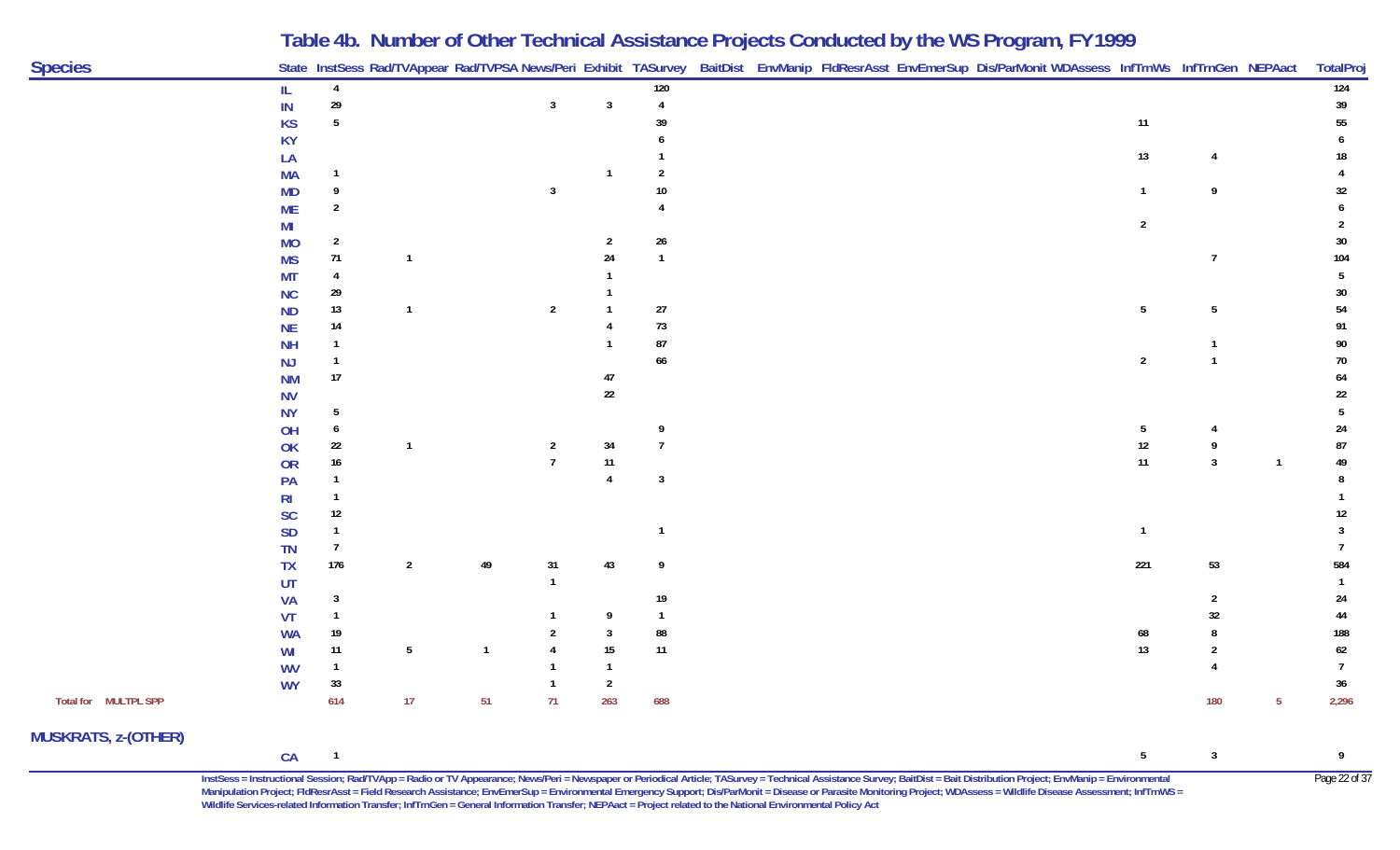| <b>Species</b>             |           |                  |                |                         |                |                |                |  | State InstSess Rad/TVAppear Rad/TVPSA News/Peri Exhibit TASurvey BaitDist EnvManip FldResrAsst EnvEmerSup Dis/ParMonit WDAssess InfTrnWs InfTrnGen NEPAact                                                                |                |                         |              | TotalProj      |
|----------------------------|-----------|------------------|----------------|-------------------------|----------------|----------------|----------------|--|---------------------------------------------------------------------------------------------------------------------------------------------------------------------------------------------------------------------------|----------------|-------------------------|--------------|----------------|
|                            | IL        | $\overline{4}$   |                |                         |                |                | 120            |  |                                                                                                                                                                                                                           |                |                         |              | 124            |
|                            | $\sf IN$  | 29               |                |                         | $\mathbf{3}$   | $\mathbf{3}$   | $\overline{4}$ |  |                                                                                                                                                                                                                           |                |                         |              | 39             |
|                            | <b>KS</b> | 5                |                |                         |                |                | 39             |  |                                                                                                                                                                                                                           | 11             |                         |              | 55             |
|                            | <b>KY</b> |                  |                |                         |                |                |                |  |                                                                                                                                                                                                                           |                |                         |              |                |
|                            | LA        |                  |                |                         |                |                |                |  |                                                                                                                                                                                                                           | 13             |                         |              | 18             |
|                            | <b>MA</b> |                  |                |                         |                |                |                |  |                                                                                                                                                                                                                           |                |                         |              |                |
|                            | <b>MD</b> |                  |                |                         | 3              |                |                |  |                                                                                                                                                                                                                           |                | 9                       |              | 32             |
|                            | <b>ME</b> | 2                |                |                         |                |                |                |  |                                                                                                                                                                                                                           |                |                         |              |                |
|                            | MI        |                  |                |                         |                |                |                |  |                                                                                                                                                                                                                           | $\overline{2}$ |                         |              |                |
|                            | <b>MO</b> | $\overline{2}$   |                |                         |                | 2              | 26             |  |                                                                                                                                                                                                                           |                |                         |              | 30             |
|                            | <b>MS</b> | 71               | $\mathbf{1}$   |                         |                | 24             | $\overline{1}$ |  |                                                                                                                                                                                                                           |                | $\overline{7}$          |              | 104            |
|                            | MT        |                  |                |                         |                |                |                |  |                                                                                                                                                                                                                           |                |                         |              |                |
|                            | <b>NC</b> | 29               |                |                         |                |                |                |  |                                                                                                                                                                                                                           |                |                         |              | 30             |
|                            | <b>ND</b> | 13               | $\mathbf{1}$   |                         | $\overline{2}$ |                | 27             |  |                                                                                                                                                                                                                           | 5              | 5                       |              | 54             |
|                            | <b>NE</b> | 14               |                |                         |                |                | $73\,$         |  |                                                                                                                                                                                                                           |                |                         |              | 91             |
|                            | <b>NH</b> |                  |                |                         |                |                | 87             |  |                                                                                                                                                                                                                           |                |                         |              | 90             |
|                            | <b>NJ</b> |                  |                |                         |                |                | 66             |  |                                                                                                                                                                                                                           | $\overline{2}$ |                         |              | 70             |
|                            | <b>NM</b> | $17\,$           |                |                         |                | 47             |                |  |                                                                                                                                                                                                                           |                |                         |              | 64             |
|                            | <b>NV</b> |                  |                |                         |                | $22\,$         |                |  |                                                                                                                                                                                                                           |                |                         |              | 22             |
|                            | <b>NY</b> | 5                |                |                         |                |                |                |  |                                                                                                                                                                                                                           |                |                         |              |                |
|                            | OH        | 6                |                |                         |                |                | 9              |  |                                                                                                                                                                                                                           | 5              |                         |              | 24             |
|                            | OK        | 22               | $\mathbf{1}$   |                         | $\overline{2}$ | 34             |                |  |                                                                                                                                                                                                                           | 12             | 9                       |              | 87             |
|                            | <b>OR</b> | $16\phantom{.0}$ |                |                         |                | $11$           |                |  |                                                                                                                                                                                                                           | $11$           | $\overline{3}$          | $\mathbf{1}$ | 49             |
|                            | PA        |                  |                |                         |                | $\mathbf{A}$   | $\mathbf{3}$   |  |                                                                                                                                                                                                                           |                |                         |              |                |
|                            | <b>RI</b> |                  |                |                         |                |                |                |  |                                                                                                                                                                                                                           |                |                         |              |                |
|                            | <b>SC</b> | 12               |                |                         |                |                |                |  |                                                                                                                                                                                                                           |                |                         |              | 12             |
|                            | <b>SD</b> |                  |                |                         |                |                |                |  |                                                                                                                                                                                                                           |                |                         |              |                |
|                            | <b>TN</b> |                  |                |                         |                |                |                |  |                                                                                                                                                                                                                           |                |                         |              |                |
|                            | <b>TX</b> | $176$            | $\overline{2}$ | 49                      | 31             | $43\,$         | 9              |  |                                                                                                                                                                                                                           | 221            | 53                      |              | 584            |
|                            | UT        |                  |                |                         |                |                |                |  |                                                                                                                                                                                                                           |                |                         |              |                |
|                            | VA        | 3                |                |                         |                |                | 19             |  |                                                                                                                                                                                                                           |                |                         |              | 24             |
|                            | VT        |                  |                |                         |                | 9              |                |  |                                                                                                                                                                                                                           |                | 32                      |              | 44             |
|                            | <b>WA</b> | 19               |                |                         |                | 3              | 88             |  |                                                                                                                                                                                                                           |                |                         |              | 188            |
|                            | WI        | $11$             | $\sqrt{5}$     | $\overline{\mathbf{1}}$ |                | $15\,$         | $11$           |  |                                                                                                                                                                                                                           | 13             |                         |              | $62\,$         |
|                            | <b>WV</b> | 1                |                |                         |                | -1             |                |  |                                                                                                                                                                                                                           |                |                         |              | $\overline{7}$ |
|                            | <b>WY</b> | 33               |                |                         | -1             | $\overline{2}$ |                |  |                                                                                                                                                                                                                           |                |                         |              | 36             |
| Total for MULTPL SPP       |           | 614              | 17             | 51                      | 71             | 263            | 688            |  |                                                                                                                                                                                                                           |                | 180                     | -5           | 2,296          |
| <b>MUSKRATS, z-(OTHER)</b> |           |                  |                |                         |                |                |                |  |                                                                                                                                                                                                                           |                |                         |              |                |
|                            | CA        | $\overline{1}$   |                |                         |                |                |                |  |                                                                                                                                                                                                                           | 5              | $\overline{\mathbf{3}}$ |              | 9              |
|                            |           |                  |                |                         |                |                |                |  | InstSess = Instructional Session; Rad/TVApp = Radio or TV Appearance; News/Peri = Newspaper or Periodical Article; TASurvey = Technical Assistance Survey; BaitDist = Bait Distribution Project; EnvManip = Environmental |                |                         |              | Page 22 of 37  |

**Manipulation Project; FldResrAsst = Field Research Assistance; EnvEmerSup = Environmental Emergency Support; Dis/ParMonit = Disease or Parasite Monitoring Project; WDAssess = Wildlife Disease Assessment; InfTrnWS = Wildlife Services-related Information Transfer; InfTrnGen = General Information Transfer; NEPAact = Project related to the National Environmental Policy Act**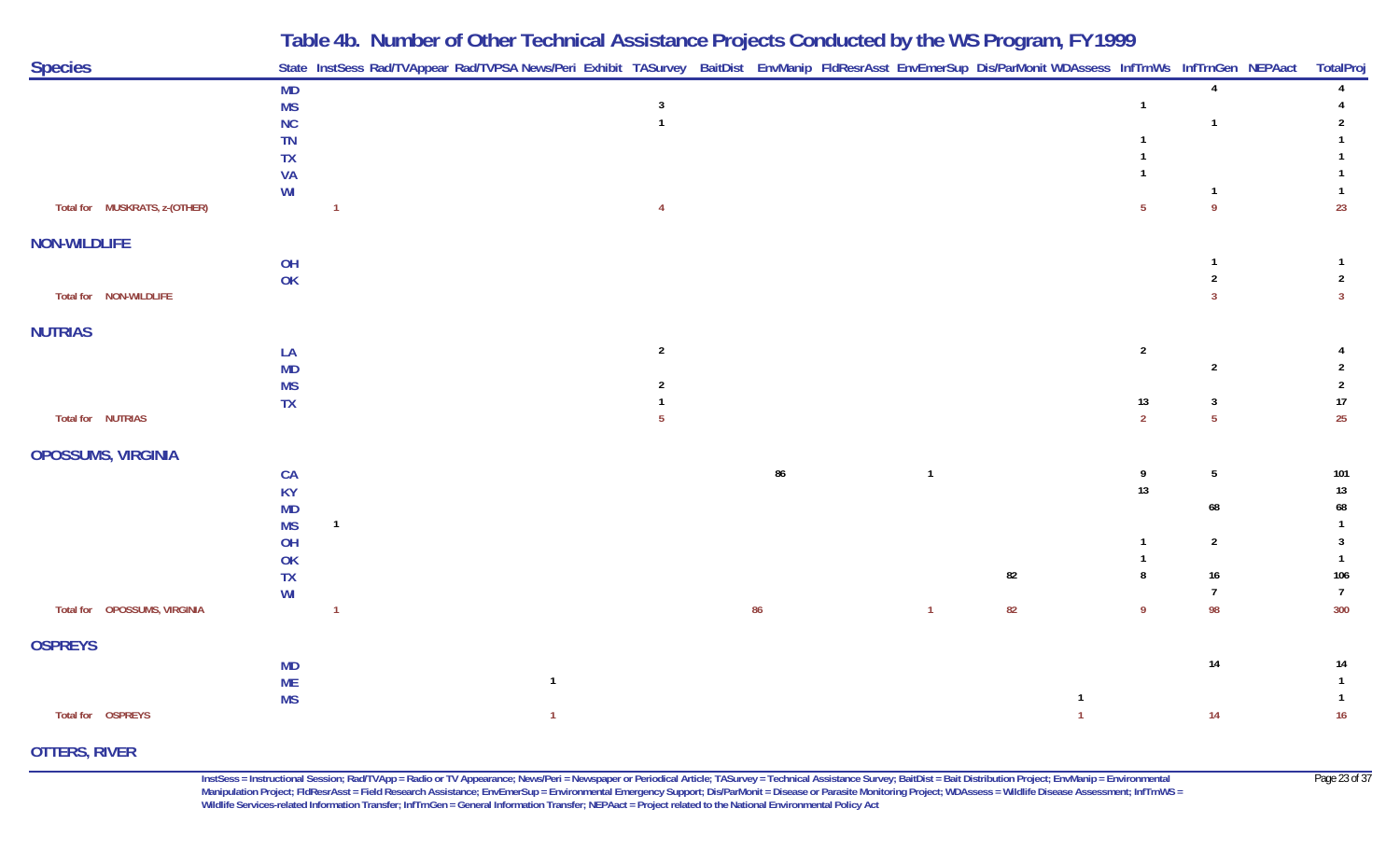| <b>Species</b>                |                        | Table 40. Natition of Other Technical Assistance Frojects conducted by the WST rogram, FT 1777<br>State InstSess Rad/TVAppear Rad/TVPSA News/Peri Exhibit TASurvey BaitDist EnvManip FldResrAsst EnvEmerSup Dis/ParMonit WDAssess InfTrnWs InfTrnGen NEPAact |                |                                |    |              |    |                |                 | TotalProj                |
|-------------------------------|------------------------|--------------------------------------------------------------------------------------------------------------------------------------------------------------------------------------------------------------------------------------------------------------|----------------|--------------------------------|----|--------------|----|----------------|-----------------|--------------------------|
|                               | <b>MD</b>              |                                                                                                                                                                                                                                                              |                |                                |    |              |    |                | $\Lambda$       |                          |
|                               | <b>MS</b>              |                                                                                                                                                                                                                                                              |                | $\overline{3}$<br>$\mathbf{1}$ |    |              |    | -1             | -1              |                          |
|                               | NC<br><b>TN</b>        |                                                                                                                                                                                                                                                              |                |                                |    |              |    |                |                 |                          |
|                               | <b>TX</b>              |                                                                                                                                                                                                                                                              |                |                                |    |              |    |                |                 |                          |
|                               | <b>VA</b>              |                                                                                                                                                                                                                                                              |                |                                |    |              |    |                |                 |                          |
|                               | WI                     |                                                                                                                                                                                                                                                              |                |                                |    |              |    |                | $\mathbf{1}$    |                          |
| Total for MUSKRATS, z-(OTHER) |                        |                                                                                                                                                                                                                                                              |                | $\overline{4}$                 |    |              |    | -5             | 9               | 23                       |
| <b>NON-WILDLIFE</b>           |                        |                                                                                                                                                                                                                                                              |                |                                |    |              |    |                |                 |                          |
|                               | OH                     |                                                                                                                                                                                                                                                              |                |                                |    |              |    |                |                 |                          |
|                               | OK                     |                                                                                                                                                                                                                                                              |                |                                |    |              |    |                | 2               | 2                        |
| Total for NON-WILDLIFE        |                        |                                                                                                                                                                                                                                                              |                |                                |    |              |    |                | $\mathbf{3}$    | $\overline{3}$           |
| <b>NUTRIAS</b>                |                        |                                                                                                                                                                                                                                                              |                |                                |    |              |    |                |                 |                          |
|                               | LA                     |                                                                                                                                                                                                                                                              |                | $\overline{2}$                 |    |              |    | $\overline{2}$ |                 |                          |
|                               | <b>MD</b>              |                                                                                                                                                                                                                                                              |                |                                |    |              |    |                | $\overline{2}$  |                          |
|                               | <b>MS</b><br><b>TX</b> |                                                                                                                                                                                                                                                              |                | 2                              |    |              |    | $13$           | $\mathbf{3}$    | $\overline{2}$<br>$17\,$ |
| Total for NUTRIAS             |                        |                                                                                                                                                                                                                                                              |                | 5                              |    |              |    | $\overline{2}$ | $5\phantom{.0}$ | 25                       |
|                               |                        |                                                                                                                                                                                                                                                              |                |                                |    |              |    |                |                 |                          |
| OPOSSUMS, VIRGINIA            |                        |                                                                                                                                                                                                                                                              |                |                                |    |              |    |                |                 |                          |
|                               | CA                     |                                                                                                                                                                                                                                                              |                |                                | 86 | $\mathbf{1}$ |    | 9              | $5\overline{)}$ | 101                      |
|                               | <b>KY</b>              |                                                                                                                                                                                                                                                              |                |                                |    |              |    | 13             |                 | 13                       |
|                               | <b>MD</b>              | $\mathbf{1}$                                                                                                                                                                                                                                                 |                |                                |    |              |    |                | 68              | 68                       |
|                               | <b>MS</b><br>OH        |                                                                                                                                                                                                                                                              |                |                                |    |              |    |                | $\overline{2}$  | -3                       |
|                               | OK                     |                                                                                                                                                                                                                                                              |                |                                |    |              |    |                |                 |                          |
|                               | TX                     |                                                                                                                                                                                                                                                              |                |                                |    |              | 82 | 8              | $16\,$          | 106                      |
|                               | WI                     |                                                                                                                                                                                                                                                              |                |                                |    |              |    |                | $\overline{7}$  | $\overline{7}$           |
| Total for  OPOSSUMS, VIRGINIA |                        |                                                                                                                                                                                                                                                              |                |                                | 86 | $\mathbf{1}$ | 82 | - 9            | 98              | 300                      |
| <b>OSPREYS</b>                |                        |                                                                                                                                                                                                                                                              |                |                                |    |              |    |                |                 |                          |
|                               | <b>MD</b>              |                                                                                                                                                                                                                                                              |                |                                |    |              |    |                | 14              | 14                       |
|                               | <b>ME</b>              |                                                                                                                                                                                                                                                              | $\overline{1}$ |                                |    |              |    |                |                 |                          |
|                               | <b>MS</b>              |                                                                                                                                                                                                                                                              |                |                                |    |              |    |                |                 |                          |
| Total for  OSPREYS            |                        |                                                                                                                                                                                                                                                              | 1              |                                |    |              |    |                | 14              | 16                       |

**OTTERS, RIVER**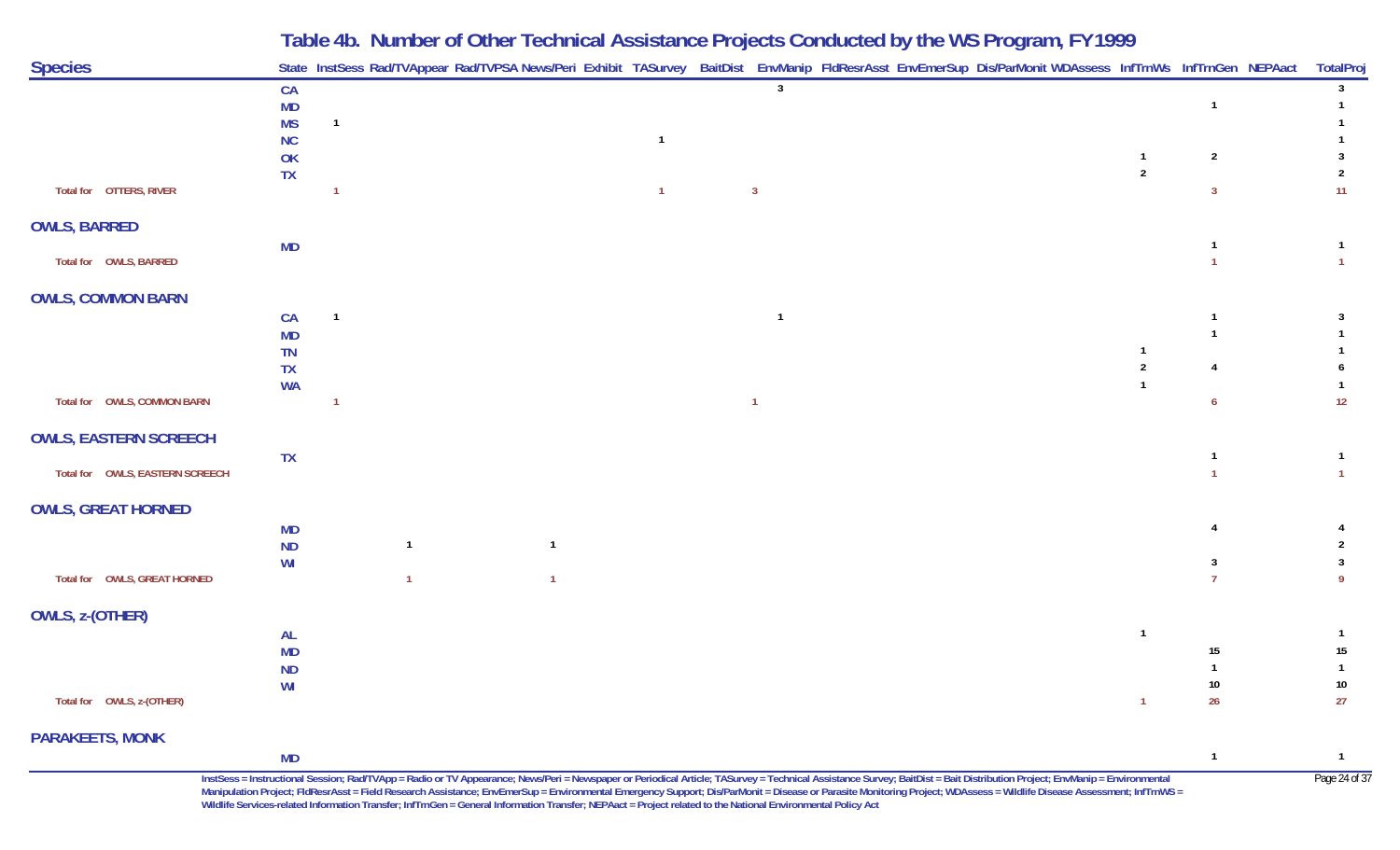| <b>Species</b>                  |                        | State InstSess Rad/TVAppear Rad/TVPSA News/Peri Exhibit TASurvey BaitDist EnvManip FldResrAsst EnvEmerSup Dis/ParMonit WDAssess InfTrnWs InfTrnGen NEPAact |                |                |                |  |                |                    | TotalProj                      |
|---------------------------------|------------------------|------------------------------------------------------------------------------------------------------------------------------------------------------------|----------------|----------------|----------------|--|----------------|--------------------|--------------------------------|
|                                 | CA                     |                                                                                                                                                            |                |                | $\overline{3}$ |  |                |                    | 3 <sup>7</sup>                 |
|                                 | <b>MD</b><br><b>MS</b> | $\overline{1}$                                                                                                                                             |                |                |                |  |                | $\overline{1}$     | $\mathbf{1}$<br>$\mathbf{1}$   |
|                                 | <b>NC</b>              |                                                                                                                                                            |                | $\mathbf{1}$   |                |  |                |                    |                                |
|                                 | OK                     |                                                                                                                                                            |                |                |                |  | $\mathbf{1}$   | $\overline{2}$     | 3                              |
| Total for  OTTERS, RIVER        | <b>TX</b>              | $\overline{1}$                                                                                                                                             |                | $\overline{1}$ | $\overline{3}$ |  | $\overline{2}$ | $\overline{3}$     | $\overline{2}$<br>11           |
| <b>OWLS, BARRED</b>             |                        |                                                                                                                                                            |                |                |                |  |                |                    |                                |
|                                 | <b>MD</b>              |                                                                                                                                                            |                |                |                |  |                | $\overline{1}$     | $\mathbf{1}$                   |
| Total for OWLS, BARRED          |                        |                                                                                                                                                            |                |                |                |  |                |                    | $\mathbf{1}$                   |
| <b>OWLS, COMMON BARN</b>        |                        |                                                                                                                                                            |                |                |                |  |                |                    |                                |
|                                 | CA                     | $\overline{1}$                                                                                                                                             |                |                | $\mathbf{1}$   |  |                | $\mathbf 1$        | $\mathbf{3}$                   |
|                                 | <b>MD</b><br>TN        |                                                                                                                                                            |                |                |                |  | $\mathbf{1}$   | $\overline{1}$     | $\mathbf{1}$<br>1              |
|                                 | TX                     |                                                                                                                                                            |                |                |                |  | $\sqrt{2}$     | $\overline{4}$     | 6                              |
|                                 | <b>WA</b>              |                                                                                                                                                            |                |                |                |  | $\mathbf{1}$   |                    | $\mathbf{1}$                   |
| Total for OWLS, COMMON BARN     |                        | $\overline{1}$                                                                                                                                             |                |                | $\overline{1}$ |  |                | $\overline{6}$     | 12                             |
| <b>OWLS, EASTERN SCREECH</b>    |                        |                                                                                                                                                            |                |                |                |  |                |                    |                                |
|                                 | <b>TX</b>              |                                                                                                                                                            |                |                |                |  |                | $\mathbf{1}$       | $\overline{1}$                 |
| Total for OWLS, EASTERN SCREECH |                        |                                                                                                                                                            |                |                |                |  |                |                    | $\mathbf{1}$                   |
| <b>OWLS, GREAT HORNED</b>       |                        |                                                                                                                                                            |                |                |                |  |                |                    |                                |
|                                 | <b>MD</b>              |                                                                                                                                                            |                |                |                |  |                | 4                  | 4                              |
|                                 | <b>ND</b><br>WI        | $\mathbf{1}$                                                                                                                                               | $\overline{1}$ |                |                |  |                | 3                  | $\overline{2}$<br>$\mathbf{3}$ |
| Total for OWLS, GREAT HORNED    |                        | $\overline{1}$                                                                                                                                             | $\mathbf{1}$   |                |                |  |                | $\overline{7}$     | 9                              |
| OWLS, z-(OTHER)                 |                        |                                                                                                                                                            |                |                |                |  |                |                    |                                |
|                                 | <b>AL</b>              |                                                                                                                                                            |                |                |                |  | $\mathbf{1}$   |                    | $\mathbf{1}$                   |
|                                 | MD                     |                                                                                                                                                            |                |                |                |  |                | 15<br>$\mathbf{1}$ | $15\,$                         |
|                                 | <b>ND</b><br>WI        |                                                                                                                                                            |                |                |                |  |                | $10\,$             | $\mathbf{1}$<br>$10\,$         |
| Total for OWLS, z-(OTHER)       |                        |                                                                                                                                                            |                |                |                |  | $\overline{1}$ | 26                 | 27                             |
| <b>PARAKEETS, MONK</b>          |                        |                                                                                                                                                            |                |                |                |  |                |                    |                                |
|                                 | <b>MD</b>              |                                                                                                                                                            |                |                |                |  |                | $\overline{1}$     | $\overline{1}$                 |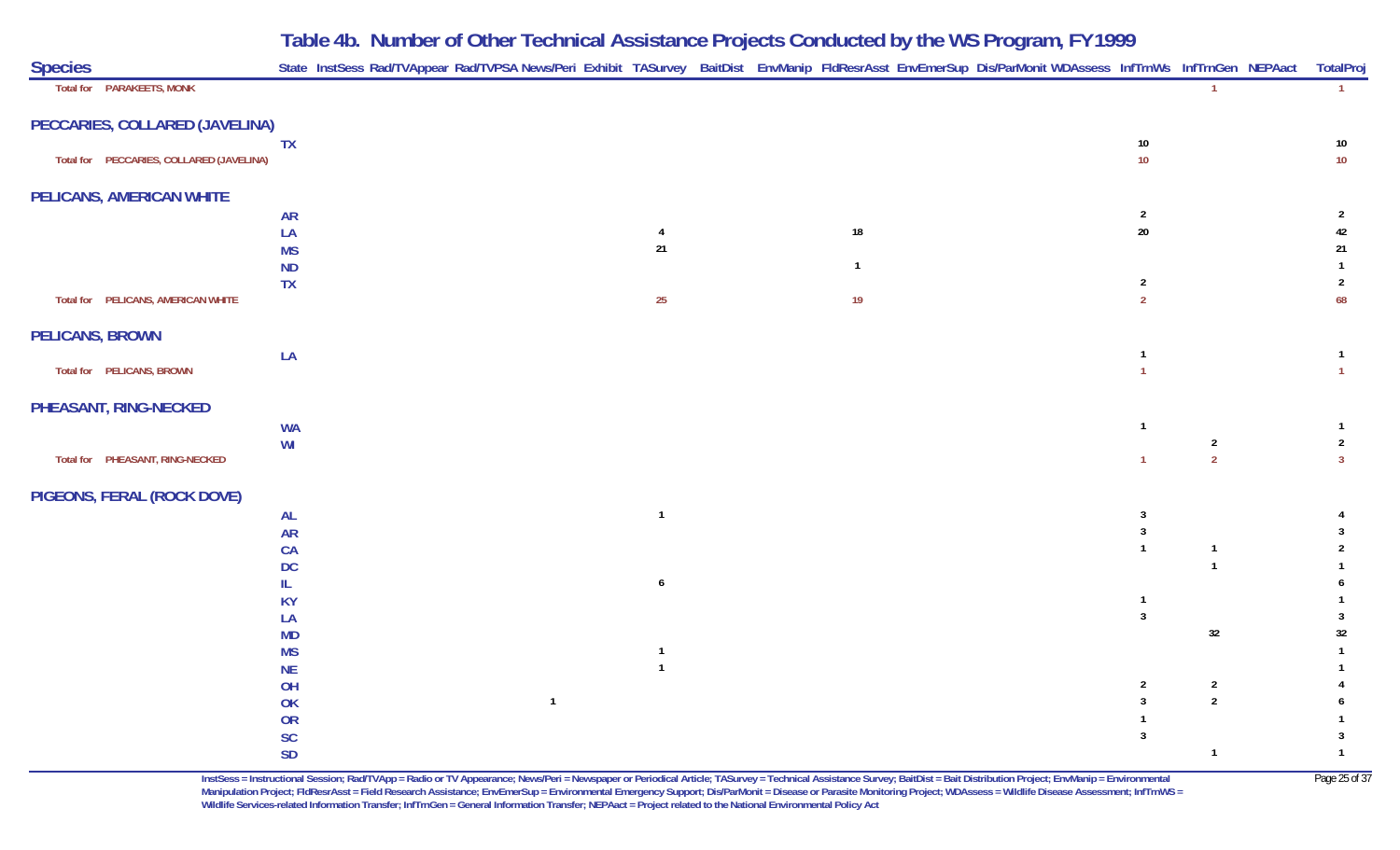| <b>Species</b>                           |                 | State InstSess Rad/TVAppear Rad/TVPSA News/Peri Exhibit TASurvey BaitDist EnvManip FldResrAsst EnvEmerSup Dis/ParMonit WDAssess InfTrnWs InfTrnGen NEPAact |                                  |  |              |  |                |                | TotalPro               |
|------------------------------------------|-----------------|------------------------------------------------------------------------------------------------------------------------------------------------------------|----------------------------------|--|--------------|--|----------------|----------------|------------------------|
| Total for PARAKEETS, MONK                |                 |                                                                                                                                                            |                                  |  |              |  |                |                | $\mathbf{1}$           |
| PECCARIES, COLLARED (JAVELINA)           |                 |                                                                                                                                                            |                                  |  |              |  |                |                |                        |
|                                          | <b>TX</b>       |                                                                                                                                                            |                                  |  |              |  | $10\,$         |                | 10                     |
| Total for PECCARIES, COLLARED (JAVELINA) |                 |                                                                                                                                                            |                                  |  |              |  | $10$           |                | $10$                   |
| PELICANS, AMERICAN WHITE                 |                 |                                                                                                                                                            |                                  |  |              |  |                |                |                        |
|                                          | <b>AR</b>       |                                                                                                                                                            |                                  |  |              |  | $\overline{2}$ |                | $\overline{2}$         |
|                                          | LA              |                                                                                                                                                            | $\overline{4}$                   |  | 18           |  | $20\,$         |                | 42                     |
|                                          | <b>MS</b>       |                                                                                                                                                            | 21                               |  |              |  |                |                | 21                     |
|                                          | <b>ND</b>       |                                                                                                                                                            |                                  |  | $\mathbf{1}$ |  |                |                | $\mathbf{1}$           |
|                                          | <b>TX</b>       |                                                                                                                                                            |                                  |  |              |  | $\overline{2}$ |                | $\overline{2}$         |
| Total for PELICANS, AMERICAN WHITE       |                 |                                                                                                                                                            | $25\phantom{.0}$                 |  | 19           |  | $\overline{2}$ |                | 68                     |
| PELICANS, BROWN                          |                 |                                                                                                                                                            |                                  |  |              |  |                |                |                        |
|                                          | LA              |                                                                                                                                                            |                                  |  |              |  | $\mathbf{1}$   |                | $\mathbf{1}$           |
| Total for PELICANS, BROWN                |                 |                                                                                                                                                            |                                  |  |              |  |                |                | $\mathbf{1}$           |
| PHEASANT, RING-NECKED                    |                 |                                                                                                                                                            |                                  |  |              |  |                |                |                        |
|                                          | <b>WA</b>       |                                                                                                                                                            |                                  |  |              |  | $\mathbf{1}$   |                | $\mathbf{1}$           |
|                                          | WI              |                                                                                                                                                            |                                  |  |              |  |                | $\overline{2}$ | $\overline{2}$         |
| Total for PHEASANT, RING-NECKED          |                 |                                                                                                                                                            |                                  |  |              |  | $\mathbf{1}$   | $\overline{2}$ | $\overline{3}$         |
| PIGEONS, FERAL (ROCK DOVE)               |                 |                                                                                                                                                            |                                  |  |              |  |                |                |                        |
|                                          | <b>AL</b>       |                                                                                                                                                            | $\mathbf{1}$                     |  |              |  | $\mathbf{3}$   |                |                        |
|                                          | <b>AR</b>       |                                                                                                                                                            |                                  |  |              |  | $\mathbf{3}$   |                | 3                      |
|                                          | CA              |                                                                                                                                                            |                                  |  |              |  | $\mathbf{1}$   | $\overline{1}$ | $\overline{2}$         |
|                                          | <b>DC</b>       |                                                                                                                                                            |                                  |  |              |  |                | $\overline{1}$ |                        |
|                                          | IL              |                                                                                                                                                            | $\boldsymbol{6}$                 |  |              |  |                |                | 6                      |
|                                          | <b>KY</b>       |                                                                                                                                                            |                                  |  |              |  | $\mathbf{1}$   |                | $\mathbf{1}$           |
|                                          | LA              |                                                                                                                                                            |                                  |  |              |  | $\mathbf{3}$   |                | $\mathbf{3}$           |
|                                          | <b>MD</b>       |                                                                                                                                                            |                                  |  |              |  |                | 32             | $32\,$<br>$\mathbf{1}$ |
|                                          | <b>MS</b>       |                                                                                                                                                            | $\overline{1}$<br>$\overline{1}$ |  |              |  |                |                |                        |
|                                          | <b>NE</b><br>OH |                                                                                                                                                            |                                  |  |              |  | $\overline{2}$ | $\overline{2}$ |                        |
|                                          | OK              | $\mathbf{1}$                                                                                                                                               |                                  |  |              |  | $\mathbf{3}$   | $\overline{2}$ | 6                      |
|                                          | OR              |                                                                                                                                                            |                                  |  |              |  | $\mathbf{1}$   |                |                        |
|                                          | $\mathsf{SC}$   |                                                                                                                                                            |                                  |  |              |  | 3              |                | $\mathbf{3}$           |
|                                          | <b>SD</b>       |                                                                                                                                                            |                                  |  |              |  |                | $\overline{1}$ | $\mathbf{1}$           |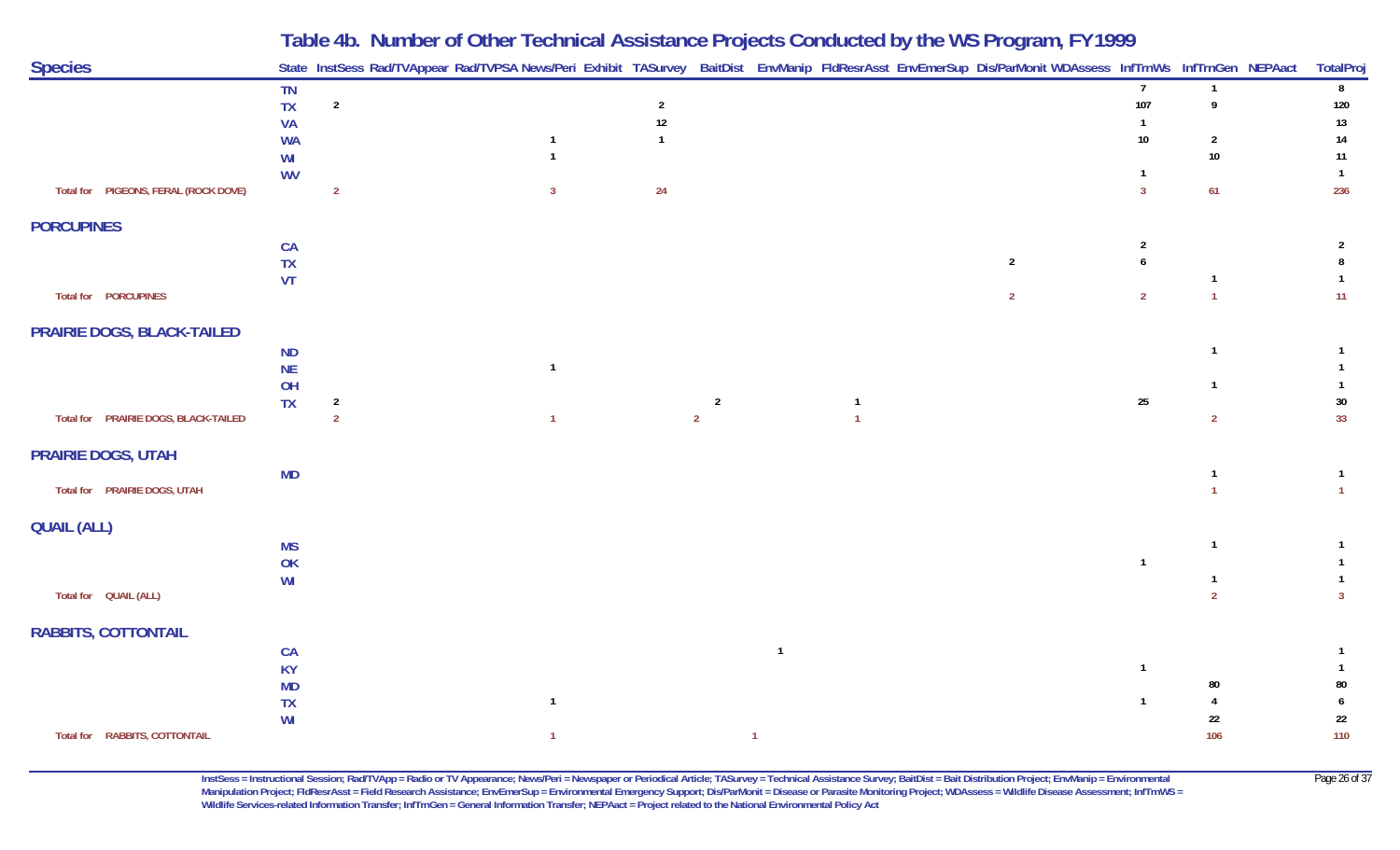|                                      |                                                 |                                  | Table 4b. Number of Other Technical Assistance Projects Conducted by the WS Program, FY 1999 |                                          |                                  |                |  |                                  |                                                                                                                                                            |                                           |                            |
|--------------------------------------|-------------------------------------------------|----------------------------------|----------------------------------------------------------------------------------------------|------------------------------------------|----------------------------------|----------------|--|----------------------------------|------------------------------------------------------------------------------------------------------------------------------------------------------------|-------------------------------------------|----------------------------|
| <b>Species</b>                       |                                                 |                                  |                                                                                              |                                          |                                  |                |  |                                  | State InstSess Rad/TVAppear Rad/TVPSA News/Peri Exhibit TASurvey BaitDist EnvManip FIdResrAsst EnvEmerSup Dis/ParMonit WDAssess InfTrnWs InfTrnGen NEPAact |                                           | <b>TotalProj</b>           |
|                                      | TN<br><b>TX</b><br><b>VA</b><br><b>WA</b><br>WI | $\overline{2}$                   | -1<br>$\mathbf{1}$                                                                           | $\overline{2}$<br>$12\,$<br>$\mathbf{1}$ |                                  |                |  |                                  | $\overline{7}$<br>107<br>$\mathbf{1}$<br>$10\,$                                                                                                            | $\mathbf{1}$<br>9<br>$\overline{2}$<br>10 | 8<br>120<br>13<br>14<br>11 |
| Total for PIGEONS, FERAL (ROCK DOVE) | <b>WV</b>                                       | $\overline{2}$                   | $\overline{3}$                                                                               | 24                                       |                                  |                |  |                                  | $\overline{3}$                                                                                                                                             | 61                                        | $\overline{1}$<br>236      |
| <b>PORCUPINES</b>                    |                                                 |                                  |                                                                                              |                                          |                                  |                |  |                                  |                                                                                                                                                            |                                           |                            |
| Total for PORCUPINES                 | CA<br><b>TX</b><br>VT                           |                                  |                                                                                              |                                          |                                  |                |  | $\overline{2}$<br>$\overline{2}$ | $\overline{2}$<br>6<br>$\overline{2}$                                                                                                                      | $\overline{1}$                            | 2<br>11                    |
| PRAIRIE DOGS, BLACK-TAILED           |                                                 |                                  |                                                                                              |                                          |                                  |                |  |                                  |                                                                                                                                                            |                                           |                            |
| Total for PRAIRIE DOGS, BLACK-TAILED | ND<br><b>NE</b><br>OH<br><b>TX</b>              | $\overline{2}$<br>$\overline{2}$ | $\mathbf{1}$<br>$\overline{1}$                                                               |                                          | $\overline{2}$<br>$\overline{2}$ |                |  |                                  | 25                                                                                                                                                         | $\mathbf{1}$<br>-1<br>$\overline{2}$      | 30<br>33                   |
| <b>PRAIRIE DOGS, UTAH</b>            |                                                 |                                  |                                                                                              |                                          |                                  |                |  |                                  |                                                                                                                                                            |                                           |                            |
| Total for PRAIRIE DOGS, UTAH         | <b>MD</b>                                       |                                  |                                                                                              |                                          |                                  |                |  |                                  |                                                                                                                                                            |                                           | $\mathbf{1}$               |
| <b>QUAIL (ALL)</b>                   |                                                 |                                  |                                                                                              |                                          |                                  |                |  |                                  |                                                                                                                                                            |                                           |                            |
|                                      | <b>MS</b><br>OK<br>WI                           |                                  |                                                                                              |                                          |                                  |                |  |                                  | $\overline{1}$                                                                                                                                             | $\mathbf{1}$                              |                            |
| Total for  QUAIL (ALL)               |                                                 |                                  |                                                                                              |                                          |                                  |                |  |                                  |                                                                                                                                                            | $\overline{2}$                            | 3                          |
| <b>RABBITS, COTTONTAIL</b>           | CA<br><b>KY</b><br><b>MD</b><br><b>TX</b><br>WI |                                  | $\mathbf{1}$                                                                                 |                                          |                                  | $\overline{1}$ |  |                                  | $\overline{1}$<br>-1                                                                                                                                       | 80<br>22                                  | 80<br>6<br>22              |
| Total for RABBITS, COTTONTAIL        |                                                 |                                  | $\overline{1}$                                                                               |                                          |                                  | $\overline{1}$ |  |                                  |                                                                                                                                                            | 106                                       | 110                        |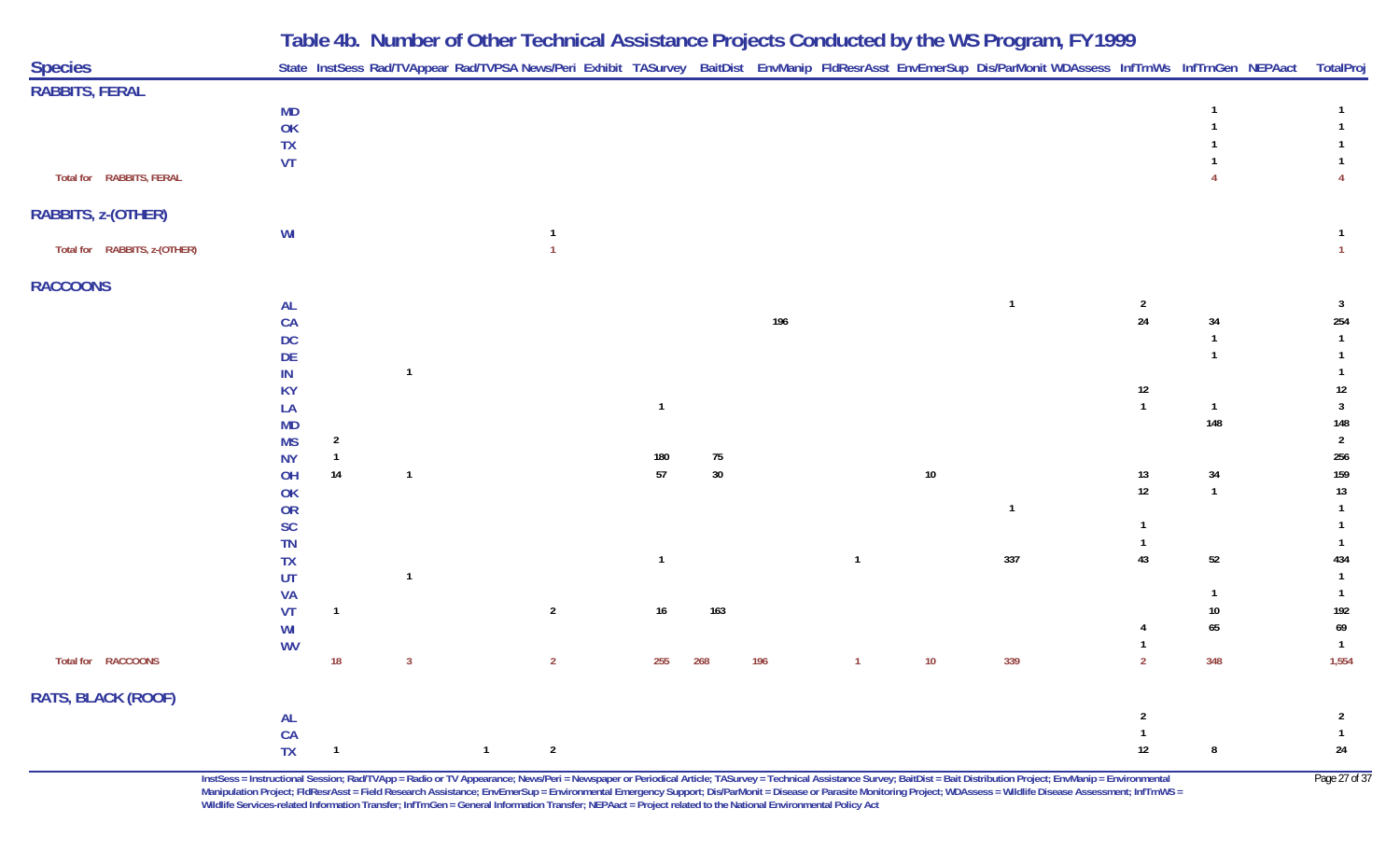| <b>Species</b>               |                 |                |                         |                |                                  |                |          |     |                |        | State InstSess Rad/TVAppear Rad/TVPSA News/Peri Exhibit TASurvey BaitDist EnvManip FldResrAsst EnvEmerSup Dis/ParMonit WDAssess InfTrnWs InfTrnGen NEPAact TotalProj |                |                |                          |
|------------------------------|-----------------|----------------|-------------------------|----------------|----------------------------------|----------------|----------|-----|----------------|--------|----------------------------------------------------------------------------------------------------------------------------------------------------------------------|----------------|----------------|--------------------------|
| <b>RABBITS, FERAL</b>        |                 |                |                         |                |                                  |                |          |     |                |        |                                                                                                                                                                      |                |                |                          |
|                              | <b>MD</b>       |                |                         |                |                                  |                |          |     |                |        |                                                                                                                                                                      |                |                |                          |
|                              | OK              |                |                         |                |                                  |                |          |     |                |        |                                                                                                                                                                      |                |                |                          |
|                              | <b>TX</b>       |                |                         |                |                                  |                |          |     |                |        |                                                                                                                                                                      |                |                |                          |
|                              | <b>VT</b>       |                |                         |                |                                  |                |          |     |                |        |                                                                                                                                                                      |                |                |                          |
| Total for RABBITS, FERAL     |                 |                |                         |                |                                  |                |          |     |                |        |                                                                                                                                                                      |                |                | $\overline{4}$           |
| RABBITS, z-(OTHER)           |                 |                |                         |                |                                  |                |          |     |                |        |                                                                                                                                                                      |                |                |                          |
|                              | WI              |                |                         |                | $\overline{1}$<br>$\overline{1}$ |                |          |     |                |        |                                                                                                                                                                      |                |                | $\overline{1}$           |
| Total for RABBITS, z-(OTHER) |                 |                |                         |                |                                  |                |          |     |                |        |                                                                                                                                                                      |                |                |                          |
| <b>RACCOONS</b>              |                 |                |                         |                |                                  |                |          |     |                |        |                                                                                                                                                                      |                |                |                          |
|                              | AL              |                |                         |                |                                  |                |          |     |                |        | $\overline{1}$                                                                                                                                                       | $\overline{2}$ |                | $\overline{\mathbf{3}}$  |
|                              | CA              |                |                         |                |                                  |                |          | 196 |                |        |                                                                                                                                                                      | $24\,$         | 34             | 254                      |
|                              | <b>DC</b>       |                |                         |                |                                  |                |          |     |                |        |                                                                                                                                                                      |                | $\overline{1}$ | $\overline{1}$           |
|                              | DE              |                |                         |                |                                  |                |          |     |                |        |                                                                                                                                                                      |                |                |                          |
|                              | IN              |                | $\overline{1}$          |                |                                  |                |          |     |                |        |                                                                                                                                                                      |                |                |                          |
|                              | <b>KY</b>       |                |                         |                |                                  |                |          |     |                |        |                                                                                                                                                                      | 12             |                | $12\,$                   |
|                              | LA              |                |                         |                |                                  | $\mathbf{1}$   |          |     |                |        |                                                                                                                                                                      | $\mathbf{1}$   | $\mathbf{1}$   | $\overline{3}$           |
|                              | MD              |                |                         |                |                                  |                |          |     |                |        |                                                                                                                                                                      |                | 148            | 148                      |
|                              | <b>MS</b>       | $\overline{2}$ |                         |                |                                  |                |          |     |                |        |                                                                                                                                                                      |                |                | $\overline{2}$           |
|                              | <b>NY</b>       | $\overline{1}$ | $\overline{1}$          |                |                                  | 180<br>$57\,$  | 75<br>30 |     |                |        |                                                                                                                                                                      |                |                | 256                      |
|                              | OH              | 14             |                         |                |                                  |                |          |     |                | $10\,$ |                                                                                                                                                                      | $13$<br>$12\,$ | $34\,$         | 159                      |
|                              | OK              |                |                         |                |                                  |                |          |     |                |        |                                                                                                                                                                      |                | $\overline{1}$ | $13\,$<br>$\overline{1}$ |
|                              | OR              |                |                         |                |                                  |                |          |     |                |        | $\mathbf{1}$                                                                                                                                                         | $\overline{1}$ |                | $\overline{1}$           |
|                              | <b>SC</b>       |                |                         |                |                                  |                |          |     |                |        |                                                                                                                                                                      | $\overline{1}$ |                | $\overline{1}$           |
|                              | <b>TN</b>       |                |                         |                |                                  | $\overline{1}$ |          |     | $\mathbf{1}$   |        | 337                                                                                                                                                                  | 43             | 52             | 434                      |
|                              | <b>TX</b><br>UT |                | $\overline{1}$          |                |                                  |                |          |     |                |        |                                                                                                                                                                      |                |                |                          |
|                              | VA              |                |                         |                |                                  |                |          |     |                |        |                                                                                                                                                                      |                | $\overline{1}$ | $\overline{1}$           |
|                              | VT              | $\mathbf{1}$   |                         |                | $\overline{2}$                   | $16\,$         | 163      |     |                |        |                                                                                                                                                                      |                | $10\,$         | 192                      |
|                              | WI              |                |                         |                |                                  |                |          |     |                |        |                                                                                                                                                                      | 4              | 65             | 69                       |
|                              | <b>WV</b>       |                |                         |                |                                  |                |          |     |                |        |                                                                                                                                                                      |                |                | $\overline{1}$           |
| Total for RACCOONS           |                 | $18$           | $\overline{\mathbf{3}}$ |                | $\overline{2}$                   | 255            | 268      | 196 | $\overline{1}$ | $10\,$ | 339                                                                                                                                                                  | $\overline{2}$ | 348            | 1,554                    |
|                              |                 |                |                         |                |                                  |                |          |     |                |        |                                                                                                                                                                      |                |                |                          |
| RATS, BLACK (ROOF)           |                 |                |                         |                |                                  |                |          |     |                |        |                                                                                                                                                                      | $\overline{2}$ |                | $\overline{2}$           |
|                              | <b>AL</b><br>CA |                |                         |                |                                  |                |          |     |                |        |                                                                                                                                                                      | $\overline{1}$ |                | $\overline{1}$           |
|                              | <b>TX</b>       | $\mathbf{1}$   |                         | $\overline{1}$ | $\overline{2}$                   |                |          |     |                |        |                                                                                                                                                                      | 12             | $\pmb{8}$      | $24\,$                   |
|                              |                 |                |                         |                |                                  |                |          |     |                |        |                                                                                                                                                                      |                |                |                          |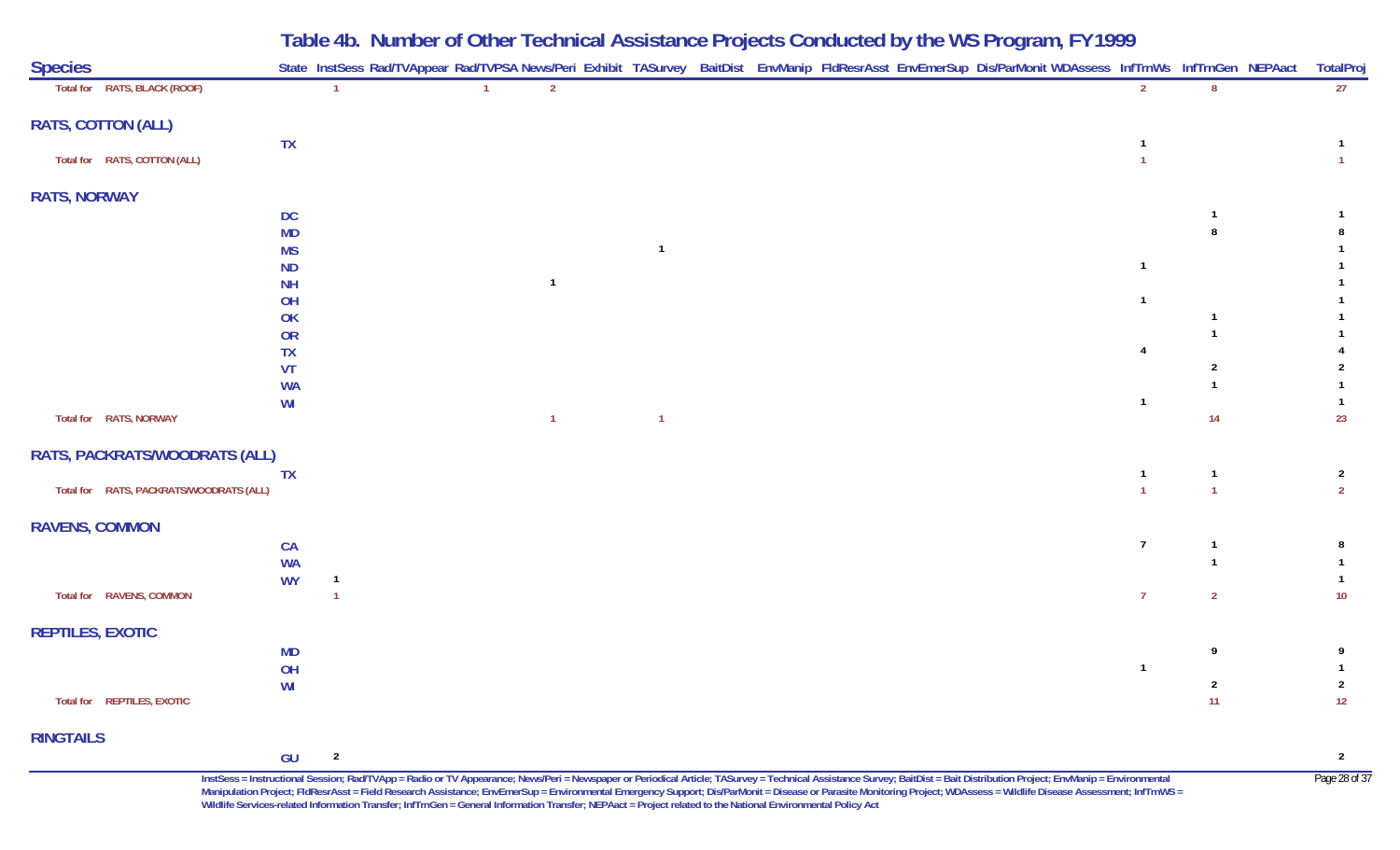|                                         |                        | Table 4b. Number of Other Technical Assistance Projects Conducted by the WS Program, FY 1999                                                               |                |  |  |  |  |    |                      |                      |
|-----------------------------------------|------------------------|------------------------------------------------------------------------------------------------------------------------------------------------------------|----------------|--|--|--|--|----|----------------------|----------------------|
| <b>Species</b>                          |                        | State InstSess Rad/TVAppear Rad/TVPSA News/Peri Exhibit TASurvey BaitDist EnvManip FldResrAsst EnvEmerSup Dis/ParMonit WDAssess InfTrnWs InfTrnGen NEPAact |                |  |  |  |  |    |                      | <b>TotalProj</b>     |
| Total for RATS, BLACK (ROOF)            |                        |                                                                                                                                                            | $\overline{2}$ |  |  |  |  |    | 8                    | 27                   |
| <b>RATS, COTTON (ALL)</b>               |                        |                                                                                                                                                            |                |  |  |  |  |    |                      |                      |
|                                         | TX                     |                                                                                                                                                            |                |  |  |  |  |    |                      |                      |
| Total for RATS, COTTON (ALL)            |                        |                                                                                                                                                            |                |  |  |  |  |    |                      |                      |
| <b>RATS, NORWAY</b>                     |                        |                                                                                                                                                            |                |  |  |  |  |    |                      |                      |
|                                         | DC                     |                                                                                                                                                            |                |  |  |  |  |    |                      |                      |
|                                         | <b>MD</b>              |                                                                                                                                                            |                |  |  |  |  |    |                      |                      |
|                                         | <b>MS</b><br><b>ND</b> |                                                                                                                                                            |                |  |  |  |  |    |                      |                      |
|                                         | <b>NH</b>              |                                                                                                                                                            |                |  |  |  |  |    |                      |                      |
|                                         | OH                     |                                                                                                                                                            |                |  |  |  |  |    |                      |                      |
|                                         | OK                     |                                                                                                                                                            |                |  |  |  |  |    |                      |                      |
|                                         | <b>OR</b>              |                                                                                                                                                            |                |  |  |  |  |    |                      |                      |
|                                         | TX                     |                                                                                                                                                            |                |  |  |  |  |    | 2                    |                      |
|                                         | VT<br><b>WA</b>        |                                                                                                                                                            |                |  |  |  |  |    |                      |                      |
|                                         | WI                     |                                                                                                                                                            |                |  |  |  |  |    |                      |                      |
| Total for RATS, NORWAY                  |                        |                                                                                                                                                            |                |  |  |  |  |    | 14                   | 23                   |
| RATS, PACKRATS/WOODRATS (ALL)           |                        |                                                                                                                                                            |                |  |  |  |  |    |                      |                      |
|                                         | <b>TX</b>              |                                                                                                                                                            |                |  |  |  |  |    |                      | $\overline{2}$       |
| Total for RATS, PACKRATS/WOODRATS (ALL) |                        |                                                                                                                                                            |                |  |  |  |  |    |                      | $\overline{2}$       |
| <b>RAVENS, COMMON</b>                   |                        |                                                                                                                                                            |                |  |  |  |  |    |                      |                      |
|                                         | CA                     |                                                                                                                                                            |                |  |  |  |  | -7 |                      |                      |
|                                         | <b>WA</b>              |                                                                                                                                                            |                |  |  |  |  |    |                      |                      |
|                                         | <b>WY</b>              |                                                                                                                                                            |                |  |  |  |  |    |                      |                      |
| Total for RAVENS, COMMON                |                        |                                                                                                                                                            |                |  |  |  |  | -7 | $\overline{2}$       | 10                   |
| <b>REPTILES, EXOTIC</b>                 |                        |                                                                                                                                                            |                |  |  |  |  |    |                      |                      |
|                                         | <b>MD</b>              |                                                                                                                                                            |                |  |  |  |  |    | 9                    | - 9                  |
|                                         | OH                     |                                                                                                                                                            |                |  |  |  |  |    |                      |                      |
| Total for REPTILES, EXOTIC              | WI                     |                                                                                                                                                            |                |  |  |  |  |    | $\overline{2}$<br>11 | $\overline{2}$<br>12 |
|                                         |                        |                                                                                                                                                            |                |  |  |  |  |    |                      |                      |
| <b>RINGTAILS</b>                        |                        |                                                                                                                                                            |                |  |  |  |  |    |                      |                      |
|                                         | $GU$ 2                 |                                                                                                                                                            |                |  |  |  |  |    |                      | $\overline{2}$       |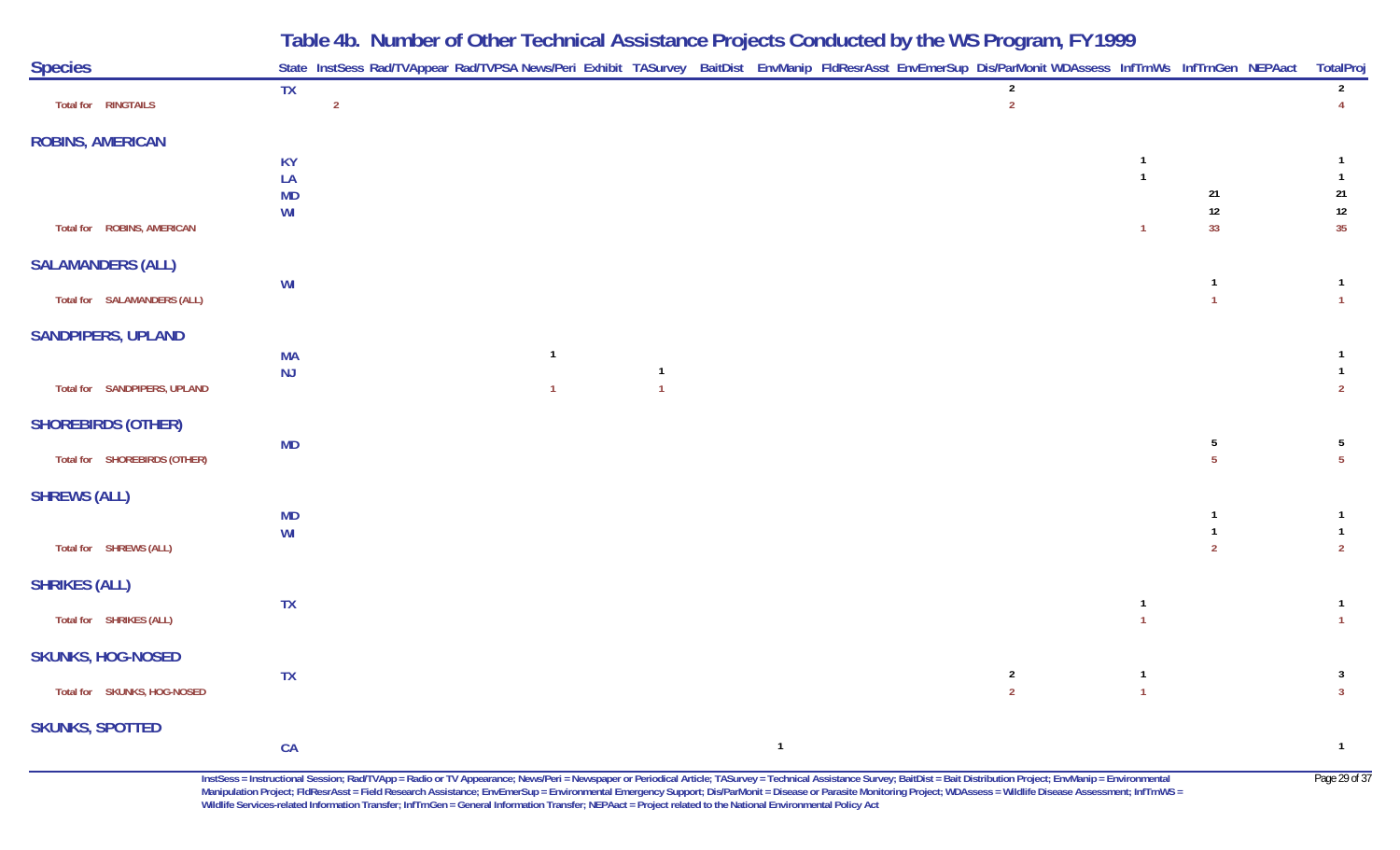| <b>Species</b>               |                 | State InstSess Rad/TVAppear Rad/TVPSA News/Peri Exhibit TASurvey BaitDist EnvManip FldResrAsst EnvEmerSup Dis/ParMonit WDAssess InfTrnWs InfTrnGen NEPAact |                |                                  |              |                                  |                                  |                                | TotalProj                                 |
|------------------------------|-----------------|------------------------------------------------------------------------------------------------------------------------------------------------------------|----------------|----------------------------------|--------------|----------------------------------|----------------------------------|--------------------------------|-------------------------------------------|
| Total for RINGTAILS          | <b>TX</b>       | $\overline{2}$                                                                                                                                             |                |                                  |              | $\overline{2}$<br>$\overline{2}$ |                                  |                                | $2\overline{ }$<br>$\overline{4}$         |
| <b>ROBINS, AMERICAN</b>      |                 |                                                                                                                                                            |                |                                  |              |                                  |                                  |                                |                                           |
|                              | <b>KY</b>       |                                                                                                                                                            |                |                                  |              |                                  | -1                               |                                | $\mathbf{1}$                              |
|                              | LA<br><b>MD</b> |                                                                                                                                                            |                |                                  |              |                                  | $\overline{1}$                   | 21                             | $\mathbf{1}$<br>21                        |
|                              | WI              |                                                                                                                                                            |                |                                  |              |                                  |                                  | $12\,$                         | $12\,$                                    |
| Total for ROBINS, AMERICAN   |                 |                                                                                                                                                            |                |                                  |              |                                  | $\overline{1}$                   | 33                             | 35                                        |
| <b>SALAMANDERS (ALL)</b>     |                 |                                                                                                                                                            |                |                                  |              |                                  |                                  |                                |                                           |
| Total for SALAMANDERS (ALL)  | WI              |                                                                                                                                                            |                |                                  |              |                                  |                                  | $\mathbf{1}$<br>$\overline{1}$ | $\mathbf{1}$<br>$\mathbf{1}$              |
| <b>SANDPIPERS, UPLAND</b>    |                 |                                                                                                                                                            |                |                                  |              |                                  |                                  |                                |                                           |
|                              | <b>MA</b>       |                                                                                                                                                            | $\overline{1}$ |                                  |              |                                  |                                  |                                | $\mathbf{1}$                              |
| Total for SANDPIPERS, UPLAND | NJ              |                                                                                                                                                            | $\overline{1}$ | $\overline{1}$<br>$\overline{1}$ |              |                                  |                                  |                                | $\mathbf{1}$<br>$\overline{2}$            |
| <b>SHOREBIRDS (OTHER)</b>    |                 |                                                                                                                                                            |                |                                  |              |                                  |                                  |                                |                                           |
| Total for SHOREBIRDS (OTHER) | MD              |                                                                                                                                                            |                |                                  |              |                                  |                                  | 5<br>5 <sup>5</sup>            | $5\phantom{.0}$<br>5 <sup>5</sup>         |
|                              |                 |                                                                                                                                                            |                |                                  |              |                                  |                                  |                                |                                           |
| <b>SHREWS (ALL)</b>          | <b>MD</b>       |                                                                                                                                                            |                |                                  |              |                                  |                                  | $\overline{1}$                 | $\mathbf{1}$                              |
|                              | WI              |                                                                                                                                                            |                |                                  |              |                                  |                                  | $\overline{1}$                 | $\mathbf{1}$                              |
| Total for SHREWS (ALL)       |                 |                                                                                                                                                            |                |                                  |              |                                  |                                  | $\overline{2}$                 | $2^{\circ}$                               |
| <b>SHRIKES (ALL)</b>         |                 |                                                                                                                                                            |                |                                  |              |                                  |                                  |                                |                                           |
| Total for SHRIKES (ALL)      | TX              |                                                                                                                                                            |                |                                  |              |                                  | $\overline{\phantom{a}}$         |                                | $\overline{1}$<br>$\mathbf{1}$            |
| <b>SKUNKS, HOG-NOSED</b>     |                 |                                                                                                                                                            |                |                                  |              |                                  |                                  |                                |                                           |
|                              | <b>TX</b>       |                                                                                                                                                            |                |                                  |              | $\overline{2}$<br>$\overline{2}$ | $\overline{1}$<br>$\overline{1}$ |                                | $\overline{\mathbf{3}}$<br>3 <sup>1</sup> |
| Total for SKUNKS, HOG-NOSED  |                 |                                                                                                                                                            |                |                                  |              |                                  |                                  |                                |                                           |
| <b>SKUNKS, SPOTTED</b>       |                 |                                                                                                                                                            |                |                                  |              |                                  |                                  |                                |                                           |
|                              | CA              |                                                                                                                                                            |                |                                  | $\mathbf{1}$ |                                  |                                  |                                | $\mathbf{1}$                              |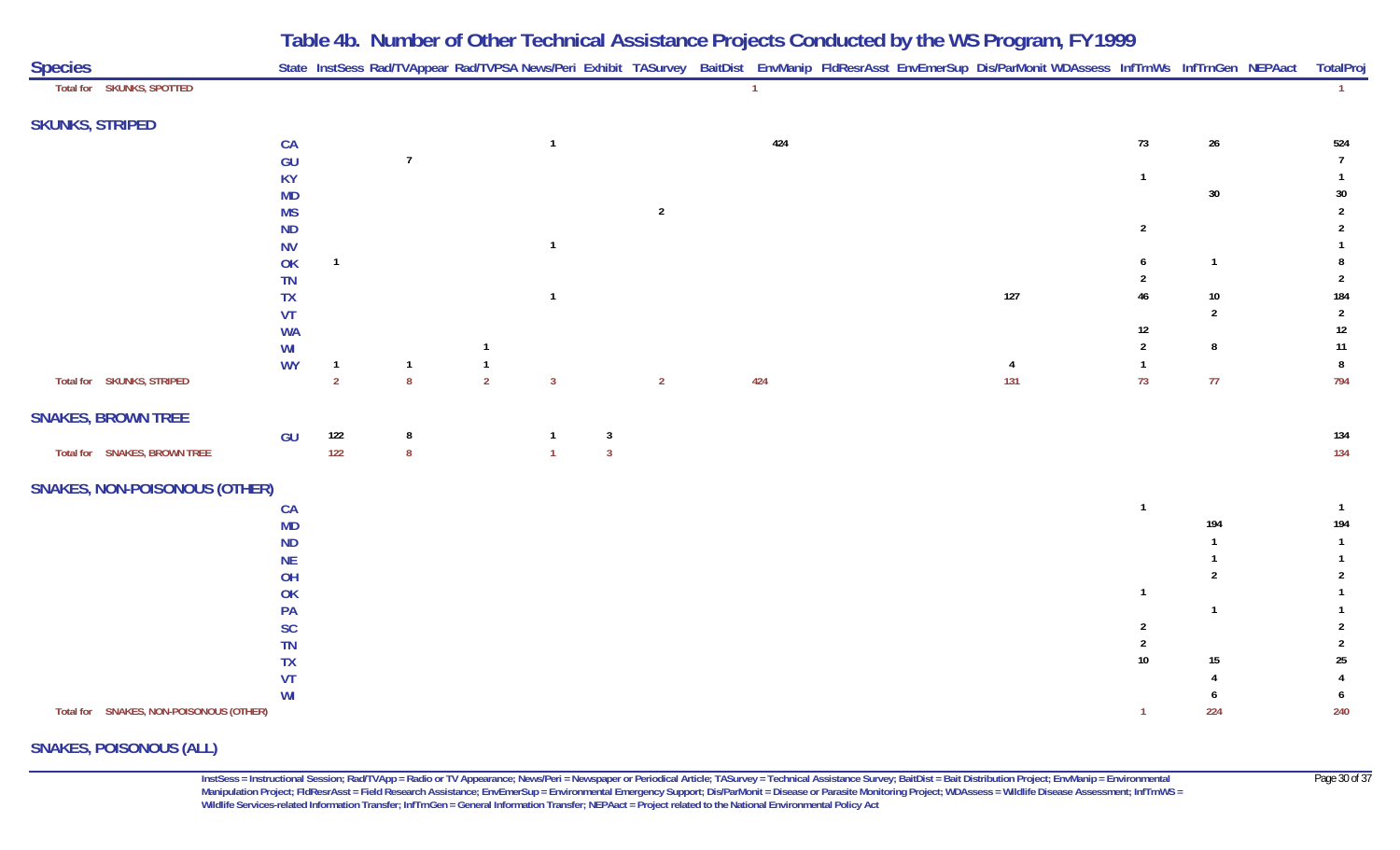| <b>Species</b>                          |           |                |                  |                |                         |                         |                | State InstSess Rad/TVAppear Rad/TVPSA News/Peri Exhibit TASurvey BaitDist EnvManip FldResrAsst EnvEmerSup Dis/ParMonit WDAssess InfTrnWs InfTrnGen NEPAact |     |                |                | TotalPro       |
|-----------------------------------------|-----------|----------------|------------------|----------------|-------------------------|-------------------------|----------------|------------------------------------------------------------------------------------------------------------------------------------------------------------|-----|----------------|----------------|----------------|
| Total for SKUNKS, SPOTTED               |           |                |                  |                |                         |                         | $\overline{1}$ |                                                                                                                                                            |     |                |                | $\mathbf{1}$   |
| <b>SKUNKS, STRIPED</b>                  |           |                |                  |                |                         |                         |                |                                                                                                                                                            |     |                |                |                |
|                                         | CA        |                |                  |                | $\overline{1}$          |                         | 424            |                                                                                                                                                            |     | $73$           | $26\,$         | 524            |
|                                         | GU        |                | $\overline{7}$   |                |                         |                         |                |                                                                                                                                                            |     |                |                | $\overline{7}$ |
|                                         | <b>KY</b> |                |                  |                |                         |                         |                |                                                                                                                                                            |     | $\overline{1}$ |                | $\mathbf{1}$   |
|                                         | <b>MD</b> |                |                  |                |                         |                         |                |                                                                                                                                                            |     |                | $30\,$         | $30\,$         |
|                                         | <b>MS</b> |                |                  |                |                         | $\overline{2}$          |                |                                                                                                                                                            |     |                |                | $\overline{2}$ |
|                                         | <b>ND</b> |                |                  |                |                         |                         |                |                                                                                                                                                            |     | $\overline{2}$ |                | $\overline{2}$ |
|                                         | <b>NV</b> |                |                  |                | $\mathbf{1}$            |                         |                |                                                                                                                                                            |     |                |                |                |
|                                         | OK        | $\mathbf{1}$   |                  |                |                         |                         |                |                                                                                                                                                            |     | 6              | $\overline{1}$ | 8              |
|                                         | <b>TN</b> |                |                  |                |                         |                         |                |                                                                                                                                                            |     | 2              |                | $\overline{2}$ |
|                                         | <b>TX</b> |                |                  |                | $\overline{1}$          |                         |                |                                                                                                                                                            | 127 | $46\,$         | $10\,$         | 184            |
|                                         | VT        |                |                  |                |                         |                         |                |                                                                                                                                                            |     |                | $\overline{2}$ | $\overline{2}$ |
|                                         | <b>WA</b> |                |                  |                |                         |                         |                |                                                                                                                                                            |     | 12             |                | $12$           |
|                                         | WI        |                |                  |                |                         |                         |                |                                                                                                                                                            |     | $\overline{2}$ | 8              | 11             |
|                                         | <b>WY</b> | $\overline{1}$ | $\overline{1}$   | $\overline{1}$ |                         |                         |                |                                                                                                                                                            | 4   | $\mathbf{1}$   |                | $\bf{8}$       |
| Total for SKUNKS, STRIPED               |           | $\overline{2}$ | $\boldsymbol{8}$ | $\overline{2}$ | $\overline{\mathbf{3}}$ | $\overline{2}$          | 424            |                                                                                                                                                            | 131 | 73             | 77             | 794            |
| <b>SNAKES, BROWN TREE</b>               |           |                |                  |                |                         |                         |                |                                                                                                                                                            |     |                |                |                |
|                                         | GU        | 122            | $\bf 8$          |                | -1                      | $\overline{\mathbf{3}}$ |                |                                                                                                                                                            |     |                |                | 134            |
| Total for SNAKES, BROWN TREE            |           | $122$          | $\boldsymbol{8}$ |                | $\overline{1}$          | $\overline{\mathbf{3}}$ |                |                                                                                                                                                            |     |                |                | 134            |
| <b>SNAKES, NON-POISONOUS (OTHER)</b>    |           |                |                  |                |                         |                         |                |                                                                                                                                                            |     |                |                |                |
|                                         | CA        |                |                  |                |                         |                         |                |                                                                                                                                                            |     | $\mathbf{1}$   |                | $\overline{1}$ |
|                                         | <b>MD</b> |                |                  |                |                         |                         |                |                                                                                                                                                            |     |                | 194            | 194            |
|                                         | <b>ND</b> |                |                  |                |                         |                         |                |                                                                                                                                                            |     |                |                | $\mathbf{1}$   |
|                                         | <b>NE</b> |                |                  |                |                         |                         |                |                                                                                                                                                            |     |                |                | $\mathbf{1}$   |
|                                         | OH        |                |                  |                |                         |                         |                |                                                                                                                                                            |     |                | 2              | $\overline{2}$ |
|                                         | OK        |                |                  |                |                         |                         |                |                                                                                                                                                            |     | -1             |                | 1              |
|                                         | PA        |                |                  |                |                         |                         |                |                                                                                                                                                            |     |                | -1             |                |
|                                         | <b>SC</b> |                |                  |                |                         |                         |                |                                                                                                                                                            |     | 2              |                | 2              |
|                                         | <b>TN</b> |                |                  |                |                         |                         |                |                                                                                                                                                            |     |                |                | $\overline{2}$ |
|                                         | TX        |                |                  |                |                         |                         |                |                                                                                                                                                            |     | $10\,$         | $15\,$         | $25\,$         |
|                                         | <b>VT</b> |                |                  |                |                         |                         |                |                                                                                                                                                            |     |                |                | $\overline{4}$ |
|                                         | WI        |                |                  |                |                         |                         |                |                                                                                                                                                            |     |                |                | 6              |
| Total for SNAKES, NON-POISONOUS (OTHER) |           |                |                  |                |                         |                         |                |                                                                                                                                                            |     | $\overline{1}$ | 224            | 240            |

#### **SNAKES, POISONOUS (ALL)**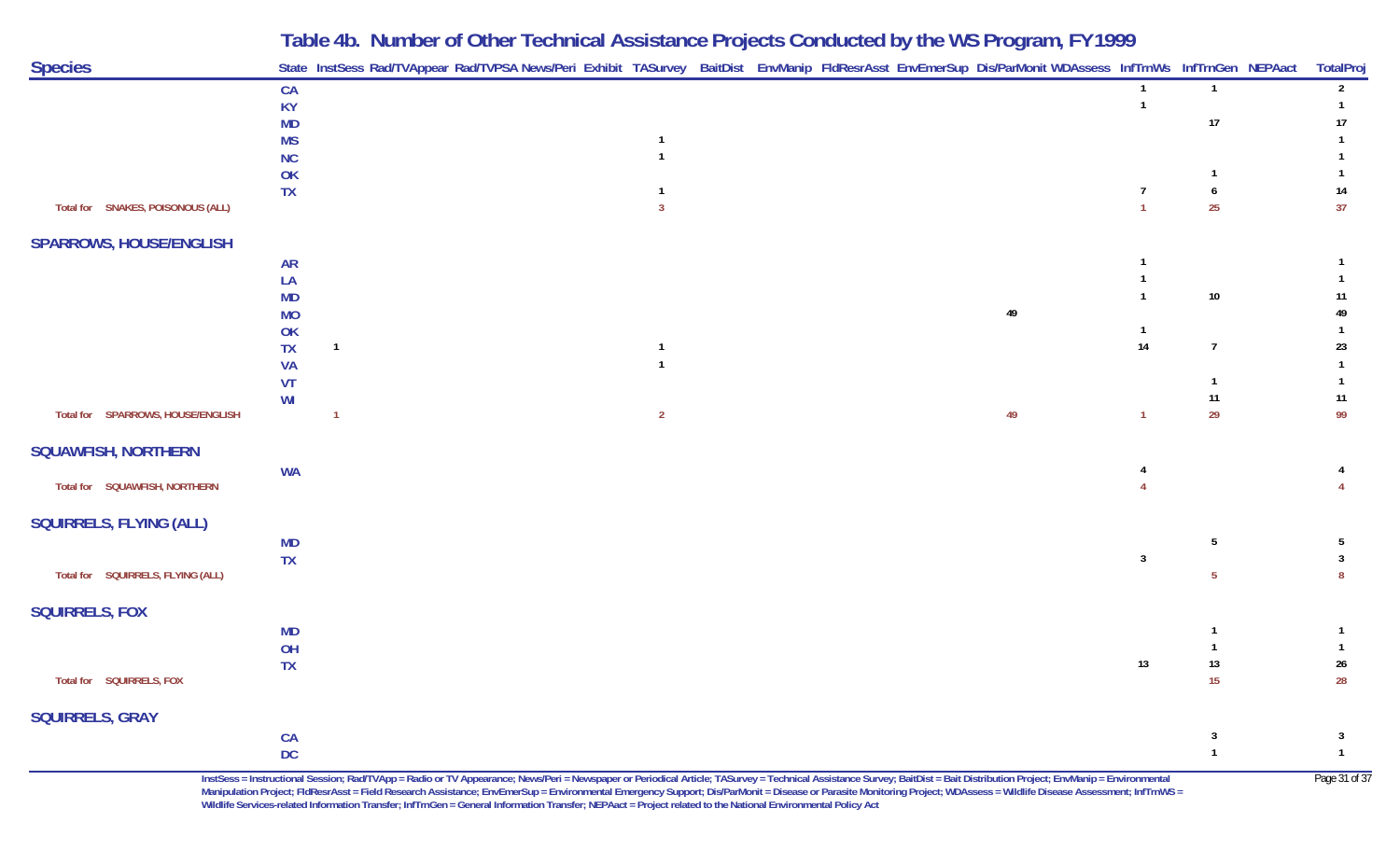| <b>Species</b>                    |                       | State InstSess Rad/TVAppear Rad/TVPSA News/Peri Exhibit TASurvey BaitDist EnvManip FldResrAsst EnvEmerSup Dis/ParMonit WDAssess InfTrnWs InfTrnGen NEPAact |                                  |  |  |    |                |                 | TotalProj               |
|-----------------------------------|-----------------------|------------------------------------------------------------------------------------------------------------------------------------------------------------|----------------------------------|--|--|----|----------------|-----------------|-------------------------|
|                                   | CA                    |                                                                                                                                                            |                                  |  |  |    | $\mathbf{1}$   | $\overline{1}$  | $\overline{2}$          |
|                                   | KY                    |                                                                                                                                                            |                                  |  |  |    | $\mathbf{1}$   |                 |                         |
|                                   | MD                    |                                                                                                                                                            |                                  |  |  |    |                | 17              | 17                      |
|                                   | <b>MS</b><br>$\sf NC$ |                                                                                                                                                            | $\overline{1}$                   |  |  |    |                |                 |                         |
|                                   | OK                    |                                                                                                                                                            |                                  |  |  |    |                | $\mathbf{1}$    |                         |
|                                   | <b>TX</b>             |                                                                                                                                                            | $\mathbf{1}$                     |  |  |    | $\overline{7}$ | 6               | 14                      |
| Total for SNAKES, POISONOUS (ALL) |                       |                                                                                                                                                            | $\overline{3}$                   |  |  |    | $\mathbf{1}$   | 25              | 37                      |
| <b>SPARROWS, HOUSE/ENGLISH</b>    |                       |                                                                                                                                                            |                                  |  |  |    |                |                 |                         |
|                                   | <b>AR</b>             |                                                                                                                                                            |                                  |  |  |    |                |                 |                         |
|                                   | ${\sf LA}$            |                                                                                                                                                            |                                  |  |  |    |                |                 |                         |
|                                   | MD                    |                                                                                                                                                            |                                  |  |  |    | $\mathbf{1}$   | $10\,$          | 11                      |
|                                   | <b>MO</b>             |                                                                                                                                                            |                                  |  |  | 49 |                |                 | 49                      |
|                                   | OK                    |                                                                                                                                                            |                                  |  |  |    | $\mathbf{1}$   |                 | $\mathbf{1}$            |
|                                   | TX                    | $\overline{1}$                                                                                                                                             | $\overline{1}$<br>$\overline{1}$ |  |  |    | 14             | $\overline{7}$  | 23<br>$\mathbf{1}$      |
|                                   | <b>VA</b><br>VT       |                                                                                                                                                            |                                  |  |  |    |                | $\mathbf{1}$    | $\mathbf{1}$            |
|                                   | WI                    |                                                                                                                                                            |                                  |  |  |    |                | 11              | 11                      |
| Total for SPARROWS, HOUSE/ENGLISH |                       | $\overline{1}$                                                                                                                                             | $\overline{2}$                   |  |  | 49 | $\overline{1}$ | 29              | 99                      |
| <b>SQUAWFISH, NORTHERN</b>        |                       |                                                                                                                                                            |                                  |  |  |    |                |                 |                         |
|                                   | <b>WA</b>             |                                                                                                                                                            |                                  |  |  |    |                |                 |                         |
| Total for SQUAWFISH, NORTHERN     |                       |                                                                                                                                                            |                                  |  |  |    |                |                 |                         |
| SQUIRRELS, FLYING (ALL)           |                       |                                                                                                                                                            |                                  |  |  |    |                |                 |                         |
|                                   | <b>MD</b>             |                                                                                                                                                            |                                  |  |  |    |                | $5\phantom{.0}$ | $5\phantom{.0}$         |
|                                   | <b>TX</b>             |                                                                                                                                                            |                                  |  |  |    | $\mathbf{3}$   |                 | $\overline{3}$          |
| Total for SQUIRRELS, FLYING (ALL) |                       |                                                                                                                                                            |                                  |  |  |    |                | $5\phantom{.0}$ | 8                       |
| <b>SQUIRRELS, FOX</b>             |                       |                                                                                                                                                            |                                  |  |  |    |                |                 |                         |
|                                   | <b>MD</b>             |                                                                                                                                                            |                                  |  |  |    |                | $\overline{1}$  |                         |
|                                   | OH                    |                                                                                                                                                            |                                  |  |  |    |                | $\mathbf{1}$    |                         |
|                                   | <b>TX</b>             |                                                                                                                                                            |                                  |  |  |    | 13             | 13              | 26                      |
| Total for SQUIRRELS, FOX          |                       |                                                                                                                                                            |                                  |  |  |    |                | 15              | 28                      |
| <b>SQUIRRELS, GRAY</b>            |                       |                                                                                                                                                            |                                  |  |  |    |                |                 |                         |
|                                   | CA                    |                                                                                                                                                            |                                  |  |  |    |                | $\mathbf{3}$    | $\overline{\mathbf{3}}$ |
|                                   | <b>DC</b>             |                                                                                                                                                            |                                  |  |  |    |                | $\mathbf{1}$    | $\mathbf{1}$            |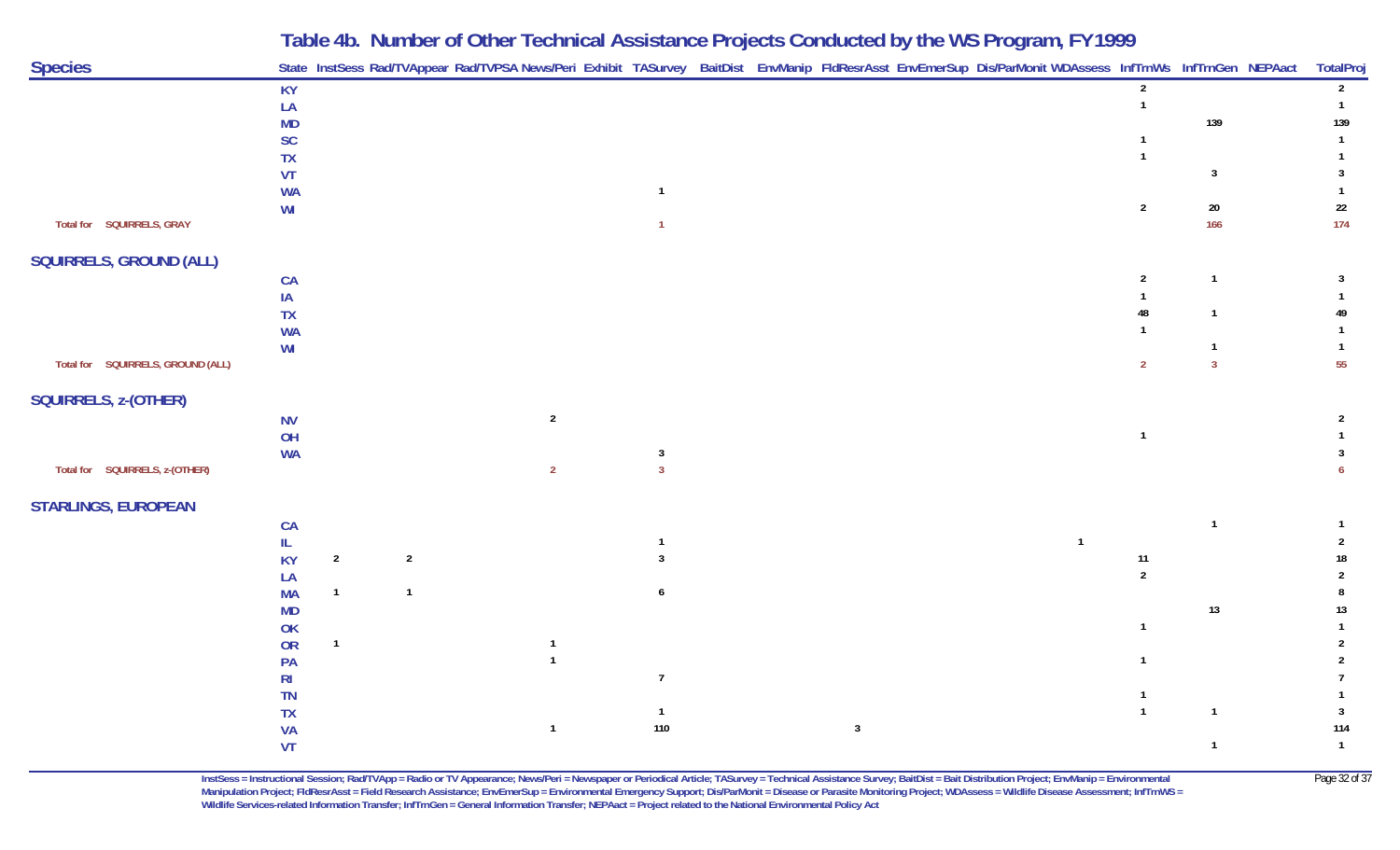| <b>Species</b>                    |                        |                |                | State InstSess Rad/TVAppear Rad/TVPSA News/Peri Exhibit TASurvey BaitDist EnvManip FldResrAsst EnvEmerSup Dis/ParMonit WDAssess InfTrnWs InfTrnGen NEPAact |                         |  |              |                |                |                         | TotalPro          |
|-----------------------------------|------------------------|----------------|----------------|------------------------------------------------------------------------------------------------------------------------------------------------------------|-------------------------|--|--------------|----------------|----------------|-------------------------|-------------------|
|                                   | <b>KY</b>              |                |                |                                                                                                                                                            |                         |  |              |                | $\overline{2}$ |                         | $\overline{2}$    |
|                                   | LA                     |                |                |                                                                                                                                                            |                         |  |              |                | $\mathbf{1}$   |                         | $\overline{1}$    |
|                                   | <b>MD</b>              |                |                |                                                                                                                                                            |                         |  |              |                |                | 139                     | 139               |
|                                   | SC                     |                |                |                                                                                                                                                            |                         |  |              |                |                |                         | $\overline{1}$    |
|                                   | <b>TX</b>              |                |                |                                                                                                                                                            |                         |  |              |                |                | $\overline{3}$          | $\mathbf{1}$<br>3 |
|                                   | <b>VT</b><br><b>WA</b> |                |                |                                                                                                                                                            | $\overline{1}$          |  |              |                |                |                         |                   |
|                                   | WI                     |                |                |                                                                                                                                                            |                         |  |              |                | $\overline{2}$ | $20\,$                  | $22\,$            |
| Total for SQUIRRELS, GRAY         |                        |                |                |                                                                                                                                                            |                         |  |              |                |                | 166                     | 174               |
| SQUIRRELS, GROUND (ALL)           |                        |                |                |                                                                                                                                                            |                         |  |              |                |                |                         |                   |
|                                   | CA                     |                |                |                                                                                                                                                            |                         |  |              |                | $\overline{2}$ | $\overline{1}$          | 3                 |
|                                   | IA                     |                |                |                                                                                                                                                            |                         |  |              |                |                |                         |                   |
|                                   | TX                     |                |                |                                                                                                                                                            |                         |  |              |                | 48             | $\overline{1}$          | 49                |
|                                   | <b>WA</b>              |                |                |                                                                                                                                                            |                         |  |              |                |                |                         | $\mathbf{1}$      |
|                                   | WI                     |                |                |                                                                                                                                                            |                         |  |              |                |                | $\mathbf{1}$            | $\overline{1}$    |
| Total for SQUIRRELS, GROUND (ALL) |                        |                |                |                                                                                                                                                            |                         |  |              |                | $\overline{2}$ | $\overline{\mathbf{3}}$ | 55                |
| SQUIRRELS, z-(OTHER)              |                        |                |                |                                                                                                                                                            |                         |  |              |                |                |                         |                   |
|                                   | <b>NV</b>              |                |                | $\overline{2}$                                                                                                                                             |                         |  |              |                |                |                         | $\overline{2}$    |
|                                   | OH                     |                |                |                                                                                                                                                            |                         |  |              |                | $\mathbf{1}$   |                         |                   |
|                                   | <b>WA</b>              |                |                |                                                                                                                                                            | $\overline{\mathbf{3}}$ |  |              |                |                |                         | 3                 |
| Total for SQUIRRELS, z-(OTHER)    |                        |                |                | $\overline{2}$                                                                                                                                             | $\overline{\mathbf{3}}$ |  |              |                |                |                         | 6                 |
| <b>STARLINGS, EUROPEAN</b>        |                        |                |                |                                                                                                                                                            |                         |  |              |                |                |                         |                   |
|                                   | CA                     |                |                |                                                                                                                                                            |                         |  |              |                |                | $\overline{1}$          |                   |
|                                   | IL.                    |                |                |                                                                                                                                                            | $\mathbf{1}$            |  |              | $\overline{1}$ |                |                         |                   |
|                                   | KY                     | $\overline{2}$ | $\overline{2}$ |                                                                                                                                                            | $\overline{3}$          |  |              |                | 11             |                         | 18                |
|                                   | LA                     |                |                |                                                                                                                                                            |                         |  |              |                | $\overline{2}$ |                         |                   |
|                                   | <b>MA</b>              | $\mathbf{1}$   | $\mathbf{1}$   |                                                                                                                                                            | 6                       |  |              |                |                |                         | 8                 |
|                                   | <b>MD</b>              |                |                |                                                                                                                                                            |                         |  |              |                |                | $13$                    | $13\,$            |
|                                   | OK                     |                |                |                                                                                                                                                            |                         |  |              |                | $\mathbf{1}$   |                         |                   |
|                                   | OR                     | $\mathbf{1}$   |                | $\overline{1}$                                                                                                                                             |                         |  |              |                |                |                         |                   |
|                                   | PA                     |                |                | $\overline{1}$                                                                                                                                             | $\overline{7}$          |  |              |                |                |                         | $\overline{2}$    |
|                                   | R <sub>l</sub>         |                |                |                                                                                                                                                            |                         |  |              |                |                |                         |                   |
|                                   | TN<br>TX               |                |                |                                                                                                                                                            | $\overline{1}$          |  |              |                | $\overline{1}$ | $\overline{\mathbf{1}}$ | $\mathbf{3}$      |
|                                   | <b>VA</b>              |                |                | $\overline{1}$                                                                                                                                             | 110                     |  | $\mathbf{3}$ |                |                |                         | 114               |
|                                   | <b>VT</b>              |                |                |                                                                                                                                                            |                         |  |              |                |                | $\overline{1}$          | $\overline{1}$    |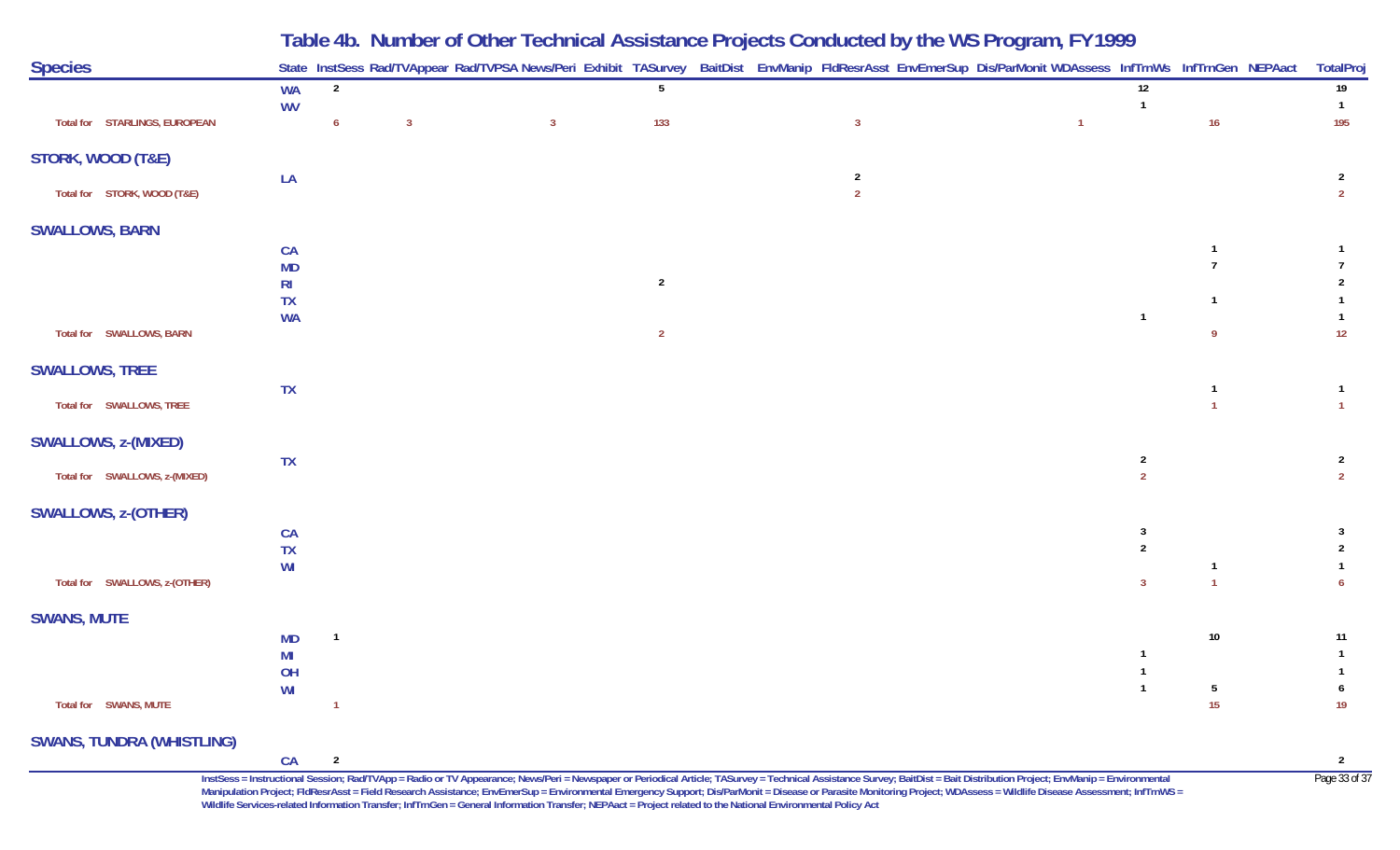|                                  |                        |                |                | Table 4b. Number of Other Technical Assistance Projects Conducted by the WS Program, FY 1999                                                               |                |                                  |                |                                  |              |                                  |
|----------------------------------|------------------------|----------------|----------------|------------------------------------------------------------------------------------------------------------------------------------------------------------|----------------|----------------------------------|----------------|----------------------------------|--------------|----------------------------------|
| <b>Species</b>                   |                        |                |                | State InstSess Rad/TVAppear Rad/TVPSA News/Peri Exhibit TASurvey BaitDist EnvManip FldResrAsst EnvEmerSup Dis/ParMonit WDAssess InfTrnWs InfTrnGen NEPAact |                |                                  |                |                                  |              | <b>TotalProj</b>                 |
|                                  | <b>WA</b>              | $\overline{2}$ |                |                                                                                                                                                            | 5              |                                  |                | 12                               |              | 19                               |
| Total for STARLINGS, EUROPEAN    | <b>WV</b>              | 6              | $\overline{3}$ | $\overline{3}$                                                                                                                                             | 133            | $\overline{3}$                   | $\overline{1}$ | -1                               | 16           | $\mathbf{1}$<br>195              |
| STORK, WOOD (T&E)                |                        |                |                |                                                                                                                                                            |                |                                  |                |                                  |              |                                  |
| Total for STORK, WOOD (T&E)      | LA                     |                |                |                                                                                                                                                            |                | $\overline{2}$<br>$\overline{2}$ |                |                                  |              | 2<br>$\overline{2}$              |
| <b>SWALLOWS, BARN</b>            |                        |                |                |                                                                                                                                                            |                |                                  |                |                                  |              |                                  |
|                                  | CA                     |                |                |                                                                                                                                                            |                |                                  |                |                                  |              |                                  |
|                                  | <b>MD</b>              |                |                |                                                                                                                                                            |                |                                  |                |                                  |              |                                  |
|                                  | R <sub>l</sub>         |                |                |                                                                                                                                                            | $\overline{2}$ |                                  |                |                                  |              |                                  |
|                                  | <b>TX</b><br><b>WA</b> |                |                |                                                                                                                                                            |                |                                  |                | $\overline{1}$                   |              |                                  |
| Total for SWALLOWS, BARN         |                        |                |                |                                                                                                                                                            | $\overline{2}$ |                                  |                |                                  | -9           | 12                               |
| <b>SWALLOWS, TREE</b>            |                        |                |                |                                                                                                                                                            |                |                                  |                |                                  |              |                                  |
| Total for SWALLOWS, TREE         | <b>TX</b>              |                |                |                                                                                                                                                            |                |                                  |                |                                  |              |                                  |
| SWALLOWS, z-(MIXED)              |                        |                |                |                                                                                                                                                            |                |                                  |                |                                  |              |                                  |
| Total for SWALLOWS, z-(MIXED)    | <b>TX</b>              |                |                |                                                                                                                                                            |                |                                  |                | $\overline{2}$<br>$\overline{2}$ |              | $\overline{2}$<br>$\overline{2}$ |
| <b>SWALLOWS, z-(OTHER)</b>       |                        |                |                |                                                                                                                                                            |                |                                  |                |                                  |              |                                  |
|                                  | CA                     |                |                |                                                                                                                                                            |                |                                  |                | 3                                |              | 3                                |
|                                  | TX                     |                |                |                                                                                                                                                            |                |                                  |                | $\overline{2}$                   |              |                                  |
|                                  | WI                     |                |                |                                                                                                                                                            |                |                                  |                |                                  | -1           |                                  |
| Total for SWALLOWS, z-(OTHER)    |                        |                |                |                                                                                                                                                            |                |                                  |                | 3                                | $\mathbf{1}$ |                                  |
| <b>SWANS, MUTE</b>               |                        |                |                |                                                                                                                                                            |                |                                  |                |                                  |              |                                  |
|                                  | <b>MD</b>              | -1             |                |                                                                                                                                                            |                |                                  |                |                                  | $10\,$       | 11                               |
|                                  | MI                     |                |                |                                                                                                                                                            |                |                                  |                |                                  |              |                                  |
|                                  | OH<br>WI               |                |                |                                                                                                                                                            |                |                                  |                |                                  | 5            |                                  |
| Total for SWANS, MUTE            |                        |                |                |                                                                                                                                                            |                |                                  |                |                                  | 15           | 19                               |
| <b>SWANS, TUNDRA (WHISTLING)</b> |                        |                |                |                                                                                                                                                            |                |                                  |                |                                  |              |                                  |
|                                  | CA                     | $\overline{2}$ |                |                                                                                                                                                            |                |                                  |                |                                  |              | $\overline{2}$                   |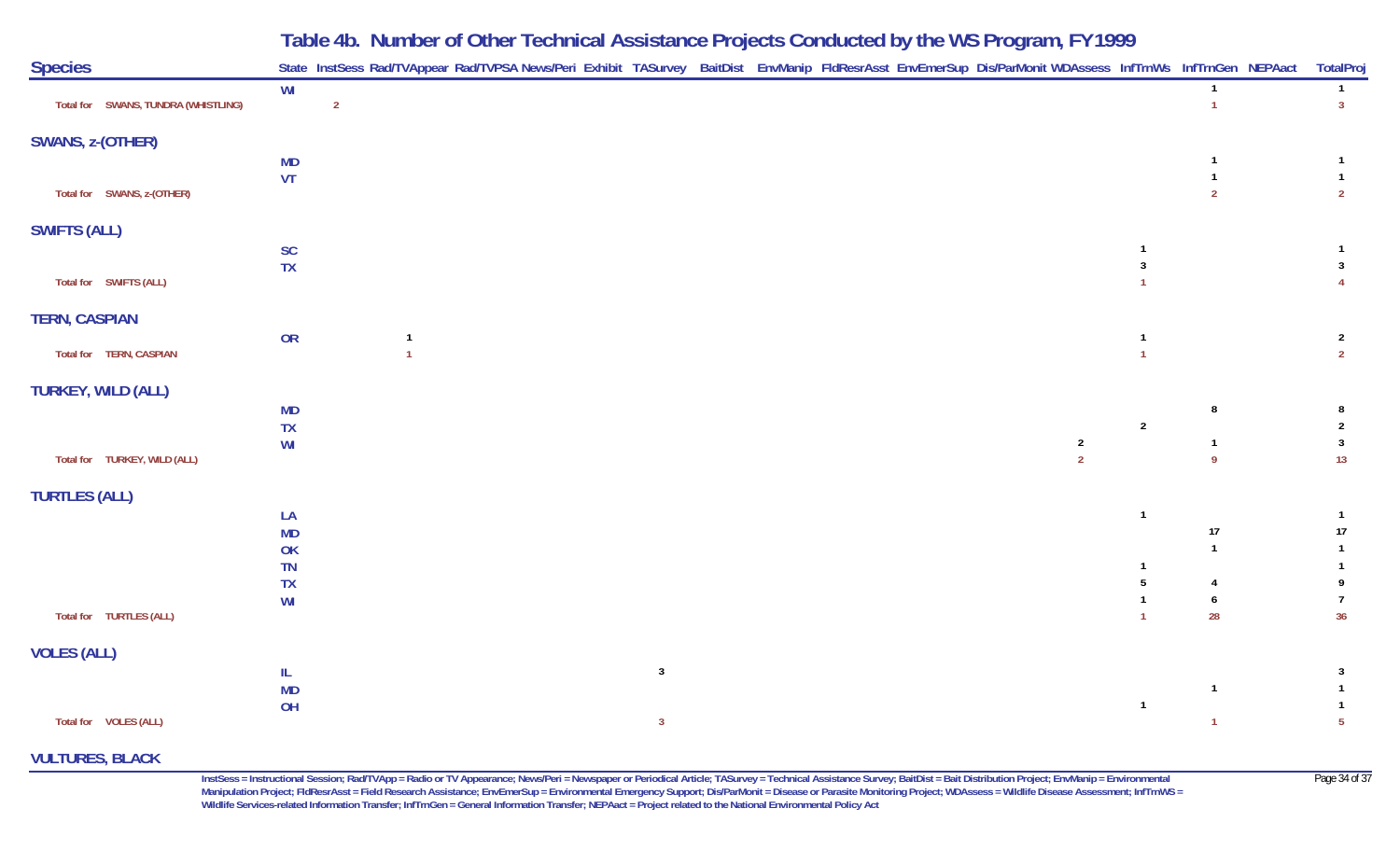|                                     |                           | Table 4b. Number of Other Technical Assistance Projects Conducted by the WS Program, FY 1999                                                               |                                  |                                  |
|-------------------------------------|---------------------------|------------------------------------------------------------------------------------------------------------------------------------------------------------|----------------------------------|----------------------------------|
| <b>Species</b>                      |                           | State InstSess Rad/TVAppear Rad/TVPSA News/Peri Exhibit TASurvey BaitDist EnvManip FldResrAsst EnvEmerSup Dis/ParMonit WDAssess InfTrnWs InfTrnGen NEPAact |                                  | TotalPro                         |
| Total for SWANS, TUNDRA (WHISTLING) | WI<br>$\overline{2}$      |                                                                                                                                                            | $\overline{1}$<br>$\overline{1}$ | $\mathbf{1}$<br>3 <sup>1</sup>   |
| SWANS, z-(OTHER)                    |                           |                                                                                                                                                            |                                  |                                  |
|                                     | <b>MD</b>                 |                                                                                                                                                            |                                  |                                  |
| Total for SWANS, z-(OTHER)          | <b>VT</b>                 |                                                                                                                                                            | $\overline{2}$                   | $\mathbf{1}$<br>$\overline{2}$   |
| <b>SWIFTS (ALL)</b>                 |                           |                                                                                                                                                            |                                  |                                  |
|                                     | <b>SC</b>                 |                                                                                                                                                            |                                  | $\mathbf{1}$                     |
| Total for SWIFTS (ALL)              | <b>TX</b>                 | $\overline{3}$                                                                                                                                             |                                  | $\mathbf{3}$<br>$\overline{4}$   |
| <b>TERN, CASPIAN</b>                |                           |                                                                                                                                                            |                                  |                                  |
| Total for TERN, CASPIAN             | OR<br>1<br>$\overline{1}$ | $\overline{1}$                                                                                                                                             |                                  | $\overline{2}$<br>$\overline{2}$ |
| <b>TURKEY, WILD (ALL)</b>           |                           |                                                                                                                                                            |                                  |                                  |
|                                     | <b>MD</b>                 |                                                                                                                                                            | 8                                | 8                                |
|                                     | <b>TX</b><br>WI           | $\sqrt{2}$<br>$\overline{2}$                                                                                                                               | $\mathbf{1}$                     | $\mathbf{3}$                     |
| Total for TURKEY, WILD (ALL)        |                           | $\overline{2}$                                                                                                                                             | $\mathsf{q}$                     | 13                               |
| <b>TURTLES (ALL)</b>                |                           |                                                                                                                                                            |                                  |                                  |
|                                     | LA                        | $\overline{1}$                                                                                                                                             |                                  | $\mathbf{1}$                     |
|                                     | <b>MD</b><br>OK           |                                                                                                                                                            | $17\,$<br>$\overline{1}$         | 17<br>$\mathbf{1}$               |
|                                     | <b>TN</b>                 |                                                                                                                                                            |                                  |                                  |
|                                     | TX                        | 5                                                                                                                                                          |                                  | 9                                |
| Total for TURTLES (ALL)             | WI                        | $\overline{1}$                                                                                                                                             | 6<br>28                          | 7<br>36                          |
| <b>VOLES (ALL)</b>                  |                           |                                                                                                                                                            |                                  |                                  |
|                                     | IL                        | $\mathbf{3}$                                                                                                                                               |                                  | 3                                |
|                                     | <b>MD</b>                 |                                                                                                                                                            | $\overline{1}$                   | $\mathbf{1}$                     |
| Total for VOLES (ALL)               | OH                        | $\overline{1}$<br>$\mathbf{3}$                                                                                                                             | 1                                | $\mathbf{1}$<br>$5\phantom{.0}$  |

#### **VULTURES, BLACK**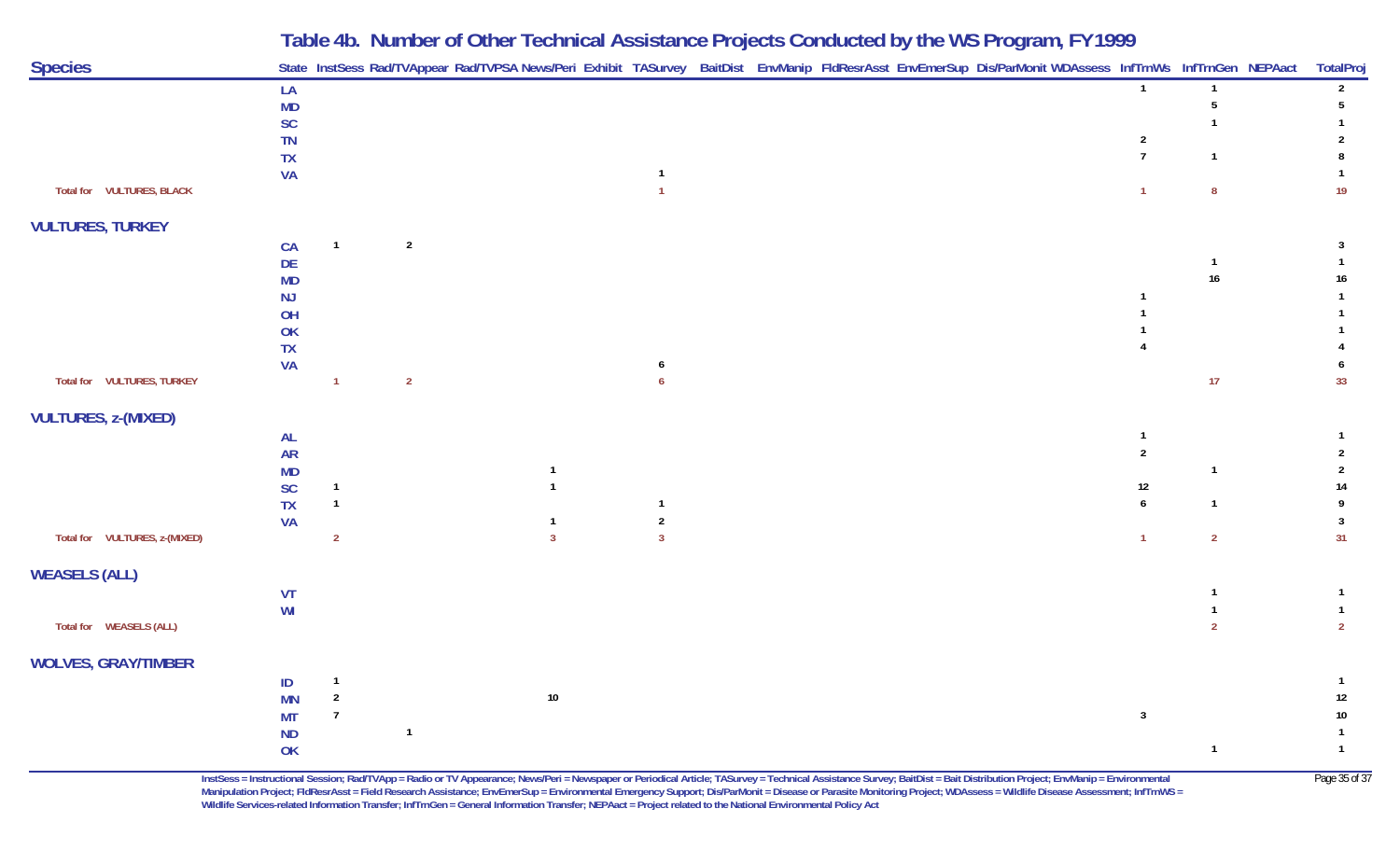| <b>Species</b>                |                            |                                |                |                |                         |  |  | State InstSess Rad/TVAppear Rad/TVPSA News/Peri Exhibit TASurvey BaitDist EnvManip FldResrAsst EnvEmerSup Dis/ParMonit WDAssess InfTrnWs InfTrnGen NEPAact |                |                 | TotalProj                        |
|-------------------------------|----------------------------|--------------------------------|----------------|----------------|-------------------------|--|--|------------------------------------------------------------------------------------------------------------------------------------------------------------|----------------|-----------------|----------------------------------|
|                               | LA                         |                                |                |                |                         |  |  |                                                                                                                                                            | $\overline{1}$ |                 | $\overline{2}$                   |
|                               | MD                         |                                |                |                |                         |  |  |                                                                                                                                                            |                | 5               | 5                                |
|                               | $\mathsf{SC}$<br>TN        |                                |                |                |                         |  |  |                                                                                                                                                            | $\overline{2}$ |                 | 2                                |
|                               | TX                         |                                |                |                |                         |  |  |                                                                                                                                                            | $\overline{7}$ | $\mathbf{1}$    |                                  |
|                               | <b>VA</b>                  |                                |                |                |                         |  |  |                                                                                                                                                            |                |                 |                                  |
| Total for VULTURES, BLACK     |                            |                                |                |                | $\overline{1}$          |  |  |                                                                                                                                                            | $\overline{1}$ | $\pmb{8}$       | 19                               |
| <b>VULTURES, TURKEY</b>       |                            |                                |                |                |                         |  |  |                                                                                                                                                            |                |                 |                                  |
|                               | CA                         | $\mathbf{1}$                   | $\overline{2}$ |                |                         |  |  |                                                                                                                                                            |                |                 | 3                                |
|                               | DE                         |                                |                |                |                         |  |  |                                                                                                                                                            |                | $\overline{1}$  |                                  |
|                               | MD                         |                                |                |                |                         |  |  |                                                                                                                                                            |                | $16\phantom{.}$ | $16\,$                           |
|                               | NJ                         |                                |                |                |                         |  |  |                                                                                                                                                            |                |                 |                                  |
|                               | OH<br>OK                   |                                |                |                |                         |  |  |                                                                                                                                                            |                |                 |                                  |
|                               | TX                         |                                |                |                |                         |  |  |                                                                                                                                                            |                |                 |                                  |
|                               | <b>VA</b>                  |                                |                |                | 6                       |  |  |                                                                                                                                                            |                |                 |                                  |
| Total for VULTURES, TURKEY    |                            | $\overline{1}$                 | $\overline{2}$ |                | $\overline{6}$          |  |  |                                                                                                                                                            |                | 17 <sub>1</sub> | 33                               |
| <b>VULTURES, z-(MIXED)</b>    |                            |                                |                |                |                         |  |  |                                                                                                                                                            |                |                 |                                  |
|                               | $\mathsf{AL}$              |                                |                |                |                         |  |  |                                                                                                                                                            |                |                 |                                  |
|                               | ${\sf AR}$                 |                                |                |                |                         |  |  |                                                                                                                                                            | $\overline{2}$ |                 | $\overline{2}$                   |
|                               | MD                         |                                |                |                |                         |  |  |                                                                                                                                                            |                |                 | 2                                |
|                               | $\mathsf{SC}$<br><b>TX</b> | $\mathbf{1}$<br>$\overline{1}$ |                |                | $\overline{1}$          |  |  |                                                                                                                                                            | 12<br>6        | $\overline{1}$  | 14<br>9                          |
|                               | <b>VA</b>                  |                                |                | $\mathbf{1}$   | $\overline{\mathbf{c}}$ |  |  |                                                                                                                                                            |                |                 | $\mathbf{3}$                     |
| Total for VULTURES, z-(MIXED) |                            | $\overline{2}$                 |                | $\overline{3}$ | $\overline{\mathbf{3}}$ |  |  |                                                                                                                                                            | $\overline{1}$ | $\overline{2}$  | 31                               |
| <b>WEASELS (ALL)</b>          |                            |                                |                |                |                         |  |  |                                                                                                                                                            |                |                 |                                  |
|                               | VT                         |                                |                |                |                         |  |  |                                                                                                                                                            |                |                 |                                  |
|                               | WI                         |                                |                |                |                         |  |  |                                                                                                                                                            |                |                 | $\overline{1}$                   |
| Total for WEASELS (ALL)       |                            |                                |                |                |                         |  |  |                                                                                                                                                            |                | $\mathfrak{p}$  | $\overline{2}$                   |
| <b>WOLVES, GRAY/TIMBER</b>    |                            |                                |                |                |                         |  |  |                                                                                                                                                            |                |                 |                                  |
|                               | ID                         | $\mathbf{1}$                   |                |                |                         |  |  |                                                                                                                                                            |                |                 |                                  |
|                               | <b>MN</b>                  | $\overline{2}$                 |                | $10\,$         |                         |  |  |                                                                                                                                                            |                |                 | $12\,$                           |
|                               | <b>MT</b>                  | $\overline{7}$                 |                |                |                         |  |  |                                                                                                                                                            | $\mathbf{3}$   |                 | $10\,$                           |
|                               | $\sf ND$                   |                                | $\overline{1}$ |                |                         |  |  |                                                                                                                                                            |                | $\overline{1}$  | $\overline{1}$<br>$\overline{1}$ |
|                               | OK                         |                                |                |                |                         |  |  |                                                                                                                                                            |                |                 |                                  |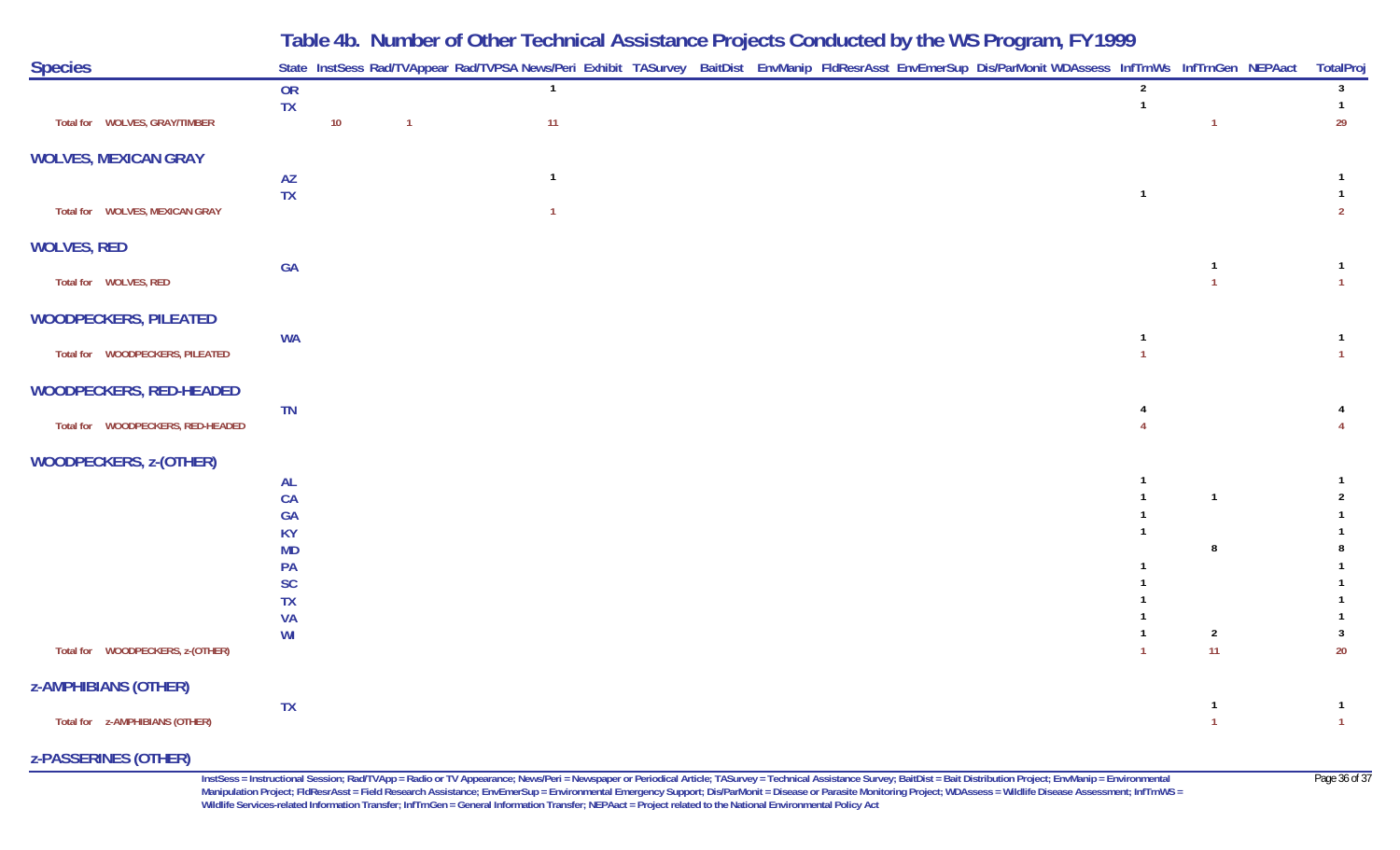|                                   |                        |    |                | Table 4b. Number of Other Technical Assistance Projects Conducted by the WS Program, FY 1999                                                               |  |                                  |                |                                  |
|-----------------------------------|------------------------|----|----------------|------------------------------------------------------------------------------------------------------------------------------------------------------------|--|----------------------------------|----------------|----------------------------------|
| <b>Species</b>                    |                        |    |                | State InstSess Rad/TVAppear Rad/TVPSA News/Peri Exhibit TASurvey BaitDist EnvManip FldResrAsst EnvEmerSup Dis/ParMonit WDAssess InfTrnWs InfTrnGen NEPAact |  |                                  |                | <b>TotalProj</b>                 |
|                                   | OR<br>TX               |    |                | $\overline{1}$                                                                                                                                             |  | $\overline{2}$<br>$\overline{1}$ |                | $\mathbf{3}$<br>$\overline{1}$   |
| Total for WOLVES, GRAY/TIMBER     |                        | 10 | $\overline{1}$ | 11                                                                                                                                                         |  |                                  | $\overline{1}$ | 29                               |
| <b>WOLVES, MEXICAN GRAY</b>       |                        |    |                |                                                                                                                                                            |  |                                  |                |                                  |
|                                   | <b>AZ</b>              |    |                | $\mathbf{1}$                                                                                                                                               |  | $\overline{1}$                   |                |                                  |
| Total for WOLVES, MEXICAN GRAY    | <b>TX</b>              |    |                | $\overline{1}$                                                                                                                                             |  |                                  |                | $\overline{2}$                   |
| <b>WOLVES, RED</b>                |                        |    |                |                                                                                                                                                            |  |                                  |                |                                  |
| Total for WOLVES, RED             | GA                     |    |                |                                                                                                                                                            |  |                                  | $\overline{1}$ | $\overline{1}$<br>$\overline{1}$ |
| <b>WOODPECKERS, PILEATED</b>      |                        |    |                |                                                                                                                                                            |  |                                  |                |                                  |
|                                   | <b>WA</b>              |    |                |                                                                                                                                                            |  |                                  |                | $\overline{1}$                   |
| Total for WOODPECKERS, PILEATED   |                        |    |                |                                                                                                                                                            |  |                                  |                | $\overline{1}$                   |
| <b>WOODPECKERS, RED-HEADED</b>    |                        |    |                |                                                                                                                                                            |  |                                  |                |                                  |
| Total for WOODPECKERS, RED-HEADED | TN                     |    |                |                                                                                                                                                            |  |                                  |                |                                  |
| <b>WOODPECKERS, z-(OTHER)</b>     |                        |    |                |                                                                                                                                                            |  |                                  |                |                                  |
|                                   | <b>AL</b>              |    |                |                                                                                                                                                            |  |                                  |                |                                  |
|                                   | CA<br><b>GA</b>        |    |                |                                                                                                                                                            |  |                                  | $\overline{1}$ | $\overline{2}$                   |
|                                   | <b>KY</b>              |    |                |                                                                                                                                                            |  |                                  |                |                                  |
|                                   | <b>MD</b>              |    |                |                                                                                                                                                            |  |                                  | 8              |                                  |
|                                   | PA                     |    |                |                                                                                                                                                            |  |                                  |                |                                  |
|                                   | <b>SC</b><br><b>TX</b> |    |                |                                                                                                                                                            |  |                                  |                |                                  |
|                                   | <b>VA</b>              |    |                |                                                                                                                                                            |  |                                  |                |                                  |
|                                   | WI                     |    |                |                                                                                                                                                            |  |                                  | $\overline{2}$ | 3                                |
| Total for WOODPECKERS, z-(OTHER)  |                        |    |                |                                                                                                                                                            |  |                                  | 11             | $20\,$                           |
| <b>z-AMPHIBIANS (OTHER)</b>       |                        |    |                |                                                                                                                                                            |  |                                  |                |                                  |
| Total for z-AMPHIBIANS (OTHER)    | <b>TX</b>              |    |                |                                                                                                                                                            |  |                                  | $\mathbf{1}$   | -1<br>$\overline{1}$             |

#### **z-PASSERINES (OTHER)**